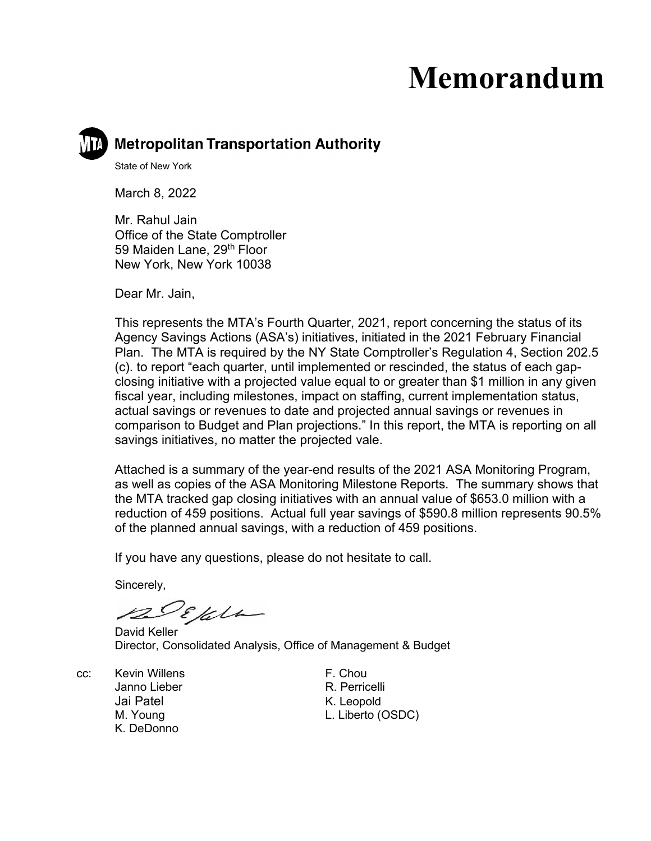# **Memorandum**

# **Metropolitan Transportation Authority**

State of New York

March 8, 2022

Mr. Rahul Jain Office of the State Comptroller 59 Maiden Lane, 29<sup>th</sup> Floor New York, New York 10038

Dear Mr. Jain,

This represents the MTA's Fourth Quarter, 2021, report concerning the status of its Agency Savings Actions (ASA's) initiatives, initiated in the 2021 February Financial Plan. The MTA is required by the NY State Comptroller's Regulation 4, Section 202.5 (c). to report "each quarter, until implemented or rescinded, the status of each gapclosing initiative with a projected value equal to or greater than \$1 million in any given fiscal year, including milestones, impact on staffing, current implementation status, actual savings or revenues to date and projected annual savings or revenues in comparison to Budget and Plan projections." In this report, the MTA is reporting on all savings initiatives, no matter the projected vale.

Attached is a summary of the year-end results of the 2021 ASA Monitoring Program, as well as copies of the ASA Monitoring Milestone Reports. The summary shows that the MTA tracked gap closing initiatives with an annual value of \$653.0 million with a reduction of 459 positions. Actual full year savings of \$590.8 million represents 90.5% of the planned annual savings, with a reduction of 459 positions.

If you have any questions, please do not hesitate to call.

Sincerely,

DEfelle

David Keller Director, Consolidated Analysis, Office of Management & Budget

- cc: Kevin Willens **F. Chou** Janno Lieber **R. Perricelli** Jai Patel **K. Leopold** K. DeDonno
- M. Young L. Liberto (OSDC)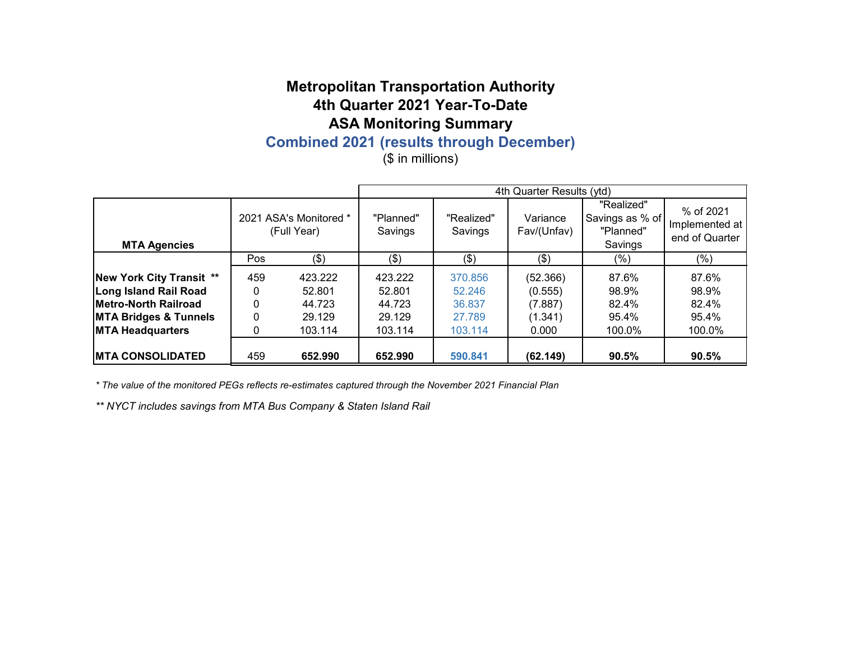# **Combined 2021 (results through December)**

(\$ in millions)

|                                  |            |                                       |                      |                       | 4th Quarter Results (ytd) |                                                       |                                               |
|----------------------------------|------------|---------------------------------------|----------------------|-----------------------|---------------------------|-------------------------------------------------------|-----------------------------------------------|
| <b>MTA Agencies</b>              |            | 2021 ASA's Monitored *<br>(Full Year) | "Planned"<br>Savings | "Realized"<br>Savings | Variance<br>Fav/(Unfav)   | "Realized"<br>Savings as % of<br>"Planned"<br>Savings | % of 2021<br>Implemented at<br>end of Quarter |
|                                  | Pos<br>(3) |                                       | (3)                  | (\$)                  | (3)                       | (%)                                                   | $(\%)$                                        |
| <b>New York City Transit **</b>  | 459        | 423.222                               | 423.222              | 370.856               | (52.366)                  | 87.6%                                                 | 87.6%                                         |
| <b>Long Island Rail Road</b>     | 0          | 52.801                                | 52.801               | 52.246                | (0.555)                   | 98.9%                                                 | 98.9%                                         |
| Metro-North Railroad             | 0          | 44.723                                | 44.723               | 36.837                | (7.887)                   | 82.4%                                                 | 82.4%                                         |
| <b>MTA Bridges &amp; Tunnels</b> | 0          | 29.129                                | 29.129               | 27.789                | (1.341)                   | 95.4%                                                 | 95.4%                                         |
| <b>MTA Headquarters</b>          | 0          | 103.114                               | 103.114              | 103.114               | 0.000                     | 100.0%                                                | 100.0%                                        |
| <b>MTA CONSOLIDATED</b>          | 459        | 652.990                               | 652.990              | 590.841               | (62.149)                  | 90.5%                                                 | 90.5%                                         |

*\* The value of the monitored PEGs reflects re-estimates captured through the November 2021 Financial Plan*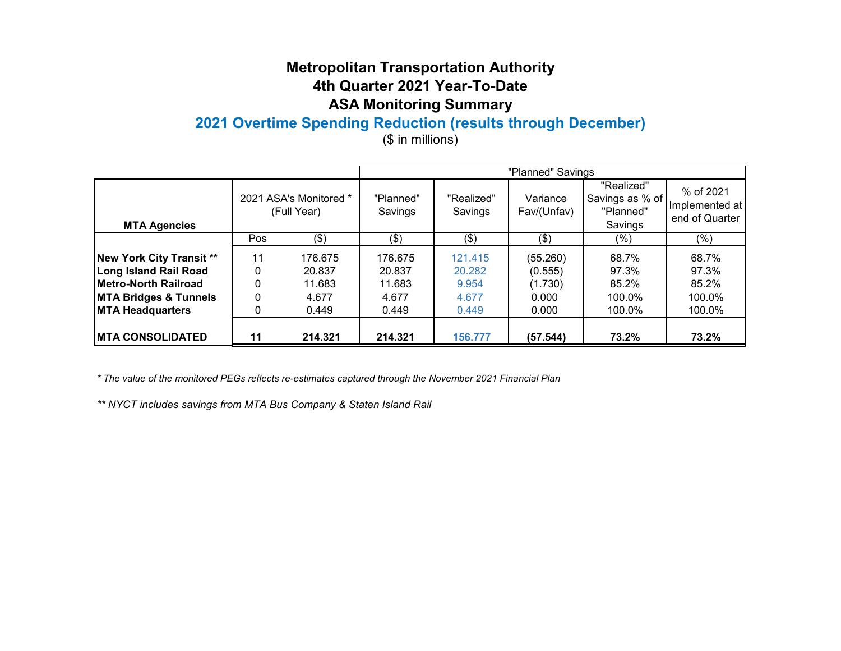# **2021 Overtime Spending Reduction (results through December)**

(\$ in millions)

|                                  |             |                                       |                      |                       | "Planned" Savings       |                                                       |                                               |
|----------------------------------|-------------|---------------------------------------|----------------------|-----------------------|-------------------------|-------------------------------------------------------|-----------------------------------------------|
| <b>MTA Agencies</b>              |             | 2021 ASA's Monitored *<br>(Full Year) | "Planned"<br>Savings | "Realized"<br>Savings | Variance<br>Fav/(Unfav) | "Realized"<br>Savings as % of<br>"Planned"<br>Savings | % of 2021<br>Implemented at<br>end of Quarter |
|                                  | (3)<br>Pos  |                                       | (3)                  | (\$)                  | (3)                     | $(\%)$                                                | (%)                                           |
| New York City Transit **         | 11          | 176.675                               | 176.675              | 121.415               | (55.260)                | 68.7%                                                 | 68.7%                                         |
| Long Island Rail Road            | 0<br>20.837 |                                       | 20.837               | 20.282                | (0.555)                 | 97.3%                                                 | 97.3%                                         |
| <b>Metro-North Railroad</b>      | 0           | 11.683                                | 11.683               | 9.954                 | (1.730)                 | 85.2%                                                 | 85.2%                                         |
| <b>MTA Bridges &amp; Tunnels</b> | 0           | 4.677                                 | 4.677                | 4.677                 | 0.000                   | 100.0%                                                | 100.0%                                        |
| <b>MTA Headquarters</b>          | 0           | 0.449                                 | 0.449                | 0.449                 | 0.000                   | 100.0%                                                | 100.0%                                        |
| <b>MTA CONSOLIDATED</b>          | 11          | 214.321                               | 214.321              | 156.777               | (57.544)                | 73.2%                                                 | 73.2%                                         |

*\* The value of the monitored PEGs reflects re-estimates captured through the November 2021 Financial Plan*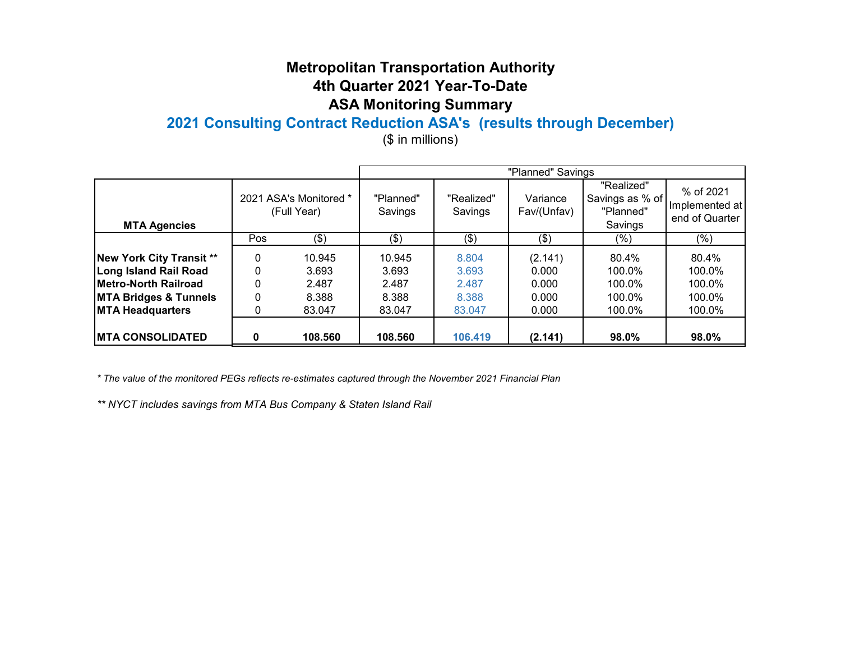# **2021 Consulting Contract Reduction ASA's (results through December)**

(\$ in millions)

|                                  |                           |                                       |                      |                       | "Planned" Savings       |                                                       |                                               |
|----------------------------------|---------------------------|---------------------------------------|----------------------|-----------------------|-------------------------|-------------------------------------------------------|-----------------------------------------------|
| <b>MTA Agencies</b>              |                           | 2021 ASA's Monitored *<br>(Full Year) | "Planned"<br>Savings | "Realized"<br>Savings | Variance<br>Fav/(Unfav) | "Realized"<br>Savings as % of<br>"Planned"<br>Savings | % of 2021<br>Implemented at<br>end of Quarter |
|                                  | Pos<br>(3)                |                                       | (3)                  | $($ \$)               | (3)                     | $(\%)$                                                | (%)                                           |
| New York City Transit **         | 0<br>10.945<br>0<br>3.693 |                                       | 10.945               | 8.804                 | (2.141)                 | 80.4%                                                 | 80.4%                                         |
| Long Island Rail Road            |                           |                                       | 3.693                | 3.693                 | 0.000                   | 100.0%                                                | 100.0%                                        |
| <b>Metro-North Railroad</b>      | $\mathbf 0$               | 2.487                                 | 2.487                | 2.487                 | 0.000                   | 100.0%                                                | 100.0%                                        |
| <b>MTA Bridges &amp; Tunnels</b> | 0<br>8.388                |                                       | 8.388                | 8.388                 | 0.000                   | 100.0%                                                | 100.0%                                        |
| <b>MTA Headquarters</b>          | 0                         | 83.047                                | 83.047               | 83,047                | 0.000                   | 100.0%                                                | 100.0%                                        |
| <b>MTA CONSOLIDATED</b>          | 0                         | 108,560                               | 108.560              | 106.419               | (2.141)                 | 98.0%                                                 | 98.0%                                         |

*\* The value of the monitored PEGs reflects re-estimates captured through the November 2021 Financial Plan*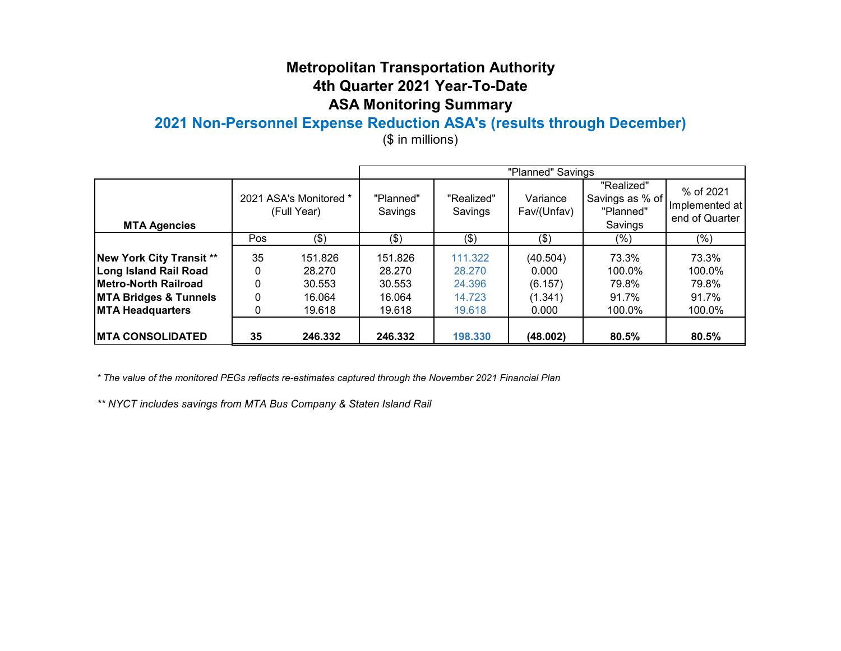# **2021 Non-Personnel Expense Reduction ASA's (results through December)**

(\$ in millions)

|                                  |            |                                       |                      |                       | "Planned" Savings       |                                                       |                                               |
|----------------------------------|------------|---------------------------------------|----------------------|-----------------------|-------------------------|-------------------------------------------------------|-----------------------------------------------|
| <b>MTA Agencies</b>              |            | 2021 ASA's Monitored *<br>(Full Year) | "Planned"<br>Savings | "Realized"<br>Savings | Variance<br>Fav/(Unfav) | "Realized"<br>Savings as % of<br>"Planned"<br>Savings | % of 2021<br>Implemented at<br>end of Quarter |
|                                  | (3)<br>Pos |                                       | (3)                  | \$)                   | (3)                     | $(\%)$                                                | (%)                                           |
| <b>New York City Transit **</b>  | 35         | 151.826                               | 151.826              | 111.322               | (40.504)                | 73.3%                                                 | 73.3%                                         |
| Long Island Rail Road            | $\Omega$   | 28.270                                | 28.270               | 28.270                | 0.000                   | 100.0%                                                | 100.0%                                        |
| Metro-North Railroad             | 0          | 30.553                                | 30.553               | 24.396                | (6.157)                 | 79.8%                                                 | 79.8%                                         |
| <b>MTA Bridges &amp; Tunnels</b> | $\Omega$   | 16.064                                | 16.064               | 14.723                | (1.341)                 | 91.7%                                                 | 91.7%                                         |
| <b>MTA Headquarters</b>          | 0          | 19.618                                | 19.618               | 19.618                | 0.000                   | 100.0%                                                | 100.0%                                        |
| IMTA CONSOLIDATED                | 35         | 246.332                               | 246.332              | 198.330               | (48.002)                | 80.5%                                                 | 80.5%                                         |

*\* The value of the monitored PEGs reflects re-estimates captured through the November 2021 Financial Plan*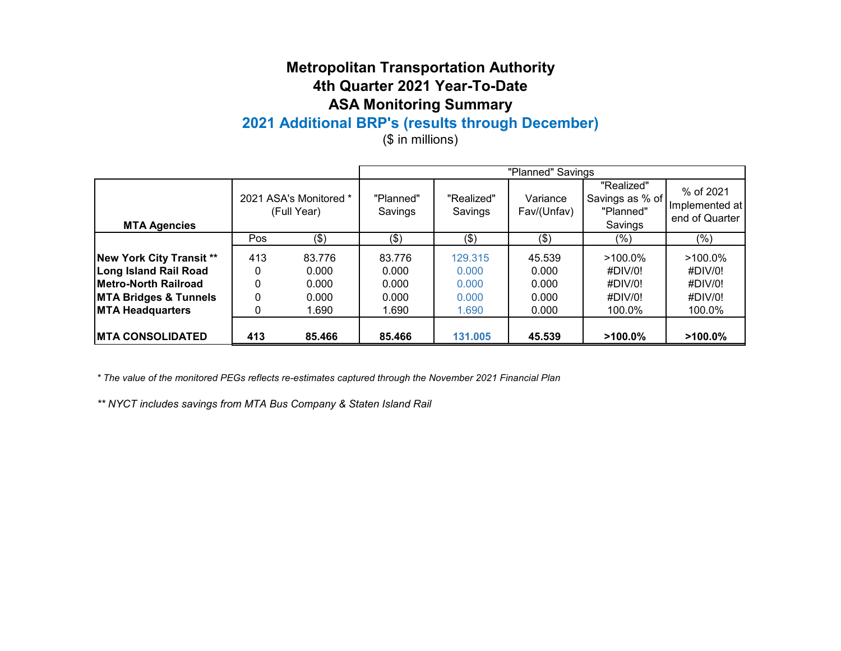# **2021 Additional BRP's (results through December)**

(\$ in millions)

|                                  |                   |                                       |                      |                       | "Planned" Savings       |                                                       |                                               |
|----------------------------------|-------------------|---------------------------------------|----------------------|-----------------------|-------------------------|-------------------------------------------------------|-----------------------------------------------|
| <b>MTA Agencies</b>              |                   | 2021 ASA's Monitored *<br>(Full Year) | "Planned"<br>Savings | "Realized"<br>Savings | Variance<br>Fav/(Unfav) | "Realized"<br>Savings as % of<br>"Planned"<br>Savings | % of 2021<br>Implemented at<br>end of Quarter |
|                                  | Pos<br>(3)        |                                       | (3)<br>\$)           |                       | (3)                     | (%)                                                   | $(\% )$                                       |
| New York City Transit **         | 413               | 83.776                                | 83.776               | 129.315               | 45.539                  | $>100.0\%$                                            | $>100.0\%$                                    |
| Long Island Rail Road            | 0.000<br>$\Omega$ |                                       | 0.000                | 0.000                 | 0.000                   | #DIV/0!                                               | #DIV/0!                                       |
| <b>Metro-North Railroad</b>      |                   | 0.000                                 | 0.000                | 0.000                 | 0.000                   | #DIV/0!                                               | #DIV/0!                                       |
| <b>MTA Bridges &amp; Tunnels</b> | 0                 | 0.000                                 | 0.000                | 0.000                 | 0.000                   | #DIV/0!                                               | #DIV/0!                                       |
| <b>MTA Headquarters</b>          |                   | 1.690                                 | 1.690                | 1.690                 | 0.000                   | 100.0%                                                | 100.0%                                        |
| <b>IMTA CONSOLIDATED</b>         | 413               | 85.466                                | 85.466               | 131.005               | 45.539                  | $>100.0\%$                                            | $>100.0\%$                                    |

*\* The value of the monitored PEGs reflects re-estimates captured through the November 2021 Financial Plan*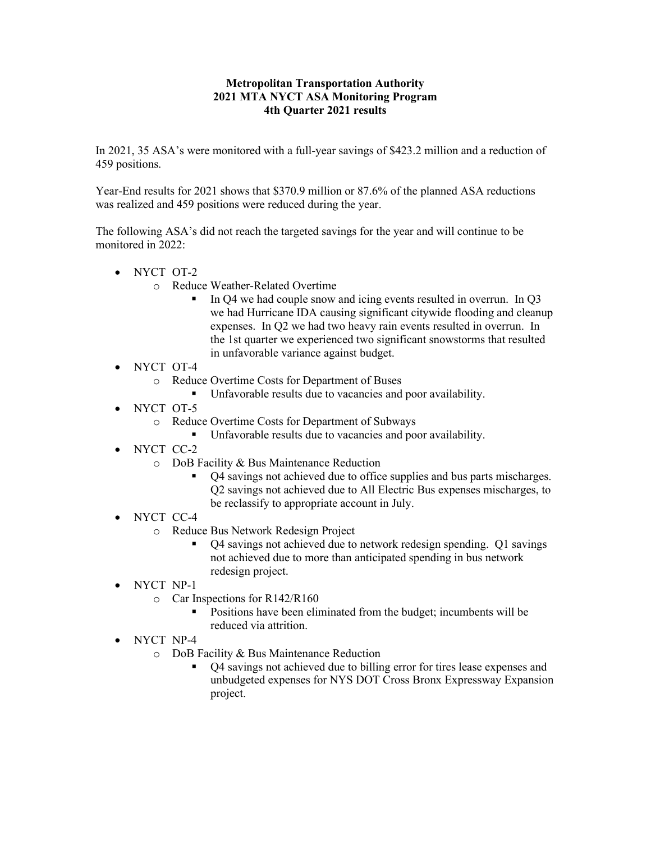#### **Metropolitan Transportation Authority 2021 MTA NYCT ASA Monitoring Program 4th Quarter 2021 results**

In 2021, 35 ASA's were monitored with a full-year savings of \$423.2 million and a reduction of 459 positions.

Year-End results for 2021 shows that \$370.9 million or 87.6% of the planned ASA reductions was realized and 459 positions were reduced during the year.

The following ASA's did not reach the targeted savings for the year and will continue to be monitored in 2022:

- NYCT OT-2
	- o Reduce Weather-Related Overtime
		- In Q4 we had couple snow and icing events resulted in overrun. In Q3 we had Hurricane IDA causing significant citywide flooding and cleanup expenses. In Q2 we had two heavy rain events resulted in overrun. In the 1st quarter we experienced two significant snowstorms that resulted in unfavorable variance against budget.
- NYCT OT-4
	- o Reduce Overtime Costs for Department of Buses
		- Unfavorable results due to vacancies and poor availability.
- NYCT OT-5
	- o Reduce Overtime Costs for Department of Subways
		- Unfavorable results due to vacancies and poor availability.
- NYCT CC-2
	- o DoB Facility & Bus Maintenance Reduction
		- Q4 savings not achieved due to office supplies and bus parts mischarges. Q2 savings not achieved due to All Electric Bus expenses mischarges, to be reclassify to appropriate account in July.
- NYCT CC-4
	- o Reduce Bus Network Redesign Project
		- Q4 savings not achieved due to network redesign spending. Q1 savings not achieved due to more than anticipated spending in bus network redesign project.
- NYCT NP-1
	- o Car Inspections for R142/R160
		- Positions have been eliminated from the budget; incumbents will be reduced via attrition.
- NYCT NP-4
	- o DoB Facility & Bus Maintenance Reduction
		- Q4 savings not achieved due to billing error for tires lease expenses and unbudgeted expenses for NYS DOT Cross Bronx Expressway Expansion project.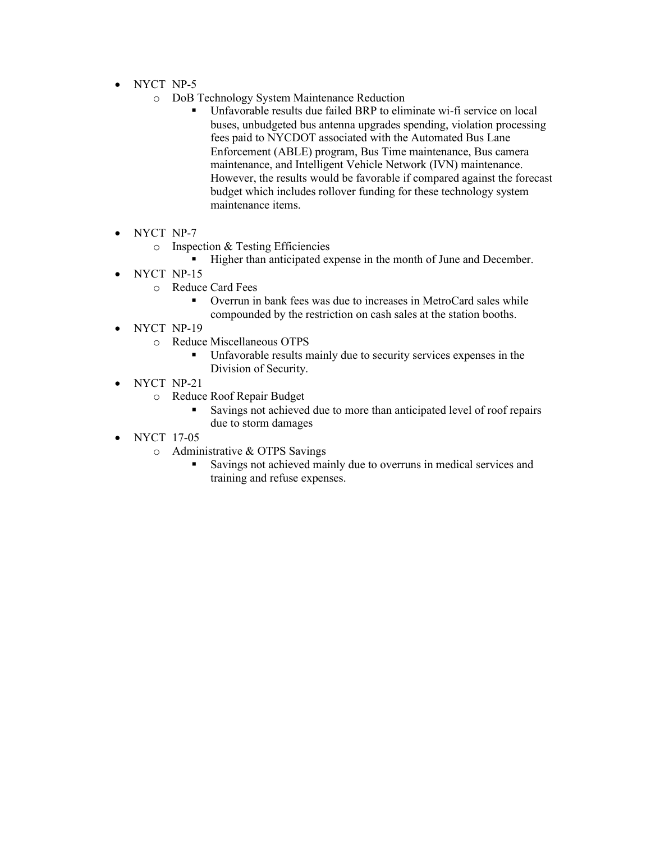- NYCT NP-5
	- o DoB Technology System Maintenance Reduction
		- Unfavorable results due failed BRP to eliminate wi-fi service on local buses, unbudgeted bus antenna upgrades spending, violation processing fees paid to NYCDOT associated with the Automated Bus Lane Enforcement (ABLE) program, Bus Time maintenance, Bus camera maintenance, and Intelligent Vehicle Network (IVN) maintenance. However, the results would be favorable if compared against the forecast budget which includes rollover funding for these technology system maintenance items.
- NYCT NP-7
	- o Inspection & Testing Efficiencies
		- Higher than anticipated expense in the month of June and December.
- NYCT NP-15
	- o Reduce Card Fees
		- Overrun in bank fees was due to increases in MetroCard sales while compounded by the restriction on cash sales at the station booths.
- NYCT NP-19
	- o Reduce Miscellaneous OTPS
		- Unfavorable results mainly due to security services expenses in the Division of Security.
- NYCT NP-21
	- o Reduce Roof Repair Budget
		- Savings not achieved due to more than anticipated level of roof repairs due to storm damages
- NYCT 17-05
	- o Administrative & OTPS Savings
		- Savings not achieved mainly due to overruns in medical services and training and refuse expenses.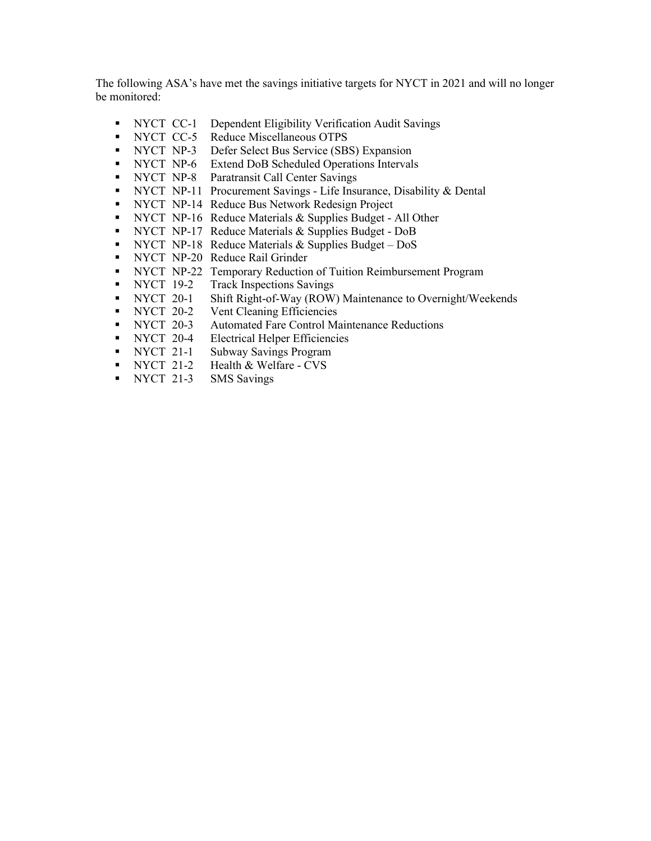The following ASA's have met the savings initiative targets for NYCT in 2021 and will no longer be monitored:

- NYCT CC-1 Dependent Eligibility Verification Audit Savings
- NYCT CC-5 Reduce Miscellaneous OTPS
- NYCT NP-3 Defer Select Bus Service (SBS) Expansion
- NYCT NP-6 Extend DoB Scheduled Operations Intervals
- **NYCT NP-8** Paratransit Call Center Savings
- NYCT NP-11 Procurement Savings Life Insurance, Disability & Dental
- NYCT NP-14 Reduce Bus Network Redesign Project
- NYCT NP-16 Reduce Materials & Supplies Budget All Other
- NYCT NP-17 Reduce Materials & Supplies Budget DoB
- **NYCT NP-18 Reduce Materials & Supplies Budget DoS**
- NYCT NP-20 Reduce Rail Grinder
- NYCT NP-22 Temporary Reduction of Tuition Reimbursement Program
- NYCT 19-2 Track Inspections Savings
- NYCT 20-1 Shift Right-of-Way (ROW) Maintenance to Overnight/Weekends
- NYCT 20-2 Vent Cleaning Efficiencies<br>NYCT 20-3 Automated Fare Control Ma
- Automated Fare Control Maintenance Reductions
- **NYCT** 20-4 Electrical Helper Efficiencies
- NYCT 21-1 Subway Savings Program
- NYCT 21-2 Health & Welfare CVS
- NYCT 21-3 SMS Savings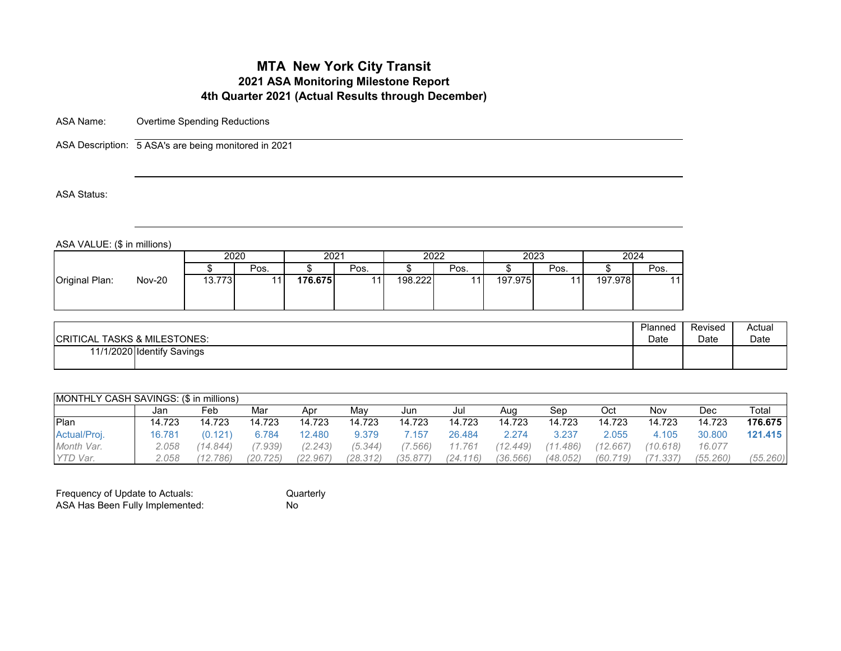ASA Name: Overtime Spending Reductions

ASA Description: 5 ASA's are being monitored in 2021

ASA Status:

ASA VALUE: (\$ in millions)

| 2020<br>2024<br>2022<br>2023<br>2021<br>Pos.<br>Pos.<br>Pos.<br>Pos.<br>Pos.<br>Original Plan:<br><b>Nov-20</b><br>197.978<br>176.675<br>198.222<br>197.975<br>13.7731 | . <del>.</del> | . |  |  |  |  |  |
|------------------------------------------------------------------------------------------------------------------------------------------------------------------------|----------------|---|--|--|--|--|--|
|                                                                                                                                                                        |                |   |  |  |  |  |  |
|                                                                                                                                                                        |                |   |  |  |  |  |  |
|                                                                                                                                                                        |                |   |  |  |  |  |  |

| <b>CRITICAL TASKS &amp; MILESTONES:</b> | Planned | Revised | Actual |
|-----------------------------------------|---------|---------|--------|
|                                         | Date    | Date    | Date   |
| 11/1/2020 Identify Savings              |         |         |        |

| MONTHLY CASH SAVINGS: (\$ in millions) |        |          |          |         |          |          |          |          |          |          |          |          |          |
|----------------------------------------|--------|----------|----------|---------|----------|----------|----------|----------|----------|----------|----------|----------|----------|
|                                        | Jan    | Feb      | Mar      | Apr     | Mav      | Jun      | Jul      | Aug      | Sep      | Oct      | Nov      | Dec      | Total    |
| Plan                                   | 14.723 | 14.723   | 14.723   | 14.723  | 14.723   | 14.723   | 14.723   | 14.723   | 14.723   | 14.723   | 14.723   | 14.723   | 176.675  |
| Actual/Proj.                           | 16.781 | (0.121)  | 6.784    | 12.480  | 9.379    | .157     | 26.484   | 2.274    | 3.237    | 2.055    | 4.105    | 30,800   | 121.415  |
| Month Var.                             | 2.058  | (14.844) | 7.939)   | (2.243) | (5.344)  | 7.566    | 11.761   | (12.449) | 1,486    | (12.667) | (10.618) | 16.077   |          |
| <b>YTD Var.</b>                        | 2.058  | (12.786) | (20.725) | (22.967 | (28.312) | (35.877) | (24.116) | (36.566) | (48.052) | (60.719) | (71.337) | (55.260) | (55.260) |

| Frequency of Update to Actuals: | Quarterly |
|---------------------------------|-----------|
| ASA Has Been Fully Implemented: | Nο        |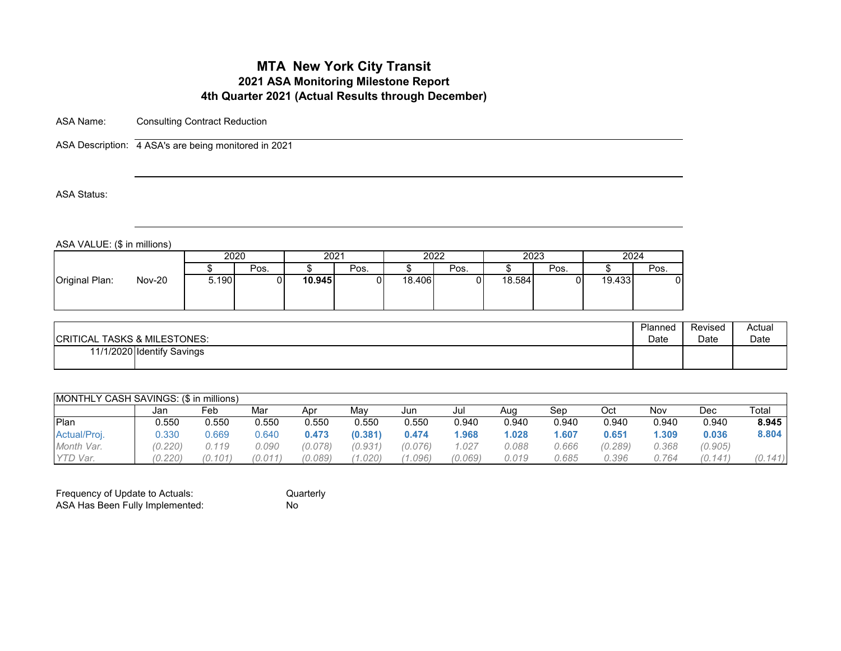ASA Name: Consulting Contract Reduction

ASA Description: 4 ASA's are being monitored in 2021

ASA Status:

ASA VALUE: (\$ in millions)

|                                 | 2020  |      | 2021   |      | 2022   |      | 2023   |      | 2024   |      |
|---------------------------------|-------|------|--------|------|--------|------|--------|------|--------|------|
|                                 |       | Pos. |        | Pos. |        | Pos. |        | Pos. |        | Pos. |
| <b>Nov-20</b><br>Original Plan: | 5.190 |      | 10.945 |      | 18.406 |      | 18.584 |      | 19.433 |      |

| <b>CRITICAL TASKS &amp; MILESTONES:</b> | Planned | Revised | Actual |
|-----------------------------------------|---------|---------|--------|
|                                         | Date    | Date    | Date   |
| 11/1/2020 Identify Savings              |         |         |        |

| <b>IMONTHLY CASH SAVINGS: (\$ in millions)</b> |         |       |         |         |         |         |         |       |       |         |       |         |         |
|------------------------------------------------|---------|-------|---------|---------|---------|---------|---------|-------|-------|---------|-------|---------|---------|
|                                                | Jan     | Feb   | Mar     | Apr     | Mav     | Jun     | Jul     | Aug   | Sep   | Oct     | Nov   | Dec     | Total   |
| Plan                                           | 0.550   | 0.550 | 0.550   | 0.550   | 0.550   | 0.550   | 0.940   | 0.940 | 0.940 | 0.940   | 0.940 | 0.940   | 8.945   |
| Actual/Proj.                                   | 0.330   | 0.669 | 0.640   | 0.473   | (0.381) | 0.474   | 1.968   | 1.028 | 607ء  | 0.651   | .309  | 0.036   | 8.804   |
| Month Var.                                     | (0.220) | 0.119 | 0.090   | (0.078) | (0.931) | (0.076) | 027     | 0.088 | 0.666 | (0.289) | 0.368 | (0.905) |         |
| YTD Var.                                       | (0.220) | 0.101 | (0.011) | (0.089) | (1.020) | .096'   | (0.069) | 0.019 | 0.685 | 0.396   | 0.764 | (0.141) | (0.141) |

| Frequency of Update to Actuals: | Ωu |
|---------------------------------|----|
| ASA Has Been Fully Implemented: | No |

Quarterly<br>No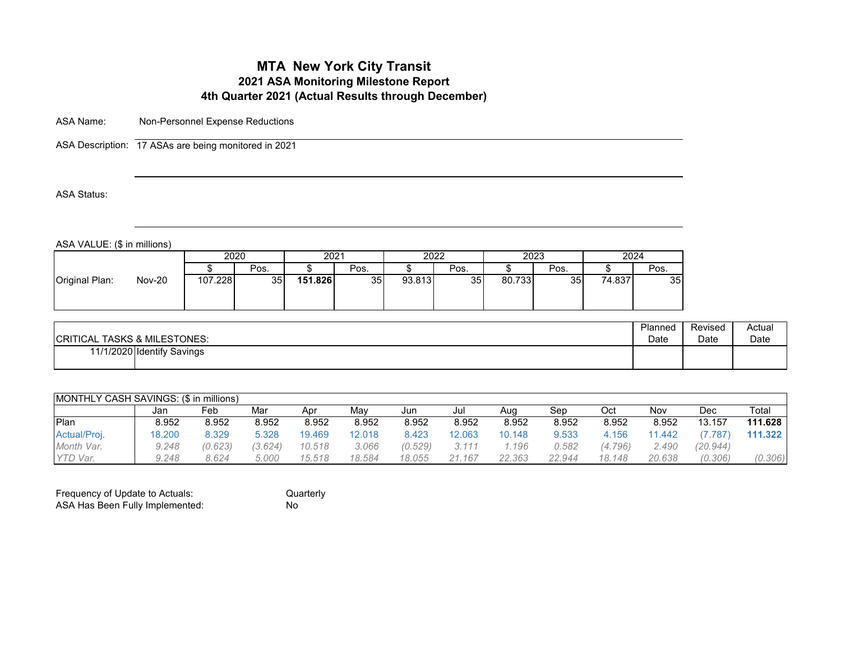ASA Name: Non-Personnel Expense Reductions

ASA Description: 17 ASAs are being monitored in 2021

ASA Status:

ASA VALUE: (\$ in millions)

| 2020<br>Pos.                                                             | 2021<br>Pos. |        | 2022 |        | 2023            | 2024   |      |
|--------------------------------------------------------------------------|--------------|--------|------|--------|-----------------|--------|------|
|                                                                          |              |        |      |        |                 |        |      |
|                                                                          |              |        | Pos. |        | Pos.            |        | Pos. |
| 107.228<br><b>Nov-20</b><br>151.826<br>Original Plan:<br>35 <sup>1</sup> | 35           | 93.813 | 35   | 80.733 | 35 <sub>1</sub> | 74.837 | 35   |

Quarterly<br>No

| <b>CRITICAL TASKS &amp; MILESTONES:</b> | Planned | Revised | Actual |
|-----------------------------------------|---------|---------|--------|
|                                         | Date    | Date    | Date   |
| 11/1/2020 Identify Savings              |         |         |        |

| <b>IMONTHLY CASH SAVINGS: (\$ in millions)</b> |        |         |         |        |        |         |        |        |        |         |        |          |         |  |
|------------------------------------------------|--------|---------|---------|--------|--------|---------|--------|--------|--------|---------|--------|----------|---------|--|
|                                                | Jan    | Feb     | Mar     | Apr    | Mav    | Jun     | Jul    | Aug    | Sep    | Oct     | Nov    | Dec      | Total   |  |
| Plan                                           | 8.952  | 8.952   | 8.952   | 8.952  | 8.952  | 8.952   | 8.952  | 8.952  | 8.952  | 8.952   | 8.952  | 13.157   | 111.628 |  |
| Actual/Proj.                                   | 18.200 | 8.329   | 5.328   | 19.469 | 12.018 | 8.423   | 2.063  | 10.148 | 9.533  | 4.156   | 11.442 | (7.787)  | 111.322 |  |
| Month Var.                                     | 9.248  | (0.623) | (3.624) | 10.518 | 3.066  | (0.529) | 3.111  | .196   | 0.582  | (4.796) | 2.490  | (20.944) |         |  |
| YTD Var.                                       | 9.248  | 8.624   | 5.000   | 15.518 | 18.584 | 18.055  | 21.167 | 22.363 | 22.944 | 18.148  | 20.638 | (0.306)  | (0.306) |  |

| Frequency of Update to Actuals: | Qu |
|---------------------------------|----|
| ASA Has Been Fully Implemented: | No |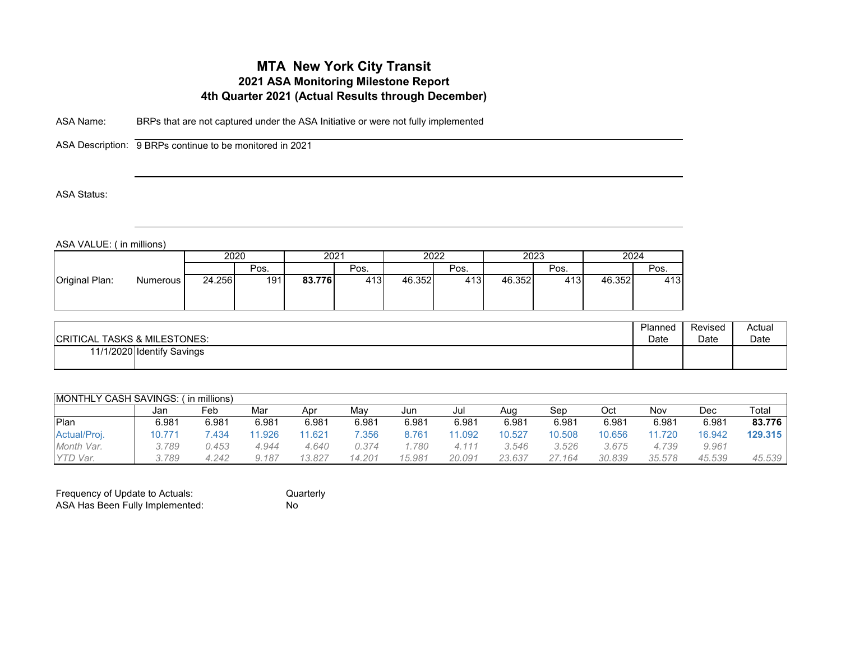ASA Name: BRPs that are not captured under the ASA Initiative or were not fully implemented

ASA Description: 9 BRPs continue to be monitored in 2021

#### ASA Status:

ASA VALUE: ( in millions)

| 2020<br>Pos.<br>191                  | 2021<br>Pos.  | 2022<br>Pos.  | 2023<br>Pos.   | 2024   |      |
|--------------------------------------|---------------|---------------|----------------|--------|------|
|                                      |               |               |                |        |      |
|                                      |               |               |                |        | Pos. |
| 24.256<br>Original Plan:<br>Numerous | 83.776<br>413 | 413<br>46.352 | 46.352<br>413I | 46.352 | 413  |

| <b>CRITICAL TASKS &amp; MILESTONES:</b> | Planned | Revised | Actual |
|-----------------------------------------|---------|---------|--------|
|                                         | Date    | Date    | Date   |
| 11/1/2020 Identify Savings              |         |         |        |

|                 | <b>IMONTHLY CASH SAVINGS:</b><br>í in millions) |       |       |        |        |        |        |        |        |        |        |        |         |  |  |
|-----------------|-------------------------------------------------|-------|-------|--------|--------|--------|--------|--------|--------|--------|--------|--------|---------|--|--|
|                 | Jan                                             | Feb   | Mar   | Apr    | Mav    | Jun    | Jul    | Aug    | Sep    | Oct    | Nov    | Dec    | Total   |  |  |
| Plan            | 6.981                                           | 6.981 | 6.981 | 6.981  | 6.981  | 6.981  | 6.981  | 6.981  | 6.981  | 6.981  | 6.981  | 6.981  | 83.776  |  |  |
| Actual/Proj.    | 10.771                                          | .434  | .926  | 11.621 | 7.356  | 8.761  | 1.092  | 10.527 | 10.508 | 10.656 | 11.720 | 16.942 | 129.315 |  |  |
| Month Var.      | 3.789                                           | 0.453 | 4.944 | 4.640  | 0.374  | 780    | 4.111  | 3.546  | 3.526  | 3.675  | 4.739  | 9.961  |         |  |  |
| <b>YTD Var.</b> | 3.789                                           | 4.242 | 9.187 | 13.827 | 14.201 | 15.981 | 20.091 | 23.637 | 27.164 | 30.839 | 35,578 | 45.539 | 45.539  |  |  |

| Frequency of Update to Actuals: | Quarterly |
|---------------------------------|-----------|
| ASA Has Been Fully Implemented: | Nο        |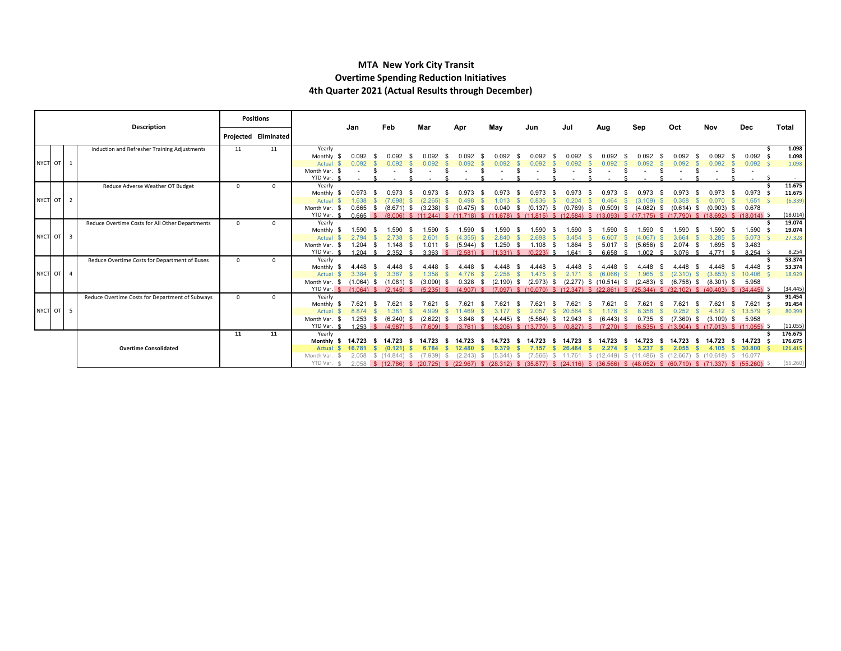#### **MTA New York City Transit Overtime Spending Reduction Initiatives 4th Quarter 2021 (Actual Results through December)**

|           | <b>Description</b> |  |                                                 |          | <b>Positions</b>     |                           | Jan                               | Feb                     | Mar            | Apr  |                | May            | Jun                                                                                                                                         | Jul                    | Aug                        | Sep                   | Oct                                                     | Nov               | <b>Dec</b>                | Total              |
|-----------|--------------------|--|-------------------------------------------------|----------|----------------------|---------------------------|-----------------------------------|-------------------------|----------------|------|----------------|----------------|---------------------------------------------------------------------------------------------------------------------------------------------|------------------------|----------------------------|-----------------------|---------------------------------------------------------|-------------------|---------------------------|--------------------|
|           |                    |  |                                                 |          | Projected Eliminated |                           |                                   |                         |                |      |                |                |                                                                                                                                             |                        |                            |                       |                                                         |                   |                           |                    |
|           |                    |  | Induction and Refresher Training Adjustments    | 11       | 11                   | Yearly                    |                                   |                         | 0.092          |      |                |                |                                                                                                                                             |                        |                            |                       |                                                         |                   |                           | 1.098              |
| NYCT OT 1 |                    |  |                                                 |          |                      | Monthly<br>Actual         | 0.092<br>0.092                    |                         | 0.092          |      |                | N 092<br>በ በ92 |                                                                                                                                             | 0.092<br>.092          | .092                       | N N92<br>N 092        | በ በ92                                                   | 0.092<br>0.092    | 0.092<br>0.092            | 1.098<br>1.098     |
|           |                    |  |                                                 |          |                      | Month Var.                |                                   |                         |                |      |                |                |                                                                                                                                             |                        |                            |                       |                                                         |                   |                           |                    |
|           |                    |  |                                                 |          |                      | YTD Var.                  |                                   |                         |                |      |                |                |                                                                                                                                             |                        |                            |                       |                                                         |                   |                           | $\sim$             |
|           |                    |  | Reduce Adverse Weather OT Budget                | $\Omega$ | $\Omega$             | Yearly                    |                                   |                         |                |      |                |                |                                                                                                                                             |                        |                            |                       |                                                         |                   |                           | 11.675             |
|           |                    |  |                                                 |          |                      | Monthly<br>-96            | 0.973                             |                         |                |      |                |                |                                                                                                                                             |                        |                            |                       |                                                         | 0.973             | 0.973                     | 11.675             |
| NYCT OT 2 |                    |  |                                                 |          |                      | Actual                    | 1.638                             | (7.698)                 | (2.265)        |      | 0.498          | 1.013          | 0.836                                                                                                                                       |                        | .464                       | (3.109)               | 0.358                                                   |                   | 1.651                     | (6.339)            |
|           |                    |  |                                                 |          |                      | Month Var. \$             | 0.665                             | $(8.671)$ \$<br>- S     | $(3.238)$ \$   |      | $(0.475)$ \$   | 0.040          | (0.137)<br>-S<br>-S                                                                                                                         | (0.769)<br>- \$        | $(0.509)$ \$               | (4.082)               | $(0.614)$ \$                                            | $(0.903)$ \$      | 0.678                     |                    |
|           |                    |  |                                                 |          |                      | YTD Var. \$               |                                   |                         |                |      |                |                | 0.665 \$ (8.006) \$ (11.244) \$ (11.718) \$ (11.678) \$ (11.815) \$ (12.584) \$ (13.093) \$ (17.175) \$ (17.790) \$ (18.692) \$ (18.014) \$ |                        |                            |                       |                                                         |                   |                           | (18.014)           |
|           |                    |  | Reduce Overtime Costs for All Other Departments | $\Omega$ | $\Omega$             | Yearly                    |                                   |                         |                |      |                |                |                                                                                                                                             |                        |                            |                       |                                                         |                   |                           | 19.074             |
|           |                    |  |                                                 |          |                      | Monthly<br>- 55           | 1.590                             | .590                    | .590           |      | 1.590          | .590           | 1.590                                                                                                                                       | 1.590                  |                            | .590                  | 1.590                                                   | 1.590             | 1.590                     | 19.074             |
| NYCT OT 3 |                    |  |                                                 |          |                      | Actual                    | 2.794                             | 2.738                   | 2.601 S        |      | $(4.355)$ \$   | 2.840 \$       | 2.698                                                                                                                                       | 3.454                  | 6.607                      | $(4.067)$ \$          | 3.664                                                   | 3.285             | $5.073$ \$                | 27.328             |
|           |                    |  |                                                 |          |                      | Month Var.<br>YTD Var. \$ | $1.204$ \$                        | $1.148$ \$              | $1.011$ \$     |      | $(5.944)$ \$   | $1.250$ \$     | 1.108<br>- S<br>3.363 \$ (2.581) \$ (1.331) \$ (0.223) \$                                                                                   | 1.864                  | $5.017$ \$                 | $(5.656)$ \$<br>1.002 | $2.074$ \$<br>$3.076$ \$                                | 1.695<br>4.771 \$ | 3.483<br>- \$<br>8.254 \$ | 8.254              |
|           |                    |  | Reduce Overtime Costs for Department of Buses   | $\Omega$ | $\Omega$             | Yearly                    | $1.204$ \$                        | $2.352$ \$              |                |      |                |                |                                                                                                                                             | $1.641$ \$             | 6.658<br>- \$              |                       |                                                         |                   |                           | 53.374             |
|           |                    |  |                                                 |          |                      | Monthly                   | 4 4 4 8                           |                         | 4 4 4 8        |      |                | 4 4 4 8        |                                                                                                                                             |                        |                            | 4 448                 | 4 448                                                   | 4.448             | 4.448                     | 53.374             |
| NYCT OT 4 |                    |  |                                                 |          |                      | Actual                    | 3.384                             | 3.367                   | .358           |      |                | .258           | 1.475                                                                                                                                       |                        | (6.066)                    | 1.965                 | (2.310)                                                 | $(3.853)$ \$      | 10.406                    | 18.929             |
|           |                    |  |                                                 |          |                      | Month Var.<br>-SS         | $(1.064)$ \$                      | $(1.081)$ \$            | (3.090)        |      | 0.328<br>- \$  | $(2.190)$ \$   | (2.973)<br>-S                                                                                                                               |                        | $(2.277)$ \$ $(10.514)$ \$ | $(2.483)$ \$          | $(6.758)$ \$                                            | $(8.301)$ \$      | 5.958                     |                    |
|           |                    |  |                                                 |          |                      |                           | YTD Var. \$ (1.064) \$ (2.145) \$ |                         | (5.235)        |      | $(4.907)$ \$   |                | $(7.097)$ \$ $(10.070)$                                                                                                                     | $$(12.347)$ \$         | $(22.861)$ \$              |                       | $(25.344)$ \$ $(32.102)$ \$ $(40.403)$ \$ $(34.445)$ \$ |                   |                           | (34.445)           |
|           |                    |  | Reduce Overtime Costs for Department of Subways | $\Omega$ | $\Omega$             | Yearly                    |                                   |                         |                |      |                |                |                                                                                                                                             |                        |                            |                       |                                                         |                   |                           | 91.454             |
|           |                    |  |                                                 |          |                      | Monthly                   | ' 621                             |                         |                |      |                |                |                                                                                                                                             |                        |                            |                       |                                                         | 7621              | 7.621                     | 91.454             |
| NYCT OT 5 |                    |  |                                                 |          |                      | Actual                    | 8.874                             | 1.381                   | 4.999          |      | 11.469         | 3.177          | 2.057<br>-SS                                                                                                                                | 20.564                 | .178                       | 8.356                 |                                                         |                   | 13,579                    | 80.399             |
|           |                    |  |                                                 |          |                      | Month Var. \$             |                                   | $1.253$ \$ $(6.240)$ \$ | $(2.622)$ \$   |      | $3.848$ \$     | $(4.445)$ \$   |                                                                                                                                             | $(5.564)$ \$ 12.943 \$ | $(6.443)$ \$               | 0.735                 | $(7.369)$ \$<br>- \$                                    | $(3.109)$ \$      | 5.958                     |                    |
|           |                    |  |                                                 | 11       | 11                   | YTD Var. \$               |                                   |                         |                |      |                |                | 1.253 \$ (4.987) \$ (7.609) \$ (3.761) \$ (8.206) \$ (13.770) \$ (0.827) \$ (7.270) \$ (6.535) \$ (13.904) \$ (17.013) \$ (11.055) \$       |                        |                            |                       |                                                         |                   |                           | (11.055)           |
|           |                    |  |                                                 |          |                      | Yearly<br>Monthly \$      | 14.723                            | 14.723<br>s.            | 14.723<br>- SS | - 56 | 14.723<br>- 55 | 14.723         | 14.723<br>- SS                                                                                                                              | 14.723                 | 14.723                     | 14.723                | 14.723                                                  | 14.723            | $14.723$ \$               | 176.675<br>176.675 |
|           |                    |  | <b>Overtime Consolidated</b>                    |          |                      | <b>Actual</b>             |                                   | (0.121)                 | 6.784          |      | 12,480         |                | 7.157                                                                                                                                       |                        |                            |                       |                                                         |                   | 30,800                    | 121.415            |
|           |                    |  |                                                 |          |                      | Month Var.                | 2.058                             | \$(14.844)              | (7.939)        |      | (2.243)        | (5.344)        | (7.566)                                                                                                                                     | 11.761                 |                            |                       | \$ (12.449) \$ (11.486) \$ (12.667) \$ (10.618) \$      |                   | 16.077                    |                    |
|           |                    |  |                                                 |          |                      | YTD Var. \$               |                                   |                         |                |      |                |                | 2.058 \$ (12.786) \$ (20.725) \$ (22.967) \$ (28.312) \$ (35.877) \$ (24.116) \$ (36.566) \$ (48.052) \$ (60.719) \$ (71.337) \$ (55.260)   |                        |                            |                       |                                                         |                   |                           | (55.260)           |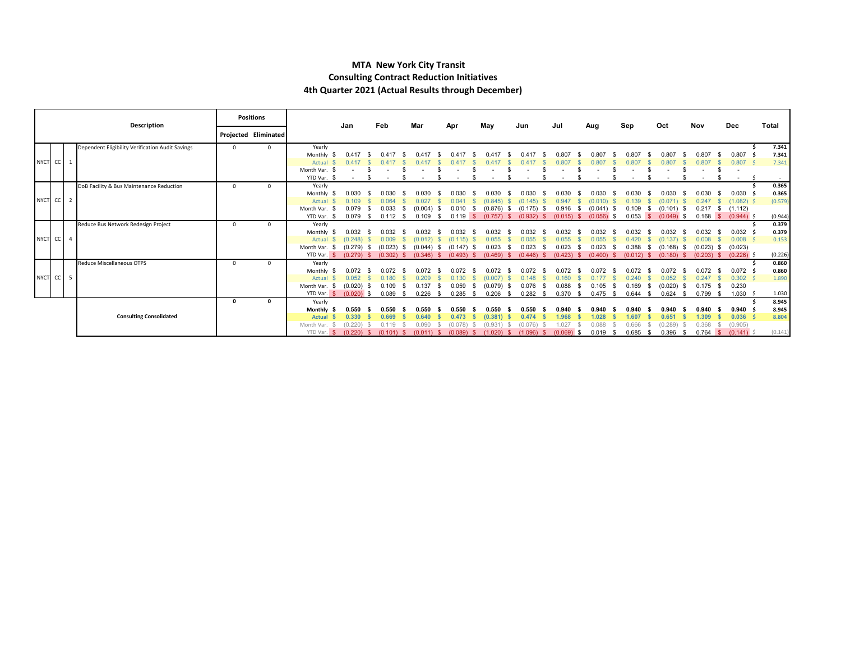#### **MTA New York City Transit Consulting Contract Reduction Initiatives 4th Quarter 2021 (Actual Results through December)**

|           | Description                                      |          | <b>Positions</b>     |                    | Jan                | Feb                     | Mar                             |            | Apr                |      |                  |                  | Jul                  | Aug   |                  | Sep                   |      | Oct                |      | Nov                     |      | Dec                     | Total          |
|-----------|--------------------------------------------------|----------|----------------------|--------------------|--------------------|-------------------------|---------------------------------|------------|--------------------|------|------------------|------------------|----------------------|-------|------------------|-----------------------|------|--------------------|------|-------------------------|------|-------------------------|----------------|
|           |                                                  |          | Projected Eliminated |                    |                    |                         |                                 |            |                    |      | May              | Jun              |                      |       |                  |                       |      |                    |      |                         |      |                         |                |
|           | Dependent Eligibility Verification Audit Savings | $\Omega$ | $\Omega$             | Yearly             |                    |                         |                                 |            |                    |      |                  |                  |                      |       |                  |                       |      |                    |      |                         |      |                         | 7.341          |
|           |                                                  |          |                      | Monthly            |                    |                         | ገ 41                            |            |                    |      |                  |                  |                      | 0.80  |                  | 0.807                 |      | D.80               |      | 0.807                   |      | 0.807                   | 7.341          |
| NYCT CC 1 |                                                  |          |                      | Actual             |                    |                         |                                 |            |                    |      |                  |                  |                      |       |                  |                       |      |                    |      |                         |      | 0.807                   | 7.341          |
|           |                                                  |          |                      | Month Var.         |                    |                         |                                 |            |                    |      |                  |                  |                      |       |                  |                       |      |                    |      |                         |      |                         |                |
|           |                                                  |          |                      | YTD Var. \$        |                    |                         |                                 |            |                    |      |                  |                  |                      |       |                  |                       |      |                    |      |                         |      |                         |                |
|           | DoB Facility & Bus Maintenance Reduction         | n        | <sub>0</sub>         | Yearly             |                    |                         |                                 |            |                    |      |                  |                  |                      |       |                  |                       |      |                    |      |                         |      |                         | 0.365          |
|           |                                                  |          |                      | Monthly            | 0.030              | 0.030                   | 0.030                           |            |                    |      | 1.030            |                  |                      | 0.030 |                  | 0.030                 |      | 0.030              |      | 0.030                   |      | 0.030                   | 0.365          |
| NYCT CC 2 |                                                  |          |                      | Actual             | 0.109              |                         | 0.027                           |            |                    |      | (0.845)          | 145)             | 0.947                |       | (0.010)          |                       |      |                    |      |                         |      | (1.082)                 | (0.579)        |
|           |                                                  |          |                      | Month Var. \$      | 0.079              | 0.033                   | (0.004)<br>-SS                  |            | 0.010              | - \$ | (0.876)<br>- 55  | (0.175)          | 0.916<br>- S         |       | (0.041)          | 0.109                 | -SS  | (0.101)            |      | 0.217                   | - 5  | (1.112)                 |                |
|           |                                                  |          |                      | YTD Var. \$        | $0.079$ \$         | $0.112$ \$              |                                 | $0.109$ \$ | $0.119$ S          |      | (0.757)<br>-SS   | (0.932)          | $(0.015)$ \$<br>- SS |       | $(0.056)$ \$     | $0.053$ \$            |      | $(0.049)$ \$       |      | $0.168$ \$              |      | $(0.944)$ \$            | (0.944)        |
|           | Reduce Bus Network Redesign Project              | $\Omega$ |                      | Yearly             |                    |                         |                                 |            |                    |      |                  |                  |                      |       |                  |                       |      |                    |      |                         |      |                         | 0.379          |
|           |                                                  |          |                      | Monthly            | 0.032              | 0.032                   | 0.032<br>-96                    |            | 0.032              |      | 0.032            | 0.032            | 0.032                |       | 0.032            | 0.032                 |      | 0.032              |      | 0.032                   |      | 0.032                   | 0.379          |
| NYCT CC 4 |                                                  |          |                      | Actual             | $(0.248)$ \$       | 0.009                   | (0.012)                         |            | (0.115)            |      | 0.055            | 0.055            | 0.055                |       | 0.055            | 0.420                 |      | (0.137)            |      | 0.008                   |      | 0.008                   | 0.153          |
|           |                                                  |          |                      | Month Var.         | (0.279)<br>(0.279) | (0.023)<br>$(0.302)$ \$ | (0.044)<br>- SS<br>$(0.346)$ \$ | -SS        | (0.147)<br>(0.493) | - 35 | 0.023<br>(0.469) | 0.023<br>(0.446) | 0.023<br>(0.423)     |       | 0.023<br>(0.400) | 0.388<br>$(0.012)$ \$ |      | (0.168)<br>(0.180) |      | (0.023)<br>$(0.203)$ \$ |      | (0.023)<br>$(0.226)$ \$ |                |
|           |                                                  |          |                      | YTD Var.           |                    |                         |                                 |            |                    | - 56 | - S              |                  | - S                  |       |                  |                       |      |                    | - SI |                         |      |                         | (0.226)        |
|           | Reduce Miscellaneous OTPS                        | $\Omega$ | U                    | Yearly<br>Monthly  | 0.072              |                         | በ በ72                           |            |                    |      |                  |                  |                      |       |                  |                       |      |                    |      | 0.072                   |      | 0.072                   | 0.860<br>0.860 |
| NYCT CC 5 |                                                  |          |                      | Actual             | 0.052              | 0.180                   | 0.209                           |            | 0.130              |      | (0.007)          | 0.148            | 0.160                |       |                  |                       |      | 0.052              |      | 0.247                   |      | 0.302                   | 1.890          |
|           |                                                  |          |                      | Month Var.<br>- \$ | $(0.020)$ \$       | 0.109                   | 0.137<br>-96                    |            | 0.059              | -S   | (0.079)          | 0.076            | 0.088                |       | 0.105            | 0.169                 | -S   | (0.020)            |      | 0.175                   | - \$ | 0.230                   |                |
|           |                                                  |          |                      | YTD Var.           | $(0.020)$ \$       | $0.089$ \$              | 0.226                           |            | 0.285              | - 5  | 0.206<br>- 55    | 0.282            | 0.370<br>- S         |       | 0.475            | 0.644                 | - S  | 0.624              | - 95 | 0.799                   |      | 1.030                   | 1.030          |
|           |                                                  | $\Omega$ | 0                    | Yearly             |                    |                         |                                 |            |                    |      |                  |                  |                      |       |                  |                       |      |                    |      |                         |      |                         | 8.945          |
|           |                                                  |          |                      | Monthly            | 0.550              | 0.550                   | 0.550                           |            | 0.550              |      | 0.550            | 0.550            | 0.940                |       | 0.940            | 0.940                 |      | 0.940              |      | 0.940                   |      | 0.940                   | 8.945          |
|           | <b>Consulting Consolidated</b>                   |          |                      | <b>Actual</b>      | 0.330              | 0.669                   | 0.640                           |            | 0.473              |      | (0.381)          | 0.474            | 1.968                |       | 1.028            | .607                  |      | 0.651              |      | 1.309                   |      | 0.036                   | 8.804          |
|           |                                                  |          |                      | Month Var.         | (0.220)            |                         |                                 |            |                    |      |                  |                  |                      |       | 0.088            | 0.666                 |      | (0.289)            |      | 0.368                   |      | (0.905)                 |                |
|           |                                                  |          |                      | YTD Var. \$        | $(0.220)$ \$       | $(0.101)$ \$            | $(0.011)$ \$                    |            | $(0.089)$ \$       |      | (1.020)<br>-S    | $(1.096)$ \$     | $(0.069)$ \$         |       | 0.019<br>- 55    | 0.685                 | - \$ | 0.396              | - 95 | 0.764                   | ∣\$. | (0.141)                 | (0.141)        |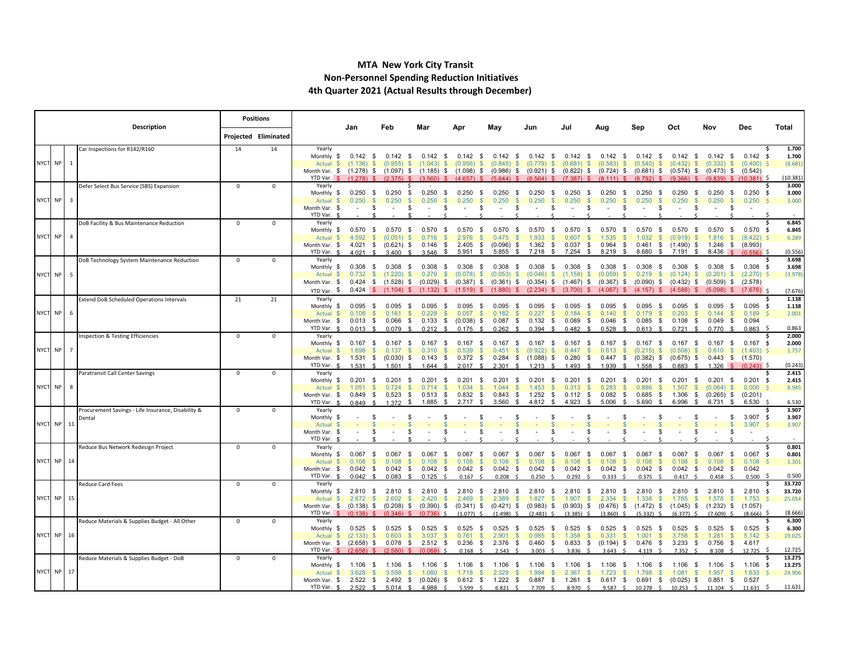#### **MTA New York City Transit Non-Personnel Spending Reduction Initiatives 4th Quarter 2021 (Actual Results through December)**

|            | Description |   |                                                    |             | <b>Positions</b>     |                                                    | Jan                                 | Feb                                                    | Mar                                    | Anı                        | May                                               | Jun                                                                                                                                       | Jul                            | Aug                         | Sep                                                    | Oct                                    | Nov                                     | Dec                                         | Total                  |
|------------|-------------|---|----------------------------------------------------|-------------|----------------------|----------------------------------------------------|-------------------------------------|--------------------------------------------------------|----------------------------------------|----------------------------|---------------------------------------------------|-------------------------------------------------------------------------------------------------------------------------------------------|--------------------------------|-----------------------------|--------------------------------------------------------|----------------------------------------|-----------------------------------------|---------------------------------------------|------------------------|
|            |             |   |                                                    |             | Projected Eliminated |                                                    |                                     |                                                        |                                        |                            |                                                   |                                                                                                                                           |                                |                             |                                                        |                                        |                                         |                                             |                        |
|            |             |   | Car Inspections for R142/R160                      | 14          | 14                   | Yearly                                             | $0.142$ \$                          | $0.142$ \$                                             | 0.142                                  | $0.142$ \$                 |                                                   |                                                                                                                                           |                                | $0.142$ \$                  | 0.142<br>- \$                                          | 0.142                                  | 0.142                                   | $0.142 \quad$ \$                            | 1.700                  |
| NYCT NP 1  |             |   |                                                    |             |                      | Monthly \$<br>Actual \$                            | $(1.136)$ \$                        | (0.955)<br>-SS                                         | - \$<br>(1.043)<br>$\mathbb{S}$        | (0.956)                    | $0.142$ \$<br>$\mathbb{S}$<br>(0.845)<br>- \$     | $0.142$ \$<br>(0.779)<br>-S                                                                                                               | $0.142$ \$<br>(0.681)<br>-SS   | (0.583)<br>-S               | (0.540)<br>S.                                          | - \$<br>(0.432)<br>-SS                 | - \$<br>$(0.332)$ \$                    | $(0.400)$ \$                                | 1.700<br>(8.681)       |
|            |             |   |                                                    |             |                      | Month Var. \$ (1.278) \$ (1.097) \$                |                                     |                                                        |                                        | $(1.185)$ \$ $(1.098)$ \$  | $(0.986)$ \$                                      | $(0.921)$ \$                                                                                                                              | $(0.822)$ \$                   | $(0.724)$ \$                | $(0.681)$ \$                                           | $(0.574)$ \$                           |                                         | $(0.473)$ \$ $(0.542)$                      |                        |
|            |             |   | Defer Select Bus Service (SBS) Expansion           | $\mathbf 0$ | $\mathbf 0$          | YTD Var. \$<br>Yearly                              | $(1278)$ \$                         | (2, 375)                                               | (3.560)                                | (4.657)                    | (5644)                                            | (6, 564)                                                                                                                                  | (7.387)                        | (8, 111)                    | (8, 792)                                               | (9.366)                                | (9.839)                                 | $$(10.381)$ \$                              | (10.381)<br>3.000      |
|            |             |   |                                                    |             |                      | Monthly \$                                         | $0.250$ \$                          | $0.250$ \$                                             | 0.250<br>- \$                          | $0.250$ \$                 | 0.250<br>- \$                                     | $0.250$ \$                                                                                                                                | 0.250<br>- \$                  | 0.250<br>- \$               | 0.250<br>- \$                                          | $0.250$ \$                             | $0.250$ \$                              | $0.250$ \$                                  | 3.000                  |
| NYCT NP 3  |             |   |                                                    |             |                      | Actual \$                                          | 0.250<br>$\mathbb{S}$               | 0.250<br>$\mathbb{S}$                                  | 0.250<br>$\mathbb{S}$                  | 0.250                      | 0.250<br>$\mathbb{S}$                             | 0.250<br>$\mathbb{S}$<br>$\mathbf{\mathcal{S}}$                                                                                           | 0.250<br>$\mathbf{s}$          | 0.250<br>$\mathbf{s}$       | 0.250<br>$\mathbb{S}$                                  | 0.250<br>$\mathbb{S}$                  | 0.250<br>- \$                           | 0.250                                       | $\mathsf{S}$<br>3.000  |
|            |             |   |                                                    |             |                      | Month Var. \$<br>YTD Var.                          | \$                                  | $\sim$<br>- 56                                         | S.<br>$\overline{\phantom{a}}$         | $\overline{\phantom{a}}$   | - 5<br>$\overline{\phantom{a}}$                   | - \$<br>- \$<br>$\sim$                                                                                                                    | S.<br>$\overline{\phantom{a}}$ | $\overline{\phantom{a}}$    | \$<br>S.                                               | \$<br>$\sim$                           | \$                                      |                                             |                        |
|            |             |   | DoB Facility & Bus Maintenance Reduction           | $^{\circ}$  | $^{\circ}$           | Yearly                                             |                                     |                                                        |                                        |                            |                                                   |                                                                                                                                           |                                |                             |                                                        |                                        |                                         |                                             | 6.845                  |
|            |             |   |                                                    |             |                      | Monthly \$                                         | 0.570<br>- \$                       | 0.570<br>- \$                                          | 0.570<br>- \$                          | 0.570                      | 0.570<br>- \$<br>- \$                             | 0.570<br>- \$                                                                                                                             | 0.570<br>- \$                  | 0.570<br>- \$               | 0.570<br>- \$                                          | 0.570<br>- \$                          | 0.570<br>- \$                           | $0.570$ \$                                  | 6.845                  |
| NYCT NP 4  |             |   |                                                    |             |                      | Actual<br>Month Var. \$                            | 4.592<br>$\mathbb{S}$<br>$4.021$ \$ | (0.051)<br><b>S</b><br>$(0.621)$ \$                    | 0.716<br>$\mathbf{s}$<br>0.146<br>\$   | 2.976<br>2.405             | 0.475<br>- \$<br>$\mathbf{\$}$<br>\$<br>(0.096)   | 1.933<br>$1.362$ \$<br>\$                                                                                                                 | 0.607<br>0.037<br>\$           | 1.535<br>- \$<br>$0.964$ \$ | 1.032<br>$\mathbb{S}$<br>0.461<br>\$                   | (0.919)<br><b>S</b><br>$(1.490)$ \$    | 1.816                                   | (8.422)<br>$\mathbb{S}$<br>1.246 \$ (8.993) | 6.289                  |
|            |             |   |                                                    |             |                      | YTD Var. \$                                        | 4.021                               | 3.400                                                  | 3.546<br>- \$                          | 5.951                      | 5.855<br>- \$<br>- \$                             | 7.218<br>- \$                                                                                                                             | 7.254<br>S.                    | 8.219<br>- \$               | 8.680<br>- \$                                          | 7.191<br>- \$                          | 8.436                                   | $(0.556)$ S                                 | (0.556)                |
|            |             |   | DoB Technology System Maintenance Reduction        | $^{\circ}$  | $^{\circ}$           | Yearly                                             |                                     |                                                        |                                        |                            |                                                   |                                                                                                                                           |                                |                             |                                                        |                                        |                                         |                                             | 3.698                  |
| NYCT NP 5  |             |   |                                                    |             |                      | Monthly \$<br>Actual \$                            | 0.308<br>- \$<br>0.732              | $0.308$ \$<br>$\mathbb{S}$<br>(1.220)<br>$\mathbb{S}$  | 0.308<br>- \$<br>0.279<br>$\mathbb{S}$ | $0.308$ \$<br>$(0.078)$ \$ | $0.308$ \$<br>$(0.053)$ \$                        | $0.308$ \$<br>$(0.046)$ \$                                                                                                                | $0.308$ \$<br>$(1.158)$ \$     | $0.308$ \$<br>$(0.059)$ \$  | 0.308<br>- \$<br>0.219<br>- S                          | 0.308<br>- \$<br>$(0.124)$ \$          | 0.308<br>- \$<br>$(0.201)$ \$           | $0.308$ \$<br>$(2.270)$ \$                  | 3.698<br>(3.978)       |
|            |             |   |                                                    |             |                      | Month Var. \$                                      |                                     |                                                        |                                        |                            |                                                   | $0.424$ \$ (1.528) \$ (0.029) \$ (0.387) \$ (0.361) \$ (0.354) \$ (1.467) \$ (0.367) \$ (0.090) \$ (0.432) \$                             |                                |                             |                                                        |                                        |                                         | $(0.509)$ \$ $(2.578)$                      |                        |
|            |             |   |                                                    |             |                      | YTD Var. \$                                        |                                     |                                                        |                                        |                            |                                                   | $0.424$ \$ (1.104) \$ (1.132) \$ (1.519) \$ (1.880) \$ (2.234) \$ (3.700) \$ (4.067) \$ (4.157) \$ (4.588) \$                             |                                |                             |                                                        |                                        | $(5.098)$ \$                            | $(7.676)$ \$                                | (7.676)                |
|            |             |   | Extend DoB Scheduled Operations Intervals          | 21          | 21                   | Yearly                                             |                                     |                                                        |                                        |                            |                                                   |                                                                                                                                           |                                |                             |                                                        |                                        |                                         |                                             | 1.138<br>-S            |
| NYCT NP    |             | 6 |                                                    |             |                      | Monthly \$<br>Actual<br>- \$                       | 0.095<br>- \$<br>0.108              | 0.095<br>- \$<br>$\mathbb{S}$<br>0.161<br>$\mathbb{S}$ | 0.095<br>- \$<br>0.228<br>$\mathbb{S}$ | $0.095$ \$<br>0.057        | 0.095<br>- \$<br>0.182<br><b>S</b>                | $0.095$ \$<br>0.227<br>$\mathbb{S}$<br>$\mathbb{S}$                                                                                       | 0.095<br>- \$<br>0.184<br>- S  | $0.095$ \$<br>0.140<br>- S  | 0.095<br>- \$<br>0.179<br>$\mathbb{S}$                 | 0.095<br>- \$<br>0.203<br><b>S</b>     | 0.095<br>- \$<br>0.144<br><b>S</b>      | $0.095$ \$<br>0.189                         | 1.138<br>2.001         |
|            |             |   |                                                    |             |                      | Month Var. \$                                      | $0.013$ \$                          | $0.066$ \$                                             | $0.133$ \$                             | $(0.038)$ \$               | $0.087$ \$                                        | $0.132$ \$                                                                                                                                | 0.089<br>- \$                  | $0.046$ \$                  |                                                        | $0.085$ \$ $0.108$ \$                  | $0.049$ \$                              | 0.094                                       |                        |
|            |             |   |                                                    |             |                      | YTD Var. \$                                        | $0.013$ \$                          | $0.079$ \$                                             | $0.212$ \$                             | $0.175$ \$                 | 0.262<br>$\mathcal{L}$                            | $0.394$ \$                                                                                                                                | 0.482<br>$\mathbf{S}$          | $0.528$ \$                  | 0.613<br>$\mathcal{L}$                                 | $0.721$ \$                             | $0.770$ \$                              | $0.863$ \$                                  | 0.863                  |
|            |             |   | <b>Inspection &amp; Testing Efficiencies</b>       | $^{\circ}$  | $^{\circ}$           | Yearly<br>Monthly \$                               | 0.167<br>- \$                       | 0.167<br>- \$                                          | 0.167<br>- \$                          | 0.167                      | 0.167<br>- \$                                     | $0.167$ \$<br>- \$                                                                                                                        | 0.167<br>S.                    | 0.167<br>- \$               | 0.167<br>- \$                                          | 0.167<br>- \$                          | $0.167$ \$                              | $0.167$ \$                                  | 2.000<br>2.000         |
| NYCT NP 7  |             |   |                                                    |             |                      | Actual \$                                          | 1.698                               | $\mathbb{S}$<br>0.137<br>$\mathbb{S}$                  | 0.310<br>$\mathbb{S}$                  | 0.539                      | $\mathbb{S}$<br>0.451                             | $\mathbb{S}$<br>(0.922)<br>-S                                                                                                             | 0.447<br>$\mathbb{S}$          | 0.613<br>- S                | $(0.215)$ \$                                           | (0.508)<br>-SS                         | 0.610                                   | $$(1.403)$ \$                               | 1.757                  |
|            |             |   |                                                    |             |                      | Month Var. \$<br>YTD Var. \$                       | $\bullet$                           | $1.531 \quad $ (0.030) \quad $$                        | $0.143$ \$                             | $0.372$ \$                 |                                                   | $0.284$ \$ $(1.088)$ \$ 0.280                                                                                                             | - \$                           | 1 9 3 9                     | $0.447$ \$ $(0.382)$ \$ $(0.675)$ \$                   |                                        | $0.443 \quad $(1.570)$                  | $(0.243)$ \$                                | (0.243)                |
|            |             |   | Paratransit Call Center Savings                    | $\Omega$    | $\Omega$             | Yearly                                             | 1.531                               | 1.501                                                  | 1.644                                  | 2.017                      | 2.301                                             | 1.213                                                                                                                                     | 1.493                          |                             | 1.558                                                  | 0.883                                  | 1.326                                   |                                             | 2.415                  |
|            |             |   |                                                    |             |                      | Monthly \$                                         | $0.201$ \$                          | $0.201$ \$                                             | 0.201<br>- \$                          | $0.201$ \$                 | $0.201$ \$                                        | $0.201$ \$                                                                                                                                | $0.201$ \$                     | $0.201$ \$                  | 0.201<br>- \$                                          | $0.201$ \$                             | $0.201$ \$                              | $0.201$ \$                                  | 2.415                  |
| NYCT NP 8  |             |   |                                                    |             |                      | Actual \$                                          | 1.051<br>-SS                        | 0.724<br><b>S</b><br>0.523                             | 0.714<br><b>S</b><br>0.513             | 1.034<br>0.832             | 1.044<br><b>S</b><br>0.843                        | 1.453<br>$\mathbb{S}$<br>-S<br>1.252                                                                                                      | 0.313<br>- S                   | 0.283<br>- S<br>0.082       | 0.886<br>$\mathbb{S}$<br>0.685                         | 1.507<br><b>S</b><br>1.306             | $(0.064)$ \$<br>$(0.265)$ \$            | 0.000                                       | 8.945<br>S.            |
|            |             |   |                                                    |             |                      | Month Var. \$<br>YTD Var. \$                       | 0.849<br>- \$<br>$0.849$ \$         | \$<br>1.372<br>- \$                                    | - \$<br>1.885<br>- \$                  | 2.717<br><b>S</b>          | - \$<br>- \$<br>3.560<br>. ድ                      | - \$<br>4.812<br>- \$                                                                                                                     | 0.112<br>- \$<br>4.923<br>-S   | - \$<br>5.006<br>- \$       | - \$<br>5.690<br>-S                                    | - \$<br>6.996<br>\$                    | 6.731<br>- \$                           | (0.201)<br>6.530                            | 6.530                  |
|            |             |   | Procurement Savings - Life Insurance, Disability & | $\mathbf 0$ | $\mathbf 0$          | Yearly                                             |                                     |                                                        |                                        |                            |                                                   |                                                                                                                                           |                                |                             |                                                        |                                        |                                         |                                             | 3.907                  |
| NYCT NP 11 |             |   | Dental                                             |             |                      | Monthly \$                                         | -\$<br>£.                           | -96<br>$\mathfrak{F}$                                  | -96                                    |                            |                                                   |                                                                                                                                           |                                |                             |                                                        |                                        | \$<br>$\mathbb{S}$                      | 3.907 \$                                    | 3.907                  |
|            |             |   |                                                    |             |                      | Actual<br>Month Var. \$                            | - \$                                | Ŝ.                                                     | -S                                     |                            |                                                   |                                                                                                                                           |                                |                             |                                                        |                                        | \$.                                     | 3.907 \$                                    | 3.907                  |
|            |             |   |                                                    |             |                      | YTD Var. \$                                        |                                     |                                                        |                                        |                            |                                                   |                                                                                                                                           |                                |                             |                                                        |                                        |                                         |                                             |                        |
|            |             |   | Reduce Bus Network Redesign Project                | $^{\circ}$  | $\Omega$             | Yearly<br>Monthly \$                               | $0.067$ \$                          | 0.067<br>- \$                                          | 0.067<br>- \$                          | 0.067<br>- \$              | 0.067<br>- \$                                     | $0.067$ \$                                                                                                                                | 0.067<br>- \$                  | $0.067$ \$                  | 0.067<br>- \$                                          | 0.067<br>\$                            | $0.067$ \$                              | $0.067$ \$                                  | 0.801<br>0.801         |
| NYCT NP 14 |             |   |                                                    |             |                      | Actual                                             | 0.108<br>$\mathcal{L}$              | 0.108<br>$\mathcal{S}$                                 | 0.108<br>$\mathbf{\$}$                 | 0.108                      | 0.108<br>- \$<br>- \$                             | 0.108<br>$\mathbf{\mathcal{S}}$                                                                                                           | 0.108<br>$\mathbf{s}$          | 0.108<br><b>S</b>           | 0.108<br>S                                             | 0.108<br>$\mathbf{s}$                  | 0.108<br>$\mathbb{S}$                   | 0.108                                       | $\mathsf{S}$<br>1.301  |
|            |             |   |                                                    |             |                      | Month Var. \$                                      | 0.042<br>- \$                       | 0.042<br>- \$                                          | 0.042<br>- \$                          | $0.042$ \$                 | 0.042                                             | $0.042$ \$<br>- \$                                                                                                                        | 0.042<br>- \$                  | $0.042$ \$                  | 0.042<br>- \$                                          | 0.042<br>- \$                          | 0.042<br>- \$                           | 0.042                                       |                        |
|            |             |   | <b>Reduce Card Fees</b>                            | $^{\circ}$  | $^{\circ}$           | YTD Var. \$<br>Yearly                              | $0.042 \quad$ \$                    | $0.083$ \$                                             | $0.125$ \$                             | $0.167$ \$                 | 0.208<br>$\sim$                                   | $0.250$ \$                                                                                                                                | 0.292<br>$\prec$               | 0.333<br>$\sim$             | 0.375<br>$\prec$                                       | $0.417$ \$                             | 0.458<br>$\ddot{\phantom{1}}$           | $0.500$ \$                                  | 0.500<br>33.720        |
|            |             |   |                                                    |             |                      | Monthly \$                                         | $2.810$ \$                          | 2.810<br>- \$                                          | 2.810<br>- \$                          | 2.810<br>- \$              | 2.810<br>- \$                                     | 2.810<br>- \$                                                                                                                             | 2.810<br>- \$                  | 2.810<br>- S                | 2.810<br>- S                                           | 2.810<br>- \$                          | $2.810$ \$                              | $2.810$ \$                                  | 33.720                 |
| NYCT NP 15 |             |   |                                                    |             |                      | Actual \$                                          | 2.672<br>$\mathcal{S}$              | 2.602<br>$\mathbb{S}$                                  | 2.420<br>$\mathcal{S}$                 | 2.469                      | 2.389<br>$\mathcal{S}$<br>$\mathcal{S}$           | 1.827                                                                                                                                     | 1.907<br>$\mathcal{S}$         | 2.334<br>$\mathcal{S}$      | 1.338<br>$\mathbb{S}$                                  | 1.765<br><b>S</b>                      | 1.578<br><b>S</b>                       | 1.753                                       | 25.054                 |
|            |             |   |                                                    |             |                      | Month Var. \$ (0.138) \$ (0.208) \$<br>YTD Var. \$ | $(0.138)$ \$                        | (0.346)                                                | (0.736)                                | (1.077)                    | $(1.498)$ \$                                      | $(0.390)$ \$ $(0.341)$ \$ $(0.421)$ \$ $(0.983)$ \$ $(0.903)$ \$ $(0.476)$ \$ $(1.472)$ \$ $(1.045)$ \$ $(1.232)$ \$ $(1.057)$<br>(2.481) | (3.385)                        | (3.860)                     | (5.332)                                                | (6.377)                                | (7.609)                                 | $(8.666)$ \$                                | (8.666)                |
|            |             |   | Reduce Materials & Supplies Budget - All Other     | $^{\circ}$  | $^{\circ}$           | Yearly                                             |                                     |                                                        |                                        |                            |                                                   |                                                                                                                                           |                                |                             |                                                        |                                        |                                         |                                             | 6.300                  |
|            |             |   |                                                    |             |                      | Monthly \$                                         | $0.525$ \$                          | 0.525<br>- \$                                          | 0.525<br>- \$                          | 0.525                      | 0.525<br>- \$<br>- \$                             | $0.525$ \$                                                                                                                                | 0.525<br>- \$                  | $0.525$ \$                  | 0.525<br>- \$                                          | $0.525$ \$                             | $0.525$ \$                              | $0.525$ \$                                  | 6.300                  |
| NYCT NP 16 |             |   |                                                    |             |                      | Actual \$<br>Month Var. \$                         | $(2.133)$ \$<br>$(2.658)$ \$        | 0.603<br>- SS<br>$0.078$ \$                            | 3.037<br><b>S</b><br>$2.512$ \$        | 0.761<br>0.236             | 2.901<br><b>S</b><br>- S<br>2.376<br>- \$<br>- \$ | 0.985<br>- \$<br>0.460<br>- \$                                                                                                            | 1.358<br>-S<br>0.833<br>- \$   | $0.331$ \$<br>$(0.194)$ \$  | 1.001<br>- S<br>0.476<br>- \$                          | 3.758<br><b>S</b><br>3.233<br>- \$     | 1.281<br><b>S</b><br>0.756<br>- \$      | 5.142<br>4.617                              | S.<br>19.025           |
|            |             |   |                                                    |             |                      | YTD Var. \$                                        | $(2.658)$ \$                        | $(2.580)$ \$                                           | $(0.068)$ \$                           | $0.168$ \$                 | 2.543                                             | 3.003                                                                                                                                     | 3.836                          | 3.643                       | 4.119                                                  | 7.352                                  | 8.108                                   | 12.725                                      | 12.725<br>- \$         |
|            |             |   | Reduce Materials & Supplies Budget - DoB           | $^{\circ}$  | $^{\circ}$           | Yearly                                             |                                     |                                                        |                                        |                            |                                                   |                                                                                                                                           |                                |                             |                                                        |                                        |                                         |                                             | 13.275<br>s            |
| NYCT NP 17 |             |   |                                                    |             |                      | Monthly \$<br>Actual<br>$\mathcal{F}$              | 1.106<br>- \$<br>3.628              | 1.106<br>- S<br>3.598<br>$\mathcal{S}$<br>£.           | 1.106<br>- S<br>1.080<br>$\mathcal{S}$ | 1.106<br>- 56<br>1.718     | 1.106<br>- 35<br>2.329<br>$\mathbb{S}$            | 1.106<br>- S<br>1.994<br>$\mathbb{S}$<br>$\mathcal{S}$                                                                                    | 1.106<br>- 5<br>2.367          | 1.106<br>- 5<br>1.723       | 1.106<br>- S<br>$\mathbf{s}$<br>1.798<br>$\mathcal{S}$ | 1.106<br>- \$<br>1.081<br>$\mathbb{S}$ | 1.106<br>- \$<br>1.957<br>$\mathbf{\$}$ | $1.106$ \$<br>1.633                         | 13.275<br>24.906<br>S. |
|            |             |   |                                                    |             |                      | Month Var. \$                                      | $2.522$ \$                          | $2.492$ \$                                             | $(0.026)$ \$                           | $0.612$ \$                 | $1.222$ \$                                        | $0.887$ \$                                                                                                                                | $1.261$ \$                     | $0.617$ \$                  | 0.691                                                  | \$ (0.025) \$                          | $0.851$ \$                              | 0.527                                       |                        |
|            |             |   |                                                    |             |                      | YTD Var. \$                                        | $2.522$ \$                          | $5.014$ \$                                             | 4.988 \$                               | $5.599$ \$                 | 6.821<br>$\sim$                                   | 7.709 \$                                                                                                                                  | 8.970 \$                       | 9.587 S                     | 10.278<br>$\sim$                                       | $10.253$ \$                            | $11.104 \quad$ \$                       | 11.631                                      | 11.631                 |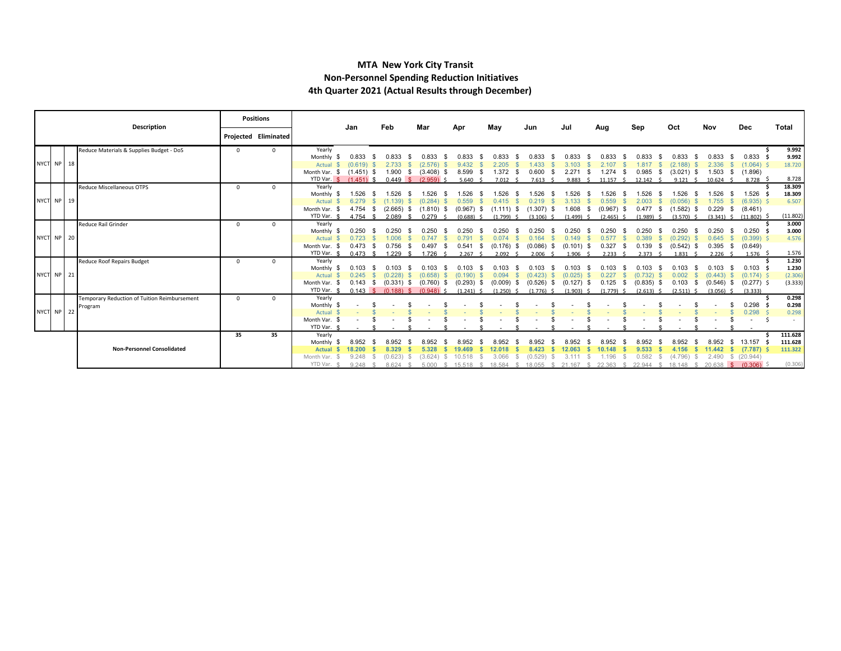#### **MTA New York City Transit Non-Personnel Spending Reduction Initiatives 4th Quarter 2021 (Actual Results through December)**

|            | <b>Description</b>                           |          | <b>Positions</b>     |                         | Jan                    | Feb                             | Mar                  | Apr                    | May                   | Jun                     | Jul                     | Aug                  | Sep                    | Oct                        | Nov                        | Dec                          | Total           |
|------------|----------------------------------------------|----------|----------------------|-------------------------|------------------------|---------------------------------|----------------------|------------------------|-----------------------|-------------------------|-------------------------|----------------------|------------------------|----------------------------|----------------------------|------------------------------|-----------------|
|            |                                              |          | Projected Eliminated |                         |                        |                                 |                      |                        |                       |                         |                         |                      |                        |                            |                            |                              |                 |
|            | Reduce Materials & Supplies Budget - DoS     | $\Omega$ | $\Omega$             | Yearly                  |                        |                                 |                      |                        |                       |                         |                         |                      |                        |                            |                            |                              | 9.992           |
|            |                                              |          |                      | Monthly                 | 0.833                  |                                 | 0.833                |                        | 0.833                 | 0.833                   | 0.833                   | 0.833                | 1.833                  |                            | 0.833                      | 0.833                        | 9.992           |
| NYCT NP 18 |                                              |          |                      | Actual                  | $(0.619)$ \$           | 2.733                           | $(2.576)$ \$         | 9.432                  | 2.205                 | 1.433                   | 3.103                   | 2.107                | 1.817<br>-SS           | (2.188)                    | 2.336                      | (1.064)                      | 18.720          |
|            |                                              |          |                      | Month Var. \$           | $(1.451)$ \$           | 1.900                           | (3.408)<br>- \$      | 8.599                  | 1.372                 | 0.600                   | 2.271<br>- S            | 1.274                | 0.985<br>-S            | (3.021)                    | 1.503<br>- \$              | (1.896)                      |                 |
|            |                                              |          |                      |                         | YTD Var. \$ (1.451) \$ | 0.449 S                         | $(2.959)$ \$         | 5.640                  | $7.012 \quad$ \$      | 7.613<br>- \$           | 9.883<br>- 4            | 11.157S              | 12.142<br>$\sim$       | 9.121                      | 10.624                     | 8.728 \$                     | 8.728<br>18.309 |
|            | <b>Reduce Miscellaneous OTPS</b>             | $\Omega$ | $\Omega$             | Yearly<br>Monthly       | 1.526                  | .526                            |                      |                        |                       |                         |                         | 526                  | 526                    |                            | 1.526                      | 1.526                        | 18.309          |
| NYCT NP 19 |                                              |          |                      | Actual                  |                        |                                 | (0.284)              | 0.559                  |                       |                         | 3.133                   | 0.559                |                        | (0.056)                    | .755                       | (6.935)                      | 6.507           |
|            |                                              |          |                      | Month Var.              | $4.754$ \$             | $(2.665)$ \$                    | $(1.810)$ \$         | $(0.967)$ \$           | $(1.111)$ \$          | $(1.307)$ \$            | 1.608<br>- \$           | $(0.967)$ \$         | 0.477S                 | (1.582)                    | 0.229<br>- \$              | (8.461)                      |                 |
|            |                                              |          |                      | YTD Var. \$             | 4.754 \$               | $2.089$ \$                      | 0.279                | $(0.688)$ \$           | $(1.799)$ \$          | $(3.106)$ \$            | $(1.499)$ \$            | $(2.465)$ \$         | $(1.989)$ \$           | (3.570)                    | $(3.341)$ \$               | $(11.802)$ \$                | (11.802)        |
|            | Reduce Rail Grinder                          | $\Omega$ | $\Omega$             | Yearly                  |                        |                                 |                      |                        |                       |                         |                         |                      |                        |                            |                            |                              | 3.000           |
|            |                                              |          |                      | Monthly                 | 0.250                  |                                 |                      |                        | .250                  | 0.250                   | 0.250                   | 0.250                | 0.250                  | 0.250                      | 0.250<br>- \$              | 0.250                        | 3.000           |
| NYCT NP 20 |                                              |          |                      | Actual                  | 0.723                  | .006                            | 0.747                | 0.791                  | 0.074                 | 0.164                   | 0.149                   | 0.577                | 0.389                  | (0.292)                    | 0.645<br>- \$              | $(0.399)$ \$                 | 4.576           |
|            |                                              |          |                      | Month Var.              | 0.473                  | 0.756<br>- \$                   | 0.497                | 0.541                  | $(0.176)$ \$          | $(0.086)$ \$            | $(0.101)$ \$            | 0.327                | 0.139<br>- \$<br>-SS   | (0.542)                    | 0.395<br>$\mathbb{S}$      | (0.649)                      |                 |
|            |                                              |          |                      | YTD Var.                | $0.473$ \$             | 229                             | 1726                 | 2.267S                 | $2.092$ \$            | $2.006$ \$              | $1.906$ \$              | 2.233                | $2.373$ \$             | 1.831                      | $2.226$ \$                 | $1.576$ \$                   | 1.576           |
|            | Reduce Roof Repairs Budget                   | $\Omega$ | $\Omega$             | Yearly                  |                        |                                 |                      |                        |                       |                         |                         |                      |                        |                            |                            |                              | 1.230           |
| NYCT NP 21 |                                              |          |                      | Monthly                 | 0.103                  | በ 103                           | 0.103                |                        |                       |                         | 0.103                   | 0.103                | 103.                   |                            | 0.103                      | 0.103                        | 1.230           |
|            |                                              |          |                      | Actual<br>Month Var. \$ | 0.245<br>0.143         | (0.228)<br>$(0.331)$ \$<br>- \$ | (0.658)<br>(0.760)   | (0.190)<br>(0.293)     | 0.094<br>$(0.009)$ \$ | (0.423)<br>$(0.526)$ \$ | (0.025)<br>$(0.127)$ \$ | 0.227<br>0.125       | 732)<br>$(0.835)$ \$   | 0.002<br>0.103<br><b>S</b> | (0.443)                    | $(0.174)$ \$<br>$(0.277)$ \$ | (2.306)         |
|            |                                              |          |                      | YTD Var. \$             | $0.143 \quad$ \$       | $(0.188)$ \$                    | - SS<br>$(0.948)$ \$ | (1.241)                | - 35<br>$(1.250)$ \$  | (1.776)                 | (1.903)                 | - \$<br>$(1.779)$ \$ | (2.613)                | (2.511)                    | (0.546)<br>- \$<br>(3.056) | (3.333)                      | (3.333)         |
|            | Temporary Reduction of Tuition Reimbursement | $\Omega$ | $\Omega$             | Yearly                  |                        |                                 |                      |                        |                       |                         |                         |                      |                        |                            |                            |                              | 0.298           |
|            | Program                                      |          |                      | Monthly                 |                        |                                 |                      |                        |                       |                         |                         |                      |                        |                            |                            | 0.298                        | 0.298           |
| NYCT NP 22 |                                              |          |                      | Actual                  |                        |                                 |                      |                        |                       |                         |                         |                      |                        |                            |                            | 0.298                        | 0.298           |
|            |                                              |          |                      | Month Var. \$           |                        |                                 |                      |                        |                       |                         |                         |                      |                        |                            |                            |                              |                 |
|            |                                              |          |                      | YTD Var.                |                        |                                 |                      |                        |                       |                         |                         |                      |                        |                            |                            |                              |                 |
|            |                                              | 35       | 35                   | Yearly                  |                        |                                 |                      |                        |                       |                         |                         |                      |                        |                            |                            |                              | 111.628         |
|            |                                              |          |                      | Monthly                 | 8.952                  |                                 | 8.952                | 8.952                  | 8.952                 | 8.952                   | 8.952                   | 8.952                | 8.952                  | 8.952                      | 8.952<br>S.                | 13.157                       | 111.628         |
|            | <b>Non-Personnel Consolidated</b>            |          |                      | <b>Actual</b>           | 18.200                 | 8.329                           | 5.328                | 19.469                 | 12.018                | 8.423                   | 12.063                  | 10.148               | 9.533                  | 4.156                      | 11.442                     | (7.787)                      | 111.322         |
|            |                                              |          |                      | Month Var.              | 9.248                  | (0.623)                         | (3.624)              | 10.518                 | 3.066                 | (0.529)                 |                         | 1.196                | 0.582                  | (4.796)                    | 2.490                      | \$ (20.944)                  |                 |
|            |                                              |          |                      | YTD Var. \$             | $9.248$ \$             | 8.624                           | 5000S                | 15.518<br>$\mathbb{R}$ | 18.584 \$             | 18.055 \$               | 21.167<br>$\mathbb{R}$  | 22.363 \$            | 22.944<br>$\mathbb{R}$ | 18 148<br>$\mathcal{R}$    | $20.638$ \$                | (0.306)                      | (0.306)         |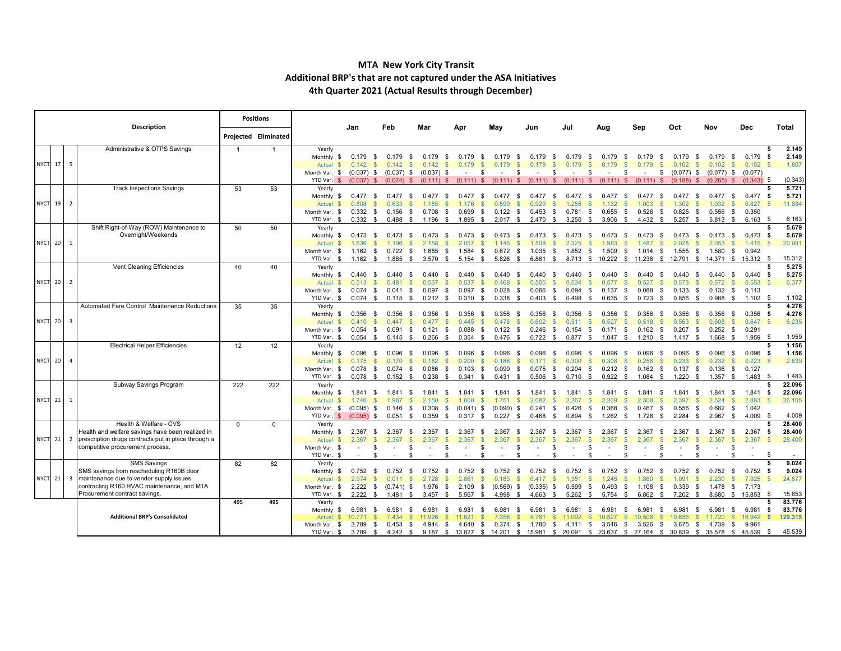#### **MTA New York City Transit Additional BRP's that are not captured under the ASA Initiatives 4th Quarter 2021 (Actual Results through December)**

|           |                | Description                                         |                | <b>Positions</b>     |                           | Jan                   | Feb                             | Mar                                                 | Apr                    | May                                   | Jun                                 | Jul                   | Aug                       | Sep                                                                                                               | Oct                     | Nov                 | Dec                         | Total                   |
|-----------|----------------|-----------------------------------------------------|----------------|----------------------|---------------------------|-----------------------|---------------------------------|-----------------------------------------------------|------------------------|---------------------------------------|-------------------------------------|-----------------------|---------------------------|-------------------------------------------------------------------------------------------------------------------|-------------------------|---------------------|-----------------------------|-------------------------|
|           |                |                                                     |                | Projected Eliminated |                           |                       |                                 |                                                     |                        |                                       |                                     |                       |                           |                                                                                                                   |                         |                     |                             |                         |
|           |                | Administrative & OTPS Savings                       | $\overline{1}$ | $\mathbf 1$          | Yearly                    |                       |                                 |                                                     |                        |                                       |                                     |                       |                           |                                                                                                                   |                         |                     |                             | 2.149                   |
|           |                |                                                     |                |                      | Monthly \$                | 0.179<br>- \$         | 0.179<br>- \$                   | 0.179<br>- \$                                       | 0.179                  | 0.179<br>- \$                         | 0.179<br>- \$<br>- \$               | 0.179<br>- \$         | 0.179<br>- \$             | 0.179                                                                                                             | 0.179<br>- 96           | 0.179               | 0.179<br>- \$               | 2.149<br>- \$           |
| NYCT 17   | - 5            |                                                     |                |                      | Actual                    | 0.142                 | 0.142                           | 0.142                                               | 0.179                  | 0.179                                 |                                     | 0.179                 | 0.179                     | 0.179                                                                                                             | 0.102                   | 0.102               | 0.102                       | 1.807<br>- \$           |
|           |                |                                                     |                |                      | Month Var. \$             |                       | $(0.037)$ \$ $(0.037)$ \$       | $(0.037)$ \$                                        | $\sim$                 | S.<br>$\sim$                          | S.<br>\$.<br>$\sim$                 | - \$                  | $\sim$                    | -S<br>\$<br>$\sim$                                                                                                | $(0.077)$ \$            | $(0.077)$ \$        | (0.077)                     |                         |
|           |                |                                                     |                |                      | YTD Var. \$               |                       |                                 | $(0.037)$ \$ $(0.074)$ \$ $(0.111)$ \$ $(0.111)$ \$ |                        | $(0.111)$ \$                          | $(0.111)$ \$                        | $(0.111)$ \$          | $(0.111)$ \$              | $(0.111)$ \$                                                                                                      | $(0.188)$ \$            | $(0.265)$ \$        | $(0.343)$ \$                | (0.343)                 |
|           |                | <b>Track Inspections Savings</b>                    | 53             | 53                   | Yearly                    |                       |                                 |                                                     |                        |                                       |                                     |                       |                           |                                                                                                                   |                         |                     |                             | 5.721                   |
|           |                |                                                     |                |                      | Monthly \$                | $0.477$ \$            | 0.477<br>- \$                   | 0.477<br>- S                                        | 0.477                  | 0.477<br>- S<br>- S                   | 0.477<br>- S                        | 0.477<br>- S          | 0.477<br>- S              | 0.477<br>- SS                                                                                                     | 0.477<br>- SS           | 0.477               | $0.477$ \$<br>- SS          | 5.721                   |
| NYCT 19 2 |                |                                                     |                |                      | $\mathbf{s}$<br>Actual    | 0.808<br>$\mathbb{S}$ | 0.633                           | $\mathbb{S}$<br>1.185                               | 1.176                  | 0.599<br>- \$                         | $\mathbb{S}$<br>0.929<br><b>S</b>   | 1.258                 | 1.132<br>-8               | 1.003<br>-S<br>-96                                                                                                | 1.302                   | 1.032               | 0.827                       | 11.884<br>$\mathbb{S}$  |
|           |                |                                                     |                |                      | Month Var. \$             | 0.332 S               | 0.156<br>- \$                   | 0.708<br>- \$                                       | 0.699                  | $0.122$ \$<br>- \$                    | 0.453<br>- \$                       | 0.781<br>- \$         | 0.655<br>- \$             | 0.526<br>- \$                                                                                                     | 0.825<br>- \$           | 0.556               | 0.350<br>- \$               |                         |
|           |                |                                                     |                |                      | YTD Var. \$               | 0.332 S               | $0.488$ \$                      | 1.196<br><b>S</b>                                   | 1.895 \$               | $2.017$ \$                            | $2.470$ \$                          | $3.250$ \$            | $3.906$ \$                | 4.432<br><b>\$</b>                                                                                                | $5.257$ \$              | $5.813$ \$          | 6.163                       | 6.163<br>- \$           |
|           |                | Shift Right-of-Way (ROW) Maintenance to             | 50             | 50                   | Yearly                    |                       |                                 |                                                     |                        |                                       |                                     |                       |                           |                                                                                                                   |                         |                     |                             | 5.679<br>£.             |
|           |                | Overnight/Weekends                                  |                |                      | Monthly \$                | $0.473$ \$            | 0.473<br>- \$                   | 0.473<br>- \$                                       | 0.473                  | - \$<br>0.473<br>- \$                 | 0.473<br>- \$                       | 0.473<br>-S           | 0.473<br>- \$             | 0.473                                                                                                             | 0.473                   | 0.473               | $0.473$ \$                  | 5.679                   |
| NYCT 20   | <sup>1</sup>   |                                                     |                |                      | Actual                    | 1.636                 | 1.196<br>$\mathcal{S}$          | 2.158<br>-96                                        | 2.057                  | 1.145<br>-S                           | $\mathcal{S}$<br>1.508<br>£.        | 2.325<br>-S           | 1.983                     | 1.487<br>-S<br>- \$                                                                                               | 2.028                   | 2.053               | $1.415$ \$<br>- \$          | 20.991                  |
|           |                |                                                     |                |                      | Month Var. \$             | $1.162$ \$            | $0.722$ \$                      | 1.685<br>- \$                                       | 1.584                  | - \$<br>$0.672$ \$                    | 1.035<br>- \$                       | $1.852$ \$            | 1.509                     | - \$<br>1.014<br>- \$                                                                                             | 1.555<br>- \$           | 1.580               | 0.942<br>- \$               |                         |
|           |                |                                                     |                |                      | YTD Var. \$               | $1.162$ \$            | $1.885$ \$                      | 3.570<br>\$                                         | $5.154$ \$             | $5.826$ \$                            | 6.861<br>$^{\circ}$                 |                       | 8.713 \$ 10.222 \$ 11.236 | \$                                                                                                                |                         | 12.791 \$ 14.371 \$ | 15.312 \$                   | 15.312                  |
|           |                | Vent Cleaning Efficiencies                          | 40             | 40                   | Yearly                    |                       |                                 |                                                     |                        |                                       |                                     |                       |                           |                                                                                                                   |                         |                     |                             | 5.275                   |
| NYCT 20 2 |                |                                                     |                |                      | Monthly \$                | $0.440$ \$            | 0.440<br>- \$                   | 0.440<br>-S<br>-96                                  | 0.440                  | 0.440<br>-9<br>- \$                   | 0.440<br>- \$<br>- 96               | 0.440<br>S<br>-8      | 0.440<br>- S              | 0.440                                                                                                             | 0.440                   | 0.440               | $0.440$ \$<br>- \$<br>0.553 | 5.275                   |
|           |                |                                                     |                |                      | Actual                    | 0.513<br>$0.074$ \$   | 0.481<br>$0.041$ \$             | 0.537<br>$0.097$ \$                                 | 0.537<br>$0.097$ \$    | 0.468<br>0.028                        | 0.505<br>S.<br>$0.066$ \$           | 0.534<br>$0.094$ \$   | 0.577<br>-S<br>$0.137$ \$ | 0.527<br>0.088                                                                                                    | 0.573<br>0.133          | 0.572<br>$0.132$ \$ | 0.113                       | 6.377                   |
|           |                |                                                     |                |                      | Month Var. \$<br>YTD Var. | $0.074$ \$            | $0.115$ \$                      | $0.212$ \$                                          | 0.310                  | - \$<br>$0.338$ \$                    | - \$<br>$0.403$ \$                  | 0.498<br>- \$         | $0.635$ \$                | - \$<br>0.723<br>- \$                                                                                             | - \$<br>0.856<br>- \$   | 0.988               | $1.102$ \$<br>- \$          | 1.102                   |
|           |                | Automated Fare Control Maintenance Reductions       | 35             | 35                   | Yearly                    |                       |                                 |                                                     |                        |                                       |                                     |                       |                           |                                                                                                                   |                         |                     |                             | 4.276                   |
|           |                |                                                     |                |                      | Monthly \$                | $0.356$ \$            | 0.356<br>- \$                   | 0.356<br>- SS                                       | 0.356                  | 0.356<br>- \$<br>- \$                 | 0.356<br>- SS                       | 0.356<br>- S          | 0.356<br>- S              | 0.356                                                                                                             | 0.356<br>- SS           | 0.356               | $0.356$ \$<br>- \$          | 4.276                   |
| NYCT 20 3 |                |                                                     |                |                      | Actual                    | 0.410                 | 0.447                           | 0.477                                               | 0.445                  | 0.478<br>-SS                          | 0.602<br>$\mathbb{S}$<br>-S         | 0.511<br>-S           | 0.527<br>-S               | 0.518                                                                                                             | 0.563                   | 0.608               | 0.647                       | 6.235<br>- \$           |
|           |                |                                                     |                |                      | Month Var. \$             | $0.054$ \$            | $0.091$ \$                      | 0.121<br>- \$                                       | 0.088                  | - \$<br>0.122                         | $0.246$ \$<br>- \$                  | $0.154$ \$            | $0.171$ \$                | $0.162$ \$                                                                                                        | $0.207$ \$              | 0.252               | 0.291<br>- \$               |                         |
|           |                |                                                     |                |                      | YTD Var. \$               | $0.054$ \$            | $0.145$ \$                      | $0.266$ \$                                          | $0.354$ \$             | $0.476$ \$                            | $0.722$ \$                          | $0.877$ \$            | $1.047$ \$                | 1.210<br><b>S</b>                                                                                                 | $1.417$ \$              | 1.668               | $1.959$ \$<br>\$            | 1.959                   |
|           |                | <b>Electrical Helper Efficiencies</b>               | 12             | 12                   | Yearly                    |                       |                                 |                                                     |                        |                                       |                                     |                       |                           |                                                                                                                   |                         |                     |                             | 1.156                   |
|           |                |                                                     |                |                      | Monthly \$                | 0.096<br>- \$         | 0.096<br>- \$                   | 0.096<br>- \$                                       | 0.096                  | 0.096<br>-9<br>- S                    | 0.096<br>- \$                       | 0.096<br>- 93         | 0.096                     | 0.096                                                                                                             | 0.096                   | 0.096               | $0.096$ \$<br>- \$          | 1.156                   |
| NYCT 20   | $\overline{4}$ |                                                     |                |                      | Actual                    | 0.175<br>-96          | 0.170                           | 0.182<br>S.                                         | 0.200<br>S.            | 0.186<br>-SS                          | $\mathbb{S}$<br>0.171<br>-S         | 0.300                 | 0.308<br>S.               | 0.258<br>- SS<br>- SS                                                                                             | 0.233                   | 0.232               | 0.223                       | 2.639<br>- \$           |
|           |                |                                                     |                |                      | Month Var. \$             | 0.078<br>- \$         | $0.074$ \$                      | 0.086<br>\$                                         | $0.103$ \$             | 0.090<br>- \$                         | $0.075$ \$                          | $0.204$ \$            | $0.212$ \$                | $0.162$ \$                                                                                                        | $0.137$ \$              | 0.136               | 0.127<br>- \$               |                         |
|           |                |                                                     |                |                      | YTD Var. \$               | $0.078$ \$            | $0.152$ \$                      | $0.238$ \$                                          | 0.341 S                | 0.431 S                               | $0.506$ \$                          | $0.710$ \$            | $0.922$ \$                | 1.084<br>\$                                                                                                       | $1.220$ \$              | 1.357               | \$<br>$1.483$ \$            | 1.483                   |
|           |                | Subway Savings Program                              | 222            | 222                  | Yearly                    |                       |                                 |                                                     |                        |                                       |                                     |                       |                           |                                                                                                                   |                         |                     |                             | 22.096                  |
|           |                |                                                     |                |                      | Monthly \$                | 1.841 \$              | 1.841 \$                        | 1.841<br>-S                                         | 1.841                  | 1.841<br>- \$<br>- \$                 | 1.841<br>- \$                       | 1.841<br>- S          | 1.841<br>- SS             | 1.841                                                                                                             | 1.841<br>- \$           | 1.841 \$            | $1.841$ \$                  | 22.096                  |
| NYCT 21 1 |                |                                                     |                |                      | Actual                    | 1.746                 | 1.987                           | 2.150                                               | 1.800                  | 1.751<br>$\mathcal{S}$                | 2.082<br>£.<br>£.                   | 2.267                 | 2.209<br><b>S</b>         | 2.308<br>£.                                                                                                       | 2.397                   | 2.524               | 2.883                       | 26.105                  |
|           |                |                                                     |                |                      | Month Var. \$             | $(0.095)$ \$          | 0.146<br>- \$                   | 0.308<br>\$                                         | $(0.041)$ \$           | $(0.090)$ \$                          | $0.241$ \$                          | 0.426                 | 0.368<br>\$               | \$<br>0.467<br>- \$                                                                                               | 0.556<br>- \$           | 0.682               | 1.042<br>- \$               |                         |
|           |                |                                                     |                |                      | YTD Var. \$               | $(0.095)$ \$          | $0.051$ \$                      | $0.359$ \$                                          | $0.317$ \$             | $0.227$ \$                            | $0.468$ \$                          | $0.894$ \$            | $1.262$ \$                | 1.728<br>$\mathcal{F}$                                                                                            | $2.284$ \$              | $2.967$ \$          | $4.009$ \$                  | 4.009                   |
|           |                | Health & Welfare - CVS                              | $\mathbf 0$    | $\Omega$             | Yearly                    |                       |                                 |                                                     |                        |                                       |                                     |                       |                           |                                                                                                                   |                         |                     |                             | 28.400                  |
|           |                | Health and welfare savings have been realized in    |                |                      | Monthly \$                | 2.367<br>- SS         | 2.367<br>- \$                   | 2.367                                               | 2.367                  | 2.367                                 | 2.367<br>- S                        | 2.367<br>- S          | 2.367<br>- S              | 2.367                                                                                                             | 2.367                   | 2.367               | $2.367$ \$                  | 28.400                  |
| NYCT 21 2 |                | prescription drugs contracts put in place through a |                |                      | Actual                    | 2.367                 | 2.367                           | 2.367                                               | 2.367                  | $\mathbf{\$}$<br>2.367                | 2.367<br>$\mathbf{s}$<br><b>S</b>   | 2.367<br>$\mathbb{S}$ | 2.367                     | 2.367<br>$\mathbb{S}$                                                                                             | 2.367                   | 2.367               | 2.367                       | $\mathbf{\$}$<br>28.400 |
|           |                | competitive procurement process.                    |                |                      | Month Var. \$             | -S                    | \$                              | -96                                                 |                        | £.                                    | -96<br>\$.                          | -S                    |                           | £.<br>£.                                                                                                          |                         |                     |                             |                         |
|           |                |                                                     |                |                      | YTD Var. \$               | \$                    |                                 | S.<br>\$                                            |                        | \$.                                   | - \$<br>\$.                         | - \$                  |                           | -96                                                                                                               |                         |                     | -S                          | -\$                     |
|           |                | <b>SMS Savings</b>                                  | 82             | 82                   | Yearly                    |                       |                                 |                                                     |                        |                                       |                                     |                       |                           |                                                                                                                   |                         |                     |                             | 9.024                   |
|           |                | SMS savings from rescheduling R160B door            |                |                      | Monthly \$                | $0.752$ \$            | 0.752<br>- \$                   | 0.752<br>- \$                                       | 0.752                  | - \$<br>0.752                         | 0.752<br>- \$<br>- \$               | 0.752<br>- \$         | 0.752<br>- \$             | 0.752<br>- SS                                                                                                     | 0.752                   | 0.752<br>- \$       | $0.752$ \$<br>- \$          | 9.024                   |
| NYCT 21 3 |                | maintenance due to vendor supply issues,            |                |                      | Actual                    | 2.974                 | 0.011                           | $\mathcal{S}$<br>2.728                              | 2.861<br>$\mathbb{S}$  | $\mathbb{S}$<br>0.183                 | $\mathbb{S}$<br>0.417<br><b>.S</b>  | 1.351                 | 1.245<br>$\mathbb{S}$     | $\mathbf{s}$<br>1.860<br>-SS                                                                                      | 1.091                   | 2.230               | 7.925                       | 24.877<br>- \$          |
|           |                | contracting R160 HVAC maintenance, and MTA          |                |                      | Month Var. \$             |                       | $2.222 \quad $ (0.741) \quad $$ | 1.976<br>- \$                                       | $2.109$ \$             | $(0.569)$ \$                          | $(0.335)$ \$                        | 0.599                 | 0.493<br>- \$             | 1.108<br>\$<br>- \$                                                                                               | 0.339<br>- \$           | 1.478               | 7.173<br>\$                 |                         |
|           |                | Procurement contract savings.                       |                |                      | YTD Var. \$               | $2.222$ \$            | $1.481$ \$                      | $3.457$ \$                                          | $5.567$ \$             | 4.998 \$                              | 4.663<br>- \$                       | 5.262<br>- \$         | 5.754<br>- \$             | 6.862<br>- \$                                                                                                     | 7.202<br>- \$           | 8.680               | 15.853 \$<br><b>S</b>       | 15.853                  |
|           |                |                                                     | 495            | 495                  | Yearly                    |                       | 6.981                           | 6.981                                               |                        |                                       |                                     | 6.981                 |                           | - 96                                                                                                              |                         | 6.981               | 6.981<br>- \$               | 83.776<br>83.776        |
|           |                | <b>Additional BRP's Consolidated</b>                |                |                      | Monthly<br>-S<br>Actual   | 6.981<br>S.<br>10.771 | - \$<br>7.434<br>$\mathcal{S}$  | S.<br>11.926                                        | 6.981<br>-SS<br>11.621 | 6.981<br>- \$<br>- \$<br>-96<br>7.356 | 6.981<br>- \$<br>S.<br>8.761<br>-SS | - 5<br>11.092         | 6.981<br>10.527<br>-S     | 6.981<br>-S<br>10.508<br>-S<br>$\mathcal{S}$                                                                      | 6.981<br>- SS<br>10.656 | 11.720              | 16.942                      | - \$<br>129.315<br>- S  |
|           |                |                                                     |                |                      | Month Var. \$             | 3.789<br>- \$         | 0.453<br>- \$                   |                                                     | 4.944 \$ 4.640         | \$<br>$0.374$ \$                      | 1.780<br>- \$                       | 4.111 \$              | $3.546$ \$                | 3.526<br>- \$                                                                                                     | 3.675<br>- \$           | 4.739               | 9.961<br>\$                 |                         |
|           |                |                                                     |                |                      | YTD Var. \$               |                       |                                 |                                                     |                        |                                       |                                     |                       |                           | 3.789 \$ 4.242 \$ 9.187 \$ 13.827 \$ 14.201 \$ 15.981 \$ 20.091 \$ 23.637 \$ 27.164 \$ 30.839 \$ 35.578 \$ 45.539 |                         |                     |                             | 45.539<br>- \$          |
|           |                |                                                     |                |                      |                           |                       |                                 |                                                     |                        |                                       |                                     |                       |                           |                                                                                                                   |                         |                     |                             |                         |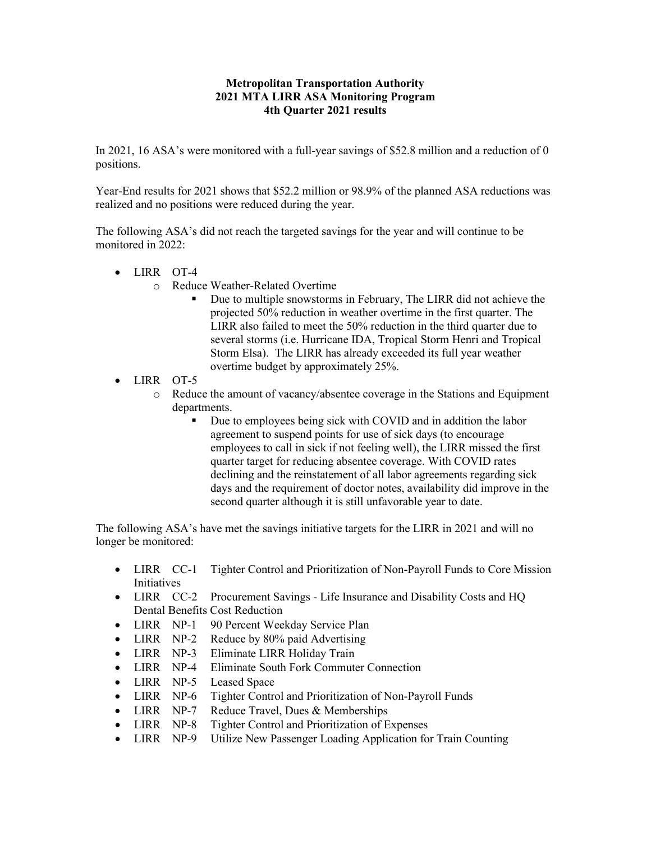#### **Metropolitan Transportation Authority 2021 MTA LIRR ASA Monitoring Program 4th Quarter 2021 results**

In 2021, 16 ASA's were monitored with a full-year savings of \$52.8 million and a reduction of 0 positions.

Year-End results for 2021 shows that \$52.2 million or 98.9% of the planned ASA reductions was realized and no positions were reduced during the year.

The following ASA's did not reach the targeted savings for the year and will continue to be monitored in 2022:

- LIRR OT-4
	- o Reduce Weather-Related Overtime
		- Due to multiple snowstorms in February, The LIRR did not achieve the projected 50% reduction in weather overtime in the first quarter. The LIRR also failed to meet the 50% reduction in the third quarter due to several storms (i.e. Hurricane IDA, Tropical Storm Henri and Tropical Storm Elsa). The LIRR has already exceeded its full year weather overtime budget by approximately 25%.
- LIRR OT-5
	- o Reduce the amount of vacancy/absentee coverage in the Stations and Equipment departments.
		- Due to employees being sick with COVID and in addition the labor agreement to suspend points for use of sick days (to encourage employees to call in sick if not feeling well), the LIRR missed the first quarter target for reducing absentee coverage. With COVID rates declining and the reinstatement of all labor agreements regarding sick days and the requirement of doctor notes, availability did improve in the second quarter although it is still unfavorable year to date.

The following ASA's have met the savings initiative targets for the LIRR in 2021 and will no longer be monitored:

- LIRR CC-1 Tighter Control and Prioritization of Non-Payroll Funds to Core Mission Initiatives
- LIRR CC-2 Procurement Savings Life Insurance and Disability Costs and HQ Dental Benefits Cost Reduction
- LIRR NP-1 90 Percent Weekday Service Plan
- LIRR NP-2 Reduce by 80% paid Advertising
- LIRR NP-3 Eliminate LIRR Holiday Train
- LIRR NP-4 Eliminate South Fork Commuter Connection
- LIRR NP-5 Leased Space
- LIRR NP-6 Tighter Control and Prioritization of Non-Payroll Funds
- LIRR NP-7 Reduce Travel, Dues & Memberships
- LIRR NP-8 Tighter Control and Prioritization of Expenses
- LIRR NP-9 Utilize New Passenger Loading Application for Train Counting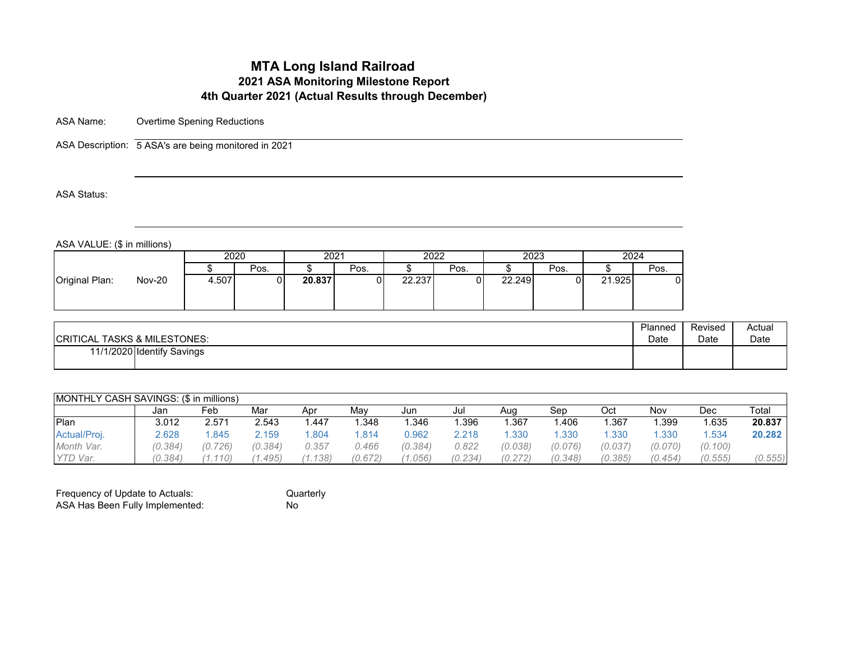# **MTA Long Island Railroad 2021 ASA Monitoring Milestone Report 4th Quarter 2021 (Actual Results through December)**

ASA Name: Overtime Spening Reductions

ASA Description: 5 ASA's are being monitored in 2021

ASA Status:

ASA VALUE: (\$ in millions)

|                                 | 2020  |      |        | 2021 |        | 2022 | 2023   |      | 2024   |      |
|---------------------------------|-------|------|--------|------|--------|------|--------|------|--------|------|
|                                 |       | Pos. |        | Pos. |        | Pos. |        | Pos. |        | Pos. |
| <b>Nov-20</b><br>Original Plan: | 4.507 |      | 20.837 |      | 22.237 |      | 22.249 | υ    | 21.925 |      |

| <b>CRITICAL TASKS &amp; MILESTONES:</b> | Planned | Revised | Actual |
|-----------------------------------------|---------|---------|--------|
|                                         | Date    | Date    | Date   |
| 11/1/2020 Identify Savings              |         |         |        |

| <b>IMONTHLY CASH SAVINGS: (\$ in millions)</b> |         |         |         |         |         |         |         |         |         |         |         |         |         |
|------------------------------------------------|---------|---------|---------|---------|---------|---------|---------|---------|---------|---------|---------|---------|---------|
|                                                | Jan     | Feb     | Mar     | Apr     | Mav     | Jun     | Jul     | Aug     | Sep     | Oct     | Nov     | Dec     | Total   |
| Plan                                           | 3.012   | 2.571   | 2.543   | .447    | .348    | .346    | .396    | .367    | .406    | .367    | .399    | .635    | 20.837  |
| Actual/Proj.                                   | 2.628   | .845    | 2.159   | .804    | .814    | ე.962   | 2.218   | .330    | .330    | .330    | .330    | .534    | 20.282  |
| Month Var.                                     | (0.384) | (0.726) | (0.384) | 0.357   | 0.466   | (0.384) | 0.822   | (0.038) | (0.076) | (0.037) | (0.070) | (0.100) |         |
| YTD Var.                                       | (0.384) | (0.110) | .495)   | (1.138) | (0.672) | (0.056) | (0.234) | (0.272) | (0.348) | (0.385) | (0.454) | (0.555) | (0.555) |

| Frequency of Update to Actuals: | Quarterly |
|---------------------------------|-----------|
| ASA Has Been Fully Implemented: | Nο        |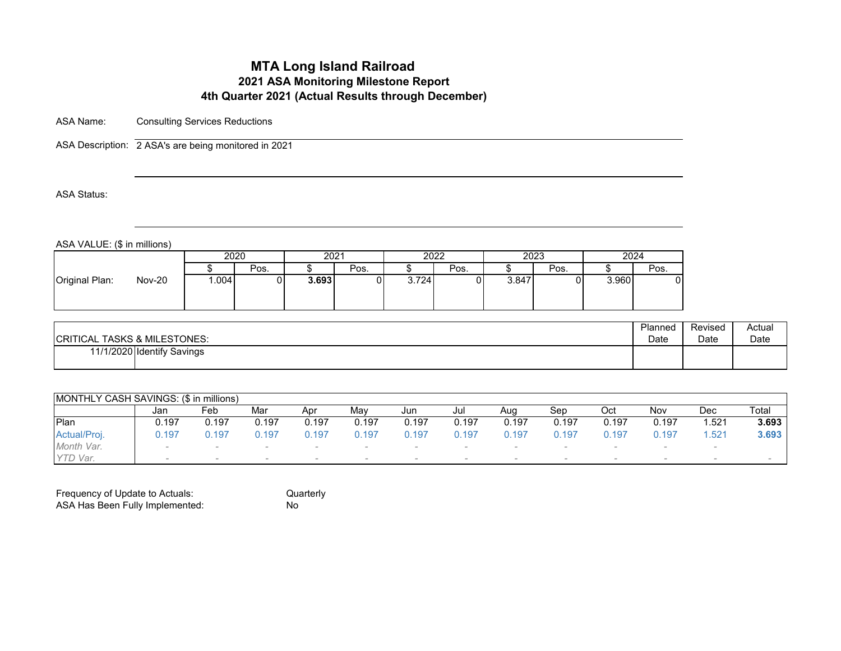# **MTA Long Island Railroad 2021 ASA Monitoring Milestone Report 4th Quarter 2021 (Actual Results through December)**

ASA Name: Consulting Services Reductions

ASA Description: 2 ASA's are being monitored in 2021

ASA Status:

ASA VALUE: (\$ in millions)

|                                 |      | 2020 |       | 2021 |       | 2022 | 2023  |      |       | 2024 |
|---------------------------------|------|------|-------|------|-------|------|-------|------|-------|------|
|                                 |      | Pos. |       | Pos. |       | Pos. |       | Pos. |       | Pos. |
| <b>Nov-20</b><br>Original Plan: | .004 |      | 3.693 |      | 3.724 |      | 3.847 |      | 3.960 |      |

| <b>CRITICAL TASKS &amp; MILESTONES:</b> | Planned | Revised | Actual |
|-----------------------------------------|---------|---------|--------|
|                                         | Date    | Date    | Date   |
| 11/1/2020 Identify Savings              |         |         |        |

| MONTHLY CASH SAVINGS: (\$ in millions) |        |       |                          |       |       |       |       |        |                          |        |       |        |       |
|----------------------------------------|--------|-------|--------------------------|-------|-------|-------|-------|--------|--------------------------|--------|-------|--------|-------|
|                                        | Jan    | Feb   | Mar                      | Apr   | Mav   | Jun   | Jul   | Aug    | Sep                      | Oct    | Nov   | Dec    | Total |
| Plan                                   | 0.197  | 0.197 | 0.197                    | 0.197 | 0.197 | 0.197 | 0.197 | 0.197  | 0.197                    | 0.197  | 0.197 | .521   | 3.693 |
| Actual/Proj.                           | 197.ر  | J.197 | 0.197                    | 197.ر | Ა.197 | .197  | 0.197 | J.197  | $0.19^{-}$               | 0.197  | 0.197 | .521   | 3.693 |
| Month Var.                             | $\sim$ |       | $\sim$                   |       |       |       |       |        |                          |        |       | $\sim$ |       |
| YTD Var.                               | $\sim$ |       | $\overline{\phantom{a}}$ |       |       |       |       | $\sim$ | $\overline{\phantom{a}}$ | $\sim$ |       | $\sim$ |       |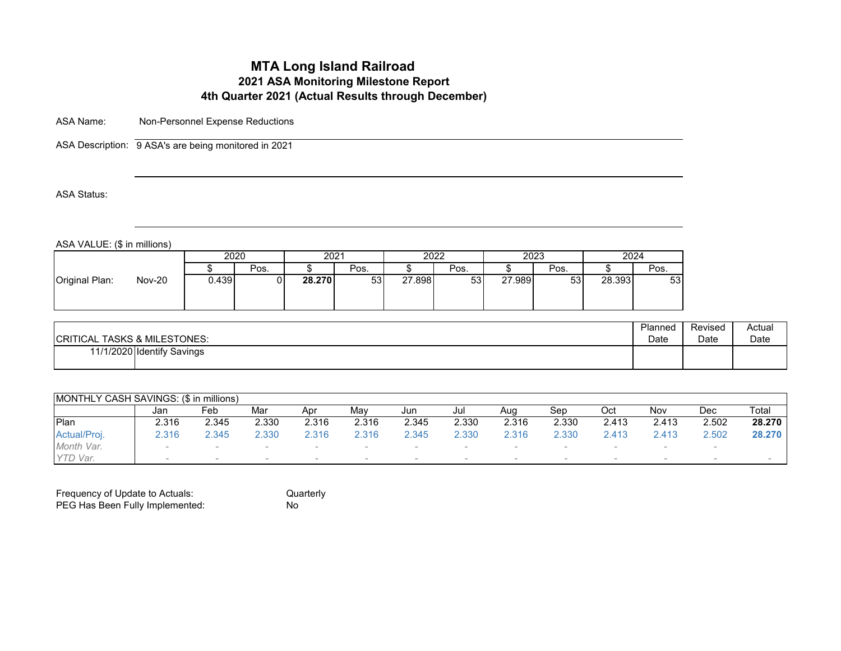# **MTA Long Island Railroad 2021 ASA Monitoring Milestone Report 4th Quarter 2021 (Actual Results through December)**

ASA Name: Non-Personnel Expense Reductions

ASA Description: 9 ASA's are being monitored in 2021

ASA Status:

ASA VALUE: (\$ in millions)

| 2023<br>2020<br>2024<br>2022<br>2021<br>Pos.<br>Pos.<br>Pos.<br>Pos. |                                 |       |    |        |    |        |    |        |    |        |      |
|----------------------------------------------------------------------|---------------------------------|-------|----|--------|----|--------|----|--------|----|--------|------|
|                                                                      |                                 |       |    |        |    |        |    |        |    |        |      |
|                                                                      |                                 |       |    |        |    |        |    |        |    |        | Pos. |
|                                                                      | <b>Nov-20</b><br>Original Plan: | 0.439 | ΩI | 28.270 | 53 | 27.898 | 53 | 27.989 | 53 | 28.393 | 53   |

Quarterly<br>No

| <b>CRITICAL TASKS &amp; MILESTONES:</b> | Planned | Revised | Actual |
|-----------------------------------------|---------|---------|--------|
|                                         | Date    | Date    | Date   |
| 11/1/2020 Identify Savings              |         |         |        |

| MONTHLY CASH SAVINGS: (\$ in millions) |        |                          |       |        |       |                          |       |        |       |        |       |        |        |
|----------------------------------------|--------|--------------------------|-------|--------|-------|--------------------------|-------|--------|-------|--------|-------|--------|--------|
|                                        | Jan    | Feb                      | Mar   | Apr    | Mav   | Jun                      | Jul   | Aug    | Sep   | Oct    | Nov   | Dec    | Total  |
| Plan                                   | 2.316  | 2.345                    | 2.330 | 2.316  | 2.316 | 2.345                    | 2.330 | 2.316  | 2.330 | 2.413  | 2.413 | 2.502  | 28.270 |
| Actual/Proj.                           | 2.316  | 2.345                    | 2.330 | 2.316  | 2.316 | 2.345                    | 2.330 | 2.316  | 2.330 | 2.413  | 2.413 | 2.502  | 28.270 |
| Month Var.                             | $\sim$ |                          |       |        |       |                          |       |        |       |        |       |        |        |
| YTD Var.                               |        | $\overline{\phantom{a}}$ |       | $\sim$ |       | $\overline{\phantom{a}}$ |       | $\sim$ |       | $\sim$ |       | $\sim$ |        |

| Frequency of Update to Actuals: | Ωu |
|---------------------------------|----|
| PEG Has Been Fully Implemented: | No |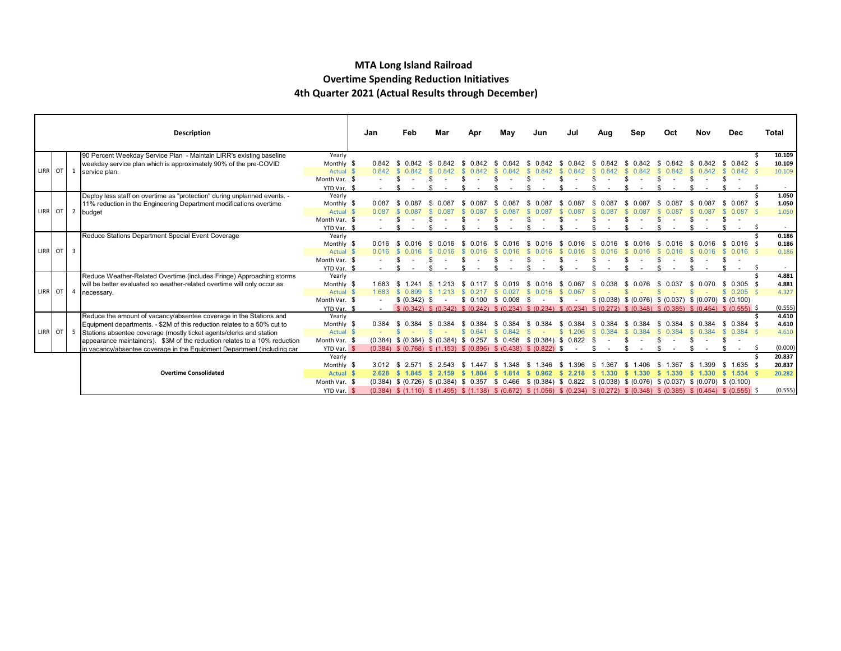#### **MTA Long Island Railroad Overtime Spending Reduction Initiatives 4th Quarter 2021 (Actual Results through December)**

|           |  | <b>Description</b>                                                        |                              | Jan              | Feb                                                                                                                                                         | Mar   | Apr      | May          | Jun                           | Jul          | Aug   | Sep                                                                                                                         | Oct   | Nov          | <b>Dec</b>         | Total          |
|-----------|--|---------------------------------------------------------------------------|------------------------------|------------------|-------------------------------------------------------------------------------------------------------------------------------------------------------------|-------|----------|--------------|-------------------------------|--------------|-------|-----------------------------------------------------------------------------------------------------------------------------|-------|--------------|--------------------|----------------|
|           |  | 90 Percent Weekday Service Plan - Maintain LIRR's existing baseline       | Yearly                       |                  |                                                                                                                                                             |       |          |              |                               |              |       |                                                                                                                             |       |              |                    | 10.109         |
|           |  | weekday service plan which is approximately 90% of the pre-COVID          | Monthly \$                   | 0.842            |                                                                                                                                                             |       |          |              |                               |              |       |                                                                                                                             |       |              | 0.842              | 10.109         |
| LIRR OT 1 |  | service plan.                                                             | Actual \$                    | 0.842            | -SS                                                                                                                                                         |       |          |              |                               |              |       |                                                                                                                             |       |              | $0.842 \quad$      | 10.109         |
|           |  |                                                                           | Month Var. \$                |                  |                                                                                                                                                             |       |          |              |                               |              |       |                                                                                                                             |       |              |                    |                |
|           |  |                                                                           | YTD Var. \$                  |                  |                                                                                                                                                             |       |          |              |                               |              |       |                                                                                                                             |       |              |                    |                |
|           |  | Deploy less staff on overtime as "protection" during unplanned events. -  | Yearly                       |                  |                                                                                                                                                             |       |          |              |                               |              |       |                                                                                                                             |       |              |                    | 1.050          |
|           |  | 11% reduction in the Engineering Department modifications overtime        | Monthly \$                   | 0.087            |                                                                                                                                                             |       |          |              |                               | -93<br>0 087 |       |                                                                                                                             | 0 087 | 0 087<br>-SG | \$ 0.087           | 1.050          |
| LIRR OT 2 |  | budget                                                                    | Actual \$                    |                  |                                                                                                                                                             |       |          |              |                               |              |       |                                                                                                                             |       |              | $0.087 \leq$       | 1.050          |
|           |  |                                                                           | Month Var. \$                |                  |                                                                                                                                                             |       |          |              |                               |              |       |                                                                                                                             |       |              |                    |                |
|           |  |                                                                           | YTD Var. \$                  |                  |                                                                                                                                                             |       |          |              |                               |              |       |                                                                                                                             |       |              |                    |                |
|           |  | Reduce Stations Department Special Event Coverage                         | Yearly                       | 0.016            |                                                                                                                                                             |       |          |              |                               |              |       |                                                                                                                             |       |              |                    | 0.186<br>0.186 |
| LIRR OT 3 |  |                                                                           | Monthly \$<br>Actual \$      |                  |                                                                                                                                                             |       |          |              |                               |              |       |                                                                                                                             |       |              | 0.016              | 0.186          |
|           |  |                                                                           |                              |                  |                                                                                                                                                             |       |          |              |                               |              |       |                                                                                                                             |       |              |                    |                |
|           |  |                                                                           | Month Var. \$<br>YTD Var. \$ | $\sim$ 100 $\mu$ |                                                                                                                                                             |       |          |              |                               |              |       |                                                                                                                             |       |              |                    |                |
|           |  | Reduce Weather-Related Overtime (includes Fringe) Approaching storms      | Yearly                       |                  |                                                                                                                                                             |       |          |              |                               |              |       |                                                                                                                             |       |              |                    | 4.881          |
|           |  | will be better evaluated so weather-related overtime will only occur as   | Monthly \$                   |                  |                                                                                                                                                             |       |          |              |                               |              |       |                                                                                                                             |       |              | 0.305              | 4.881          |
|           |  | LIRR OT 4 necessary.                                                      | Actual \$                    | 1.683            | \$ 0.899                                                                                                                                                    |       |          |              |                               |              |       |                                                                                                                             |       |              | $0.205$ \$         | 4.327          |
|           |  |                                                                           | Month Var. \$                |                  | \$ (0.342) \$                                                                                                                                               |       | \$ 0.100 | \$ 0.008     |                               |              |       | $$$ (0.038) $$$ (0.076) $$$ (0.037) $$$ (0.070) $$$ (0.100)                                                                 |       |              |                    |                |
|           |  |                                                                           | YTD Var. \$                  |                  |                                                                                                                                                             |       |          |              |                               |              |       | \$ (0.342) \$ (0.342) \$ (0.242) \$ (0.234) \$ (0.234) \$ (0.234) \$ (0.272) \$ (0.348) \$ (0.385) \$ (0.454) \$ (0.555) \$ |       |              |                    | (0.555)        |
|           |  | Reduce the amount of vacancy/absentee coverage in the Stations and        | Yearly                       |                  |                                                                                                                                                             |       |          |              |                               |              |       |                                                                                                                             |       |              |                    | 4.610          |
|           |  | Equipment departments. - \$2M of this reduction relates to a 50% cut to   | Monthly \$                   | 0.384            |                                                                                                                                                             |       |          |              |                               |              |       |                                                                                                                             |       |              | 0.384              | 4.610          |
| LIRR OT 5 |  | Stations absentee coverage (mostly ticket agents/clerks and station       | Actual \$                    |                  |                                                                                                                                                             |       | 0.641    | 0.842        |                               | \$1.206      | 0.384 |                                                                                                                             |       |              | $0.384$ \$<br>-SS  | 4.610          |
|           |  | appearance maintainers). \$3M of the reduction relates to a 10% reduction | Month Var. \$                |                  | $(0.384)$ \$ $(0.384)$ \$ $(0.384)$ \$ 0.257                                                                                                                |       |          |              | $$0.458$ $$ (0.384)$ $$0.822$ |              |       |                                                                                                                             |       |              |                    |                |
|           |  | in vacancy/absentee coverage in the Equipment Department (including car   | YTD Var. \$                  |                  | $(0.384)$ \$ $(0.768)$ \$ $(1.153)$ \$ $(0.896)$ \$ $(0.438)$ \$ $(0.822)$ \$                                                                               |       |          |              |                               |              |       |                                                                                                                             |       |              |                    | (0.000)        |
|           |  |                                                                           | Yearly                       |                  |                                                                                                                                                             |       |          |              |                               |              |       |                                                                                                                             |       |              |                    | 20.837         |
|           |  |                                                                           | Monthly \$                   | 3.012            | -8                                                                                                                                                          |       |          |              | .346                          | - 35         |       |                                                                                                                             |       |              | $1.635$ \$<br>- 96 | 20.837         |
|           |  | <b>Overtime Consolidated</b>                                              | Actual \$                    | 2.628            | \$ 1.845                                                                                                                                                    | 2.159 |          |              |                               |              | .330  |                                                                                                                             | 1.330 | 1.330        | $$1.534$ \$        | 20.282         |
|           |  |                                                                           | Month Var. \$                |                  | $(0.384)$ \$ $(0.726)$ \$ $(0.384)$ \$ 0.357                                                                                                                |       |          | 0.466<br>-SS | \$ (0.384) \$ 0.822           |              |       | $$$ (0.038) $$$ (0.076) $$$ (0.037) $$$ (0.070) $$$ (0.100)                                                                 |       |              |                    |                |
|           |  |                                                                           | YTD Var. \$                  |                  | $(0.384)$ \$ $(1.110)$ \$ $(1.495)$ \$ $(1.138)$ \$ $(0.672)$ \$ $(1.056)$ \$ $(0.234)$ \$ $(0.272)$ \$ $(0.348)$ \$ $(0.385)$ \$ $(0.454)$ \$ $(0.555)$ \$ |       |          |              |                               |              |       |                                                                                                                             |       |              |                    | (0.555)        |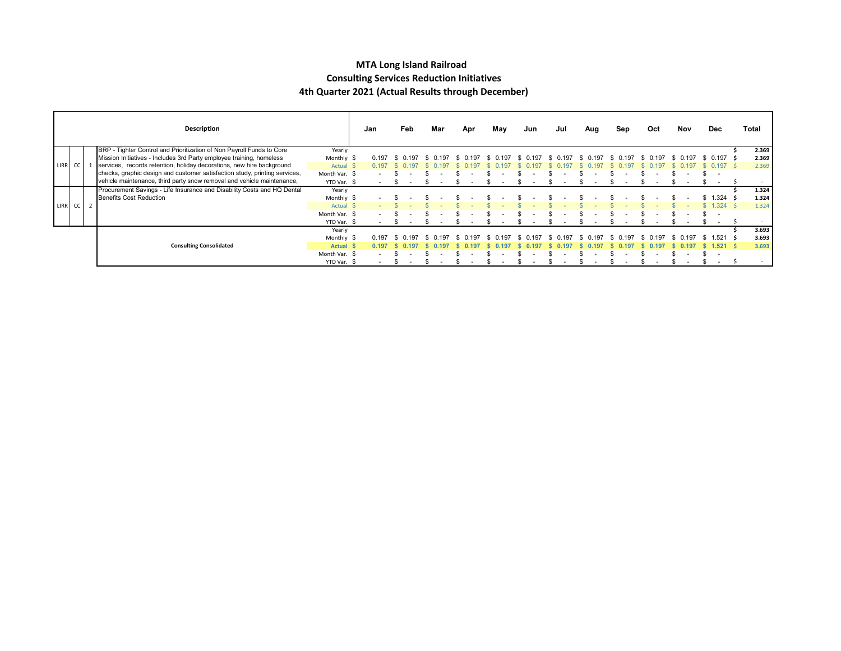#### **MTA Long Island Railroad Consulting Services Reduction Initiatives 4th Quarter 2021 (Actual Results through December)**

|         |  | Description                                                                |               | Jan   | Feb | Mar  | Apr         | May      | Jun                     | Jul |       | Aug           | Sep      |    | Oct   | Nov      | Dec               |           | Total |
|---------|--|----------------------------------------------------------------------------|---------------|-------|-----|------|-------------|----------|-------------------------|-----|-------|---------------|----------|----|-------|----------|-------------------|-----------|-------|
|         |  | BRP - Tighter Control and Prioritization of Non Payroll Funds to Core      | Yearly        |       |     |      |             |          |                         |     |       |               |          |    |       |          |                   |           | 2.369 |
|         |  | Mission Initiatives - Includes 3rd Party employee training, homeless       | Monthly \$    | 0.197 |     | .197 | 0.197<br>S. | \$ 0.197 | $^{\circ}$ 0.197<br>-SS | -SG | 0.197 | 0.197<br>- 56 | \$ 0.197 | S. | 0.197 | \$ 0.197 | $0.197$ \$<br>-SS |           | 2.369 |
| LIRR CC |  | services, records retention, holiday decorations, new hire background      | Actual \$     | 0.197 |     |      |             |          |                         |     |       |               |          |    |       |          |                   |           | 2.369 |
|         |  | checks, graphic design and customer satisfaction study, printing services, | Month Var. \$ |       |     |      |             |          |                         |     |       |               |          |    |       |          |                   |           |       |
|         |  | vehicle maintenance, third party snow removal and vehicle maintenance,     | YTD Var. \$   |       |     |      |             |          |                         |     |       |               |          |    |       |          |                   |           |       |
|         |  | Procurement Savings - Life Insurance and Disability Costs and HQ Dental    | Yearly        |       |     |      |             |          |                         |     |       |               |          |    |       |          |                   |           | 1.324 |
|         |  | Benefits Cost Reduction                                                    | Monthly \$    |       |     |      |             |          |                         |     |       |               |          |    |       |          | $1.324$ \$        |           | 1.324 |
| LIRR CC |  |                                                                            | Actual \$     |       |     |      |             |          |                         |     |       |               |          |    |       |          | .324 9            |           | 1.324 |
|         |  |                                                                            | Month Var. \$ |       |     |      |             |          |                         |     |       |               |          |    |       |          |                   |           |       |
|         |  |                                                                            | YTD Var. \$   |       |     |      |             |          |                         |     |       |               |          |    |       |          |                   |           |       |
|         |  |                                                                            | Yearly        |       |     |      |             |          |                         |     |       |               |          |    |       |          |                   |           | 3.693 |
|         |  |                                                                            | Monthly \$    | 0.197 |     |      |             |          |                         |     |       |               | 197      |    | 197   |          |                   | $.521$ \$ | 3.693 |
|         |  | <b>Consulting Consolidated</b>                                             | <b>Actual</b> |       |     |      |             |          |                         |     |       |               |          |    |       |          | .521 \$           |           | 3.693 |
|         |  |                                                                            | Month Var. \$ |       |     |      |             |          |                         |     |       |               |          |    |       |          |                   |           |       |
|         |  |                                                                            | YTD Var. \$   |       |     |      |             |          |                         |     |       |               |          |    |       |          |                   |           |       |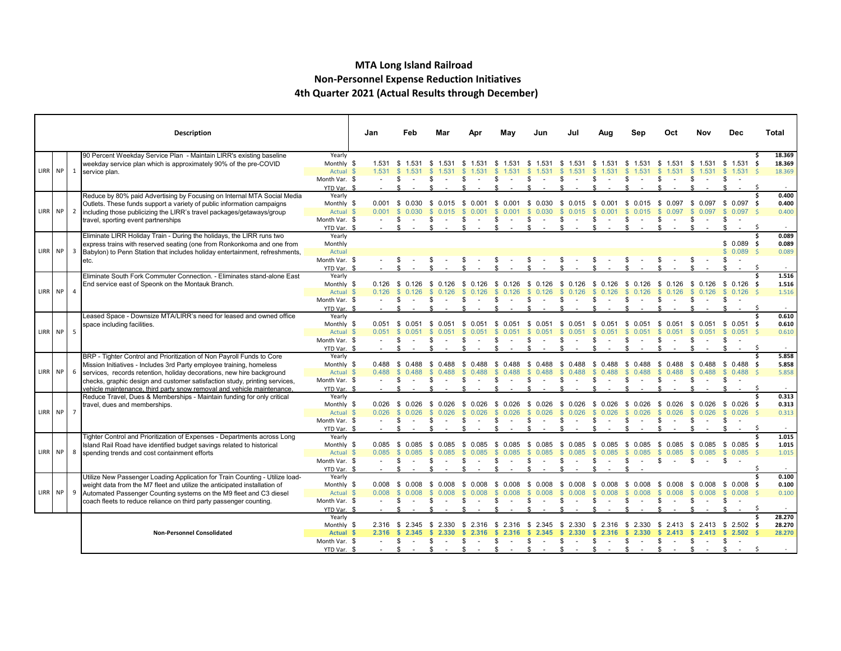#### **MTA Long Island Railroad Non-Personnel Expense Reduction Initiatives 4th Quarter 2021 (Actual Results through December)**

|         |                | <b>Description</b>                                                                                                                                                                                                                                                                                                                                                            |                                                                                  | Jan            | Feb                                              | Mar                                 | Apr                         | Mav                                   | Jun                                                     | Jul                                                     | Aug                                            | Sen                                                      | Oct                                        | Nov                                                 | Dec                                  | Total                                |
|---------|----------------|-------------------------------------------------------------------------------------------------------------------------------------------------------------------------------------------------------------------------------------------------------------------------------------------------------------------------------------------------------------------------------|----------------------------------------------------------------------------------|----------------|--------------------------------------------------|-------------------------------------|-----------------------------|---------------------------------------|---------------------------------------------------------|---------------------------------------------------------|------------------------------------------------|----------------------------------------------------------|--------------------------------------------|-----------------------------------------------------|--------------------------------------|--------------------------------------|
| LIRR NP | 1              | 90 Percent Weekday Service Plan - Maintain LIRR's existing baseline<br>weekday service plan which is approximately 90% of the pre-COVID<br>service plan.                                                                                                                                                                                                                      | Yearly<br>Monthly \$<br>Actual \$<br>Month Var. \$                               | 1.531<br>1.531 | \$1.531                                          | 1.531                               | 1.531<br>S                  | s.<br>1.531                           | -S<br>1.531<br>S                                        | \$1.531<br>S                                            | 1.531<br>-S                                    | - \$<br>\$                                               | \$.                                        | - 35<br>S                                           | $1.531$ \$<br>$$1.531$ \$<br>\$      | 18.369<br>18.369<br>18.369           |
| LIRR NP | $\overline{2}$ | Reduce by 80% paid Advertising by Focusing on Internal MTA Social Media<br>Outlets. These funds support a variety of public information campaigns<br>including those publicizing the LIRR's travel packages/getaways/group<br>travel, sporting event partnerships                                                                                                             | YTD Var. \$<br>Yearly<br>Monthly \$<br>Actual \$<br>Month Var. \$<br>YTD Var. \$ | 0.001          | $0.001 \quad $0.030$<br><b>S</b><br>0.030        | -S<br>0.015                         | - \$                        | 0.001                                 | \$<br>0.030                                             | \$ 0.015<br>S                                           | 0.001<br>- \$<br>- 35                          | 0.015<br>- \$<br>-S                                      | \$ 0.097                                   | \$ 0.097                                            | $0.097$ \$<br>$0.097$ \$             | - S<br>0.400<br>0.400<br>0.400<br>-S |
| LIRR NP | $\overline{3}$ | Eliminate LIRR Holiday Train - During the holidays, the LIRR runs two<br>express trains with reserved seating (one from Ronkonkoma and one from<br>Babylon) to Penn Station that includes holiday entertainment, refreshments,<br>etc.                                                                                                                                        | Yearly<br>Monthly<br>Actual<br>Month Var. \$<br>YTD Var. \$                      |                |                                                  |                                     |                             |                                       |                                                         |                                                         |                                                |                                                          |                                            |                                                     | $$0.089$ \$<br>$$0.089$ \$<br>-S     | 0.089<br>0.089<br>0.089<br>-S        |
| LIRR NP | $\overline{4}$ | Eliminate South Fork Commuter Connection. - Eliminates stand-alone East<br>End service east of Speonk on the Montauk Branch.                                                                                                                                                                                                                                                  | Yearly<br>Monthly \$<br>Actual \$<br>Month Var. \$<br>YTD Var. \$                | 0.126<br>0.126 | - \$<br>0.126<br>$\mathbf{\$}$<br>0.126<br>\$    | 0.126                               | - \$<br>£.                  |                                       | - \$<br>0.126                                           | 0.126                                                   | 0.126<br>- 56<br>126                           | - \$<br>0.126<br>£.                                      | 0.126<br>126                               | - \$<br>0.126                                       | \$ 0.126 \$<br>0.126                 | 1.516<br>1.516<br>1.516<br>-S        |
| LIRR NP | 5              | Leased Space - Downsize MTA/LIRR's need for leased and owned office<br>space including facilities.                                                                                                                                                                                                                                                                            | Yearly<br>Monthly \$<br>Actual \$<br>Month Var. \$<br>YTD Var. \$                | 0.051          | $0.051$ \$ 0.051 \$ 0.051                        |                                     | - SS<br>0.051               | - \$<br>0.051                         | - \$<br>0.051<br>£.                                     | \$ 0.051 \$<br>£.                                       | $0.051$ \$                                     | 0.051<br>\$                                              | - \$<br>0.051                              | - \$                                                | $0.051$ \$ 0.051 \$<br>\$0.051<br>\$ | 0.610<br>0.610<br>0.610<br>-S        |
| LIRR NP | 6              | BRP - Tighter Control and Prioritization of Non Payroll Funds to Core<br>Mission Initiatives - Includes 3rd Party employee training, homeless<br>services, records retention, holiday decorations, new hire background<br>checks, graphic design and customer satisfaction study, printing services,<br>vehicle maintenance, third party snow removal and vehicle maintenance | Yearly<br>Monthly \$<br>Actual \$<br>Month Var. \$<br>YTD Var. \$                | 0.488<br>0.488 | \$ 0.488<br>\$<br>-\$                            |                                     | \$                          | S<br>0.488                            | - \$<br>0.488<br>$\mathfrak{L}$<br>0.488<br>S           | -S<br>0.488<br>$\mathbf{s}$<br>0.488<br>\$.             | - \$<br>0.488<br>0.488<br>-96                  | \$<br>$\mathbf{s}$<br>0.488<br>\$                        | S.<br>0.488<br>$\mathbf{s}$<br>0.488<br>\$ | \$<br>0.488<br>$\mathbb{S}$<br>0.488<br>\$          | $$0.488$ \$<br>\$0.488<br>\$         | 5.858<br>5.858<br>5.858              |
| LIRR NP | $\overline{7}$ | Reduce Travel, Dues & Memberships - Maintain funding for only critical<br>travel, dues and memberships.                                                                                                                                                                                                                                                                       | Yearly<br>Monthly \$<br>Actual \$<br>Month Var. \$<br>YTD Var. \$                | 0.026          | $0.026$ \$ 0.026<br>$\mathbf{\$}$<br>0.026<br>\$ | 0.026<br>- \$<br>0.026              | - \$<br>0.026<br>0.026<br>S | -S<br>0.026<br>$\mathbf{\$}$<br>0.026 | - \$<br>0.026<br>$\mathbb{S}$<br>0.026<br>S             | \$ 0.026<br>$\mathbb{S}$<br>0.026<br>S                  | \$ 0.026 \$<br>0.026<br>-S                     | 0.026<br>$\mathbf{s}$<br>0.026<br>S.                     | \$ 0.026<br>0.026<br>$\mathbb{S}$          | $$0.026$$ \$ 0.026 \$<br>$\mathbb{S}$<br>0.026<br>S | \$0.026\$<br>\$                      | 0.313<br>0.313<br>0.313              |
| LIRR NP | 8              | Tighter Control and Prioritization of Expenses - Departments across Long<br>Island Rail Road have identified budget savings related to historical<br>spending trends and cost containment efforts                                                                                                                                                                             | Yearly<br>Monthly \$<br>Actual \$<br>Month Var. \$<br>YTD Var. \$                | 0.085<br>0.085 | -\$<br>0.085<br><b>S</b><br>0.085<br>\$<br>\$    | 0.085<br>-S<br>0.085                | 0.085<br>-S<br>0.085<br>-S  | \$<br>0.085<br>0.085                  | \$<br>0.085<br><b>S</b><br>0.085<br>S                   | - \$<br>0.085<br>-S<br>0.085<br>\$.                     | 0.085<br>- \$<br>0.085<br>- \$<br>S            | - \$<br>0.085<br><b>S</b><br>0.085<br>\$                 | \$ 0.085<br>s.<br>0.085                    | \$ 0.085 \$ 0.085 \$<br>-S<br>0.085<br>\$           | \$0.085\$<br>\$                      | 1.015<br>1.015<br>1.015<br>S         |
| LIRR NP | 9              | Utilize New Passenger Loading Application for Train Counting - Utilize load-<br>weight data from the M7 fleet and utilize the anticipated installation of<br>Automated Passenger Counting systems on the M9 fleet and C3 diesel<br>coach fleets to reduce reliance on third party passenger counting.                                                                         | Yearly<br>Monthly \$<br>Actual \$<br>Month Var. \$<br>YTD Var. \$                | 0.008<br>0.008 | \$ 0.008<br>\$.                                  | 0.008<br>- \$<br>- 35               | -S<br>0.008<br>-S           | s.<br>0.008<br>0.008                  | - \$<br>0.008<br>0.008<br>S<br>$\sim$                   | \$ 0.008<br>$\mathbf{\$}$<br>0.008<br>S                 | - \$<br>0.008<br>0.008<br>-S<br>$\sim$         | S.<br>0.008<br>0.008<br>\$                               | S.<br>0.008<br>0.008<br>£.                 | -S<br>0.008<br>$\mathbb{S}$<br>0.008<br>S<br>$\sim$ | $$0.008$ \$<br>\$0.008S<br>\$        | 0.100<br>0.100<br>0.100<br>- S       |
|         |                | <b>Non-Personnel Consolidated</b>                                                                                                                                                                                                                                                                                                                                             | Yearly<br>Monthly \$<br>Actual \$<br>Month Var. \$<br>YTD Var. \$                | 2.316<br>2.316 | \$2.345<br>- \$<br>2.345<br>-\$<br>-\$           | \$<br>2.330<br>\$.<br>$\sim$<br>-\$ | \$<br>\$.<br>$\sim$         | \$.<br>\$<br>$\sim$                   | - \$<br>2.345<br>2.345<br>\$<br>$\sim$<br>\$.<br>$\sim$ | \$ 2.330<br>-S<br>2.330<br>\$<br>$\sim$<br>-S<br>$\sim$ | 2.316<br>2.316<br>\$<br>$\sim$<br>\$<br>$\sim$ | - \$<br>S.<br>2.330<br>\$<br>$\sim$ $-$<br>\$.<br>$\sim$ | 2.413<br>\$<br>$\sim$ $-$<br>\$            | -S<br>2.413<br>\$<br>$\sim$ $-$<br>\$.              | $$2.502$ \$<br>\$2.502\$<br>- \$     | 28.270<br>28.270<br>28.270           |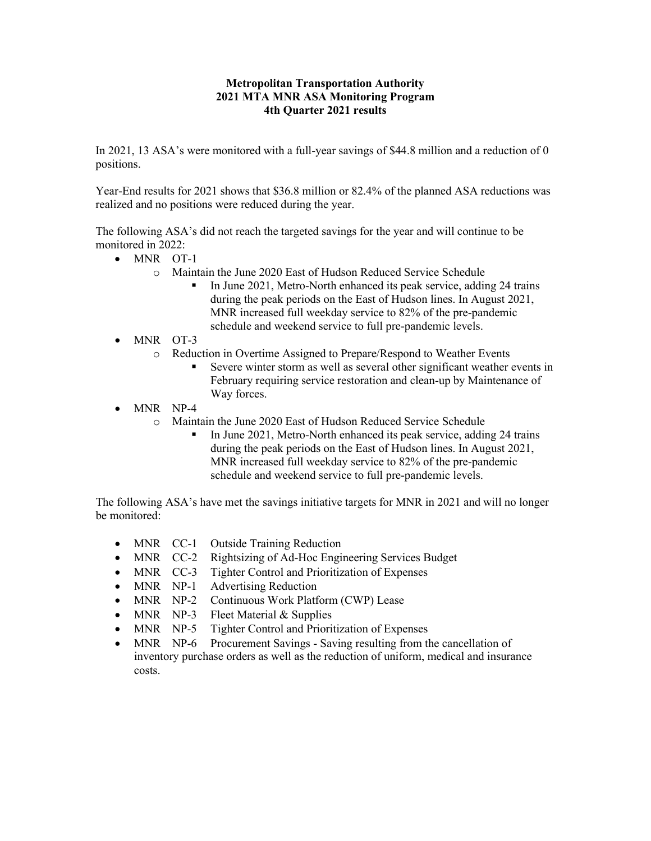#### **Metropolitan Transportation Authority 2021 MTA MNR ASA Monitoring Program 4th Quarter 2021 results**

In 2021, 13 ASA's were monitored with a full-year savings of \$44.8 million and a reduction of 0 positions.

Year-End results for 2021 shows that \$36.8 million or 82.4% of the planned ASA reductions was realized and no positions were reduced during the year.

The following ASA's did not reach the targeted savings for the year and will continue to be monitored in 2022:

- MNR OT-1
	- o Maintain the June 2020 East of Hudson Reduced Service Schedule
		- In June 2021, Metro-North enhanced its peak service, adding 24 trains during the peak periods on the East of Hudson lines. In August 2021, MNR increased full weekday service to 82% of the pre-pandemic schedule and weekend service to full pre-pandemic levels.
- MNR OT-3
	- o Reduction in Overtime Assigned to Prepare/Respond to Weather Events
		- Severe winter storm as well as several other significant weather events in February requiring service restoration and clean-up by Maintenance of Way forces.
- MNR NP-4
	- o Maintain the June 2020 East of Hudson Reduced Service Schedule
		- In June 2021, Metro-North enhanced its peak service, adding 24 trains during the peak periods on the East of Hudson lines. In August 2021, MNR increased full weekday service to 82% of the pre-pandemic schedule and weekend service to full pre-pandemic levels.

The following ASA's have met the savings initiative targets for MNR in 2021 and will no longer be monitored:

- MNR CC-1 Outside Training Reduction
- MNR CC-2 Rightsizing of Ad-Hoc Engineering Services Budget
- MNR CC-3 Tighter Control and Prioritization of Expenses
- MNR NP-1 Advertising Reduction
- MNR NP-2 Continuous Work Platform (CWP) Lease
- MNR NP-3 Fleet Material & Supplies
- MNR NP-5 Tighter Control and Prioritization of Expenses
- MNR NP-6 Procurement Savings Saving resulting from the cancellation of inventory purchase orders as well as the reduction of uniform, medical and insurance costs.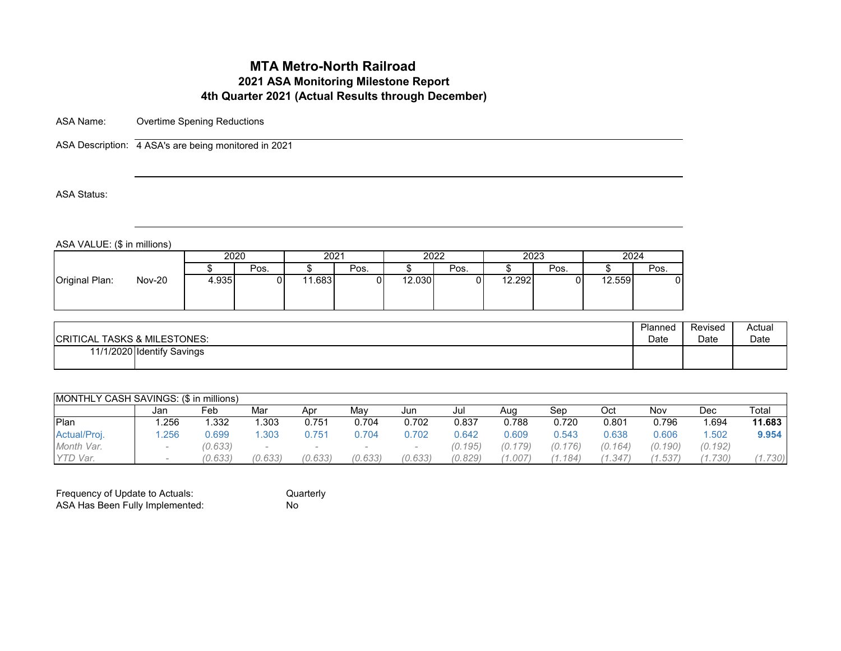# **MTA Metro-North Railroad 2021 ASA Monitoring Milestone Report 4th Quarter 2021 (Actual Results through December)**

ASA Name: Overtime Spening Reductions

ASA Description: 4 ASA's are being monitored in 2021

ASA Status:

ASA VALUE: (\$ in millions)

| 2024<br>2020<br>2023<br>2022<br>2021<br>Pos.<br>Pos.<br>Pos.<br>Pos.<br>$\overline{A}$ |      |
|----------------------------------------------------------------------------------------|------|
|                                                                                        |      |
|                                                                                        | Pos. |
| <b>Nov-20</b><br>Original Plan:<br>4.935<br>.683<br>12.030<br>12.292<br>12.559         |      |

| <b>CRITICAL TASKS &amp; MILESTONES:</b> | Planned | Revised | Actual |
|-----------------------------------------|---------|---------|--------|
|                                         | Date    | Date    | Date   |
| 11/1/2020 Identify Savings              |         |         |        |

| <b>IMONTHLY CASH SAVINGS: (\$ in millions)</b> |      |         |         |         |         |         |         |         |                     |         |         |         |        |
|------------------------------------------------|------|---------|---------|---------|---------|---------|---------|---------|---------------------|---------|---------|---------|--------|
|                                                | Jan  | Feb     | Mar     | Apr     | Mav     | Jun     | Jul     | Aug     | Sep                 | Oct     | Nov     | Dec     | Total  |
| Plan                                           | .256 | .332    | .303    | 0.751   | 0.704   | 0.702   | 0.837   | 0.788   | 0.720               | 0.801   | 0.796   | .694    | 11.683 |
| Actual/Proj.                                   | .256 | 0.699   | .303    | 0.751   | 0.704   | 0.702   | 0.642   | 0.609   | 0.543               | 0.638   | 0.606   | .502    | 9.954  |
| Month Var.                                     |      | (0.633) |         |         |         |         | (0.195) | (0.179) | (0.176)             | (0.164) | (0.190) | (0.192) |        |
| YTD Var.                                       |      | (0.633) | (0.633) | (0.633) | (0.633) | (0.633) | (0.829) | 1.007   | $.184$ <sup>1</sup> | (1.347) | (1.537  | (0.730) | 730)   |

| Frequency of Update to Actuals: | Quarterly |
|---------------------------------|-----------|
| ASA Has Been Fully Implemented: | N٥        |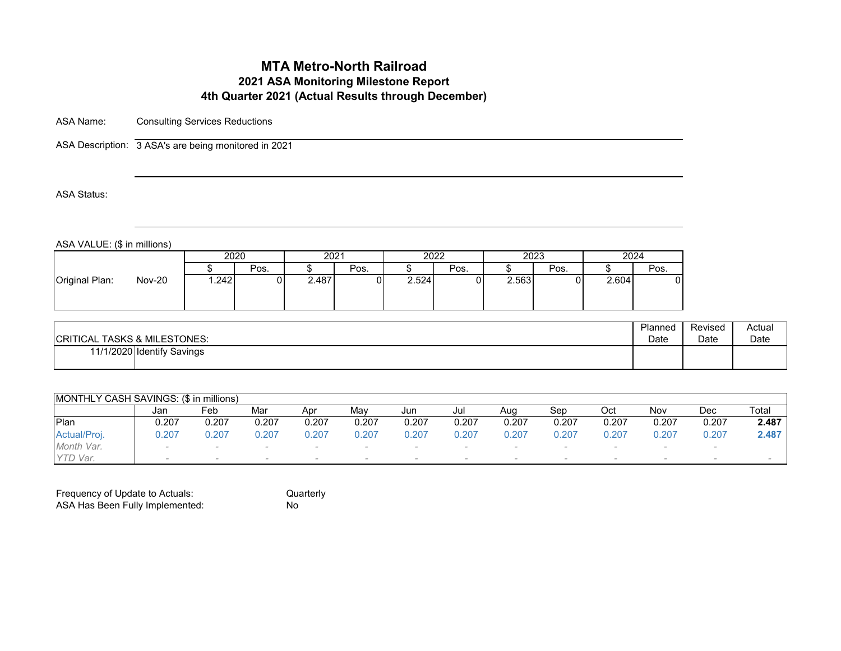# **MTA Metro-North Railroad 2021 ASA Monitoring Milestone Report 4th Quarter 2021 (Actual Results through December)**

ASA Name: Consulting Services Reductions

ASA Description: 3 ASA's are being monitored in 2021

ASA Status:

ASA VALUE: (\$ in millions)

| 2020<br>2024<br>2022<br>2023<br>2021<br>Pos.<br>Pos.<br>Pos.<br>Pos.<br>Pos.<br><b>Nov-20</b><br>2.487<br>.242<br>2.524<br>2.563<br>2.604 | . |  |  |  |  |  |
|-------------------------------------------------------------------------------------------------------------------------------------------|---|--|--|--|--|--|
|                                                                                                                                           |   |  |  |  |  |  |
| Original Plan:                                                                                                                            |   |  |  |  |  |  |
|                                                                                                                                           |   |  |  |  |  |  |

| <b>CRITICAL TASKS &amp; MILESTONES:</b> | Planned | Revised | Actual |
|-----------------------------------------|---------|---------|--------|
|                                         | Date    | Date    | Date   |
| 11/1/2020 Identify Savings              |         |         |        |

| <b>IMONTHLY CASH SAVINGS: (\$ in millions)</b> |        |       |       |       |       |       |       |       |        |       |        |       |       |
|------------------------------------------------|--------|-------|-------|-------|-------|-------|-------|-------|--------|-------|--------|-------|-------|
|                                                | Jan    | Feb   | Mar   | Apr   | Mav   | Jun   | Jul   | Aug   | Sep    | Oct   | Nov    | Dec   | Total |
| <b>IPlan</b>                                   | J.207  | 0.207 | 0.207 | 0.207 | 0.207 | 0.207 | 0.207 | 0.207 | 0.207  | 0.207 | 0.207  | 0.207 | 2.487 |
| Actual/Proj.                                   | 0.207  | J.207 | 0.207 | 0.207 | J.207 | J.207 | 0.207 | 0.207 | 0.207  | 0.207 | 0.207  | 0.207 | 2.487 |
| Month Var.                                     | $\sim$ |       |       |       |       |       |       |       |        |       |        |       |       |
| TD Var.                                        |        |       |       |       |       |       |       |       | $\sim$ |       | $\sim$ |       |       |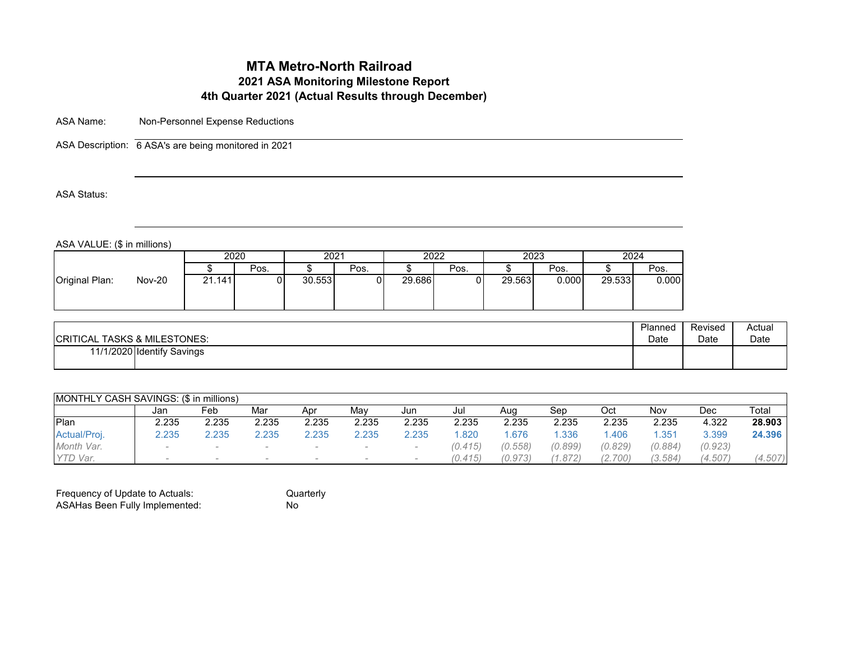# **MTA Metro-North Railroad 2021 ASA Monitoring Milestone Report 4th Quarter 2021 (Actual Results through December)**

ASA Name: Non-Personnel Expense Reductions

ASA Description: 6 ASA's are being monitored in 2021

ASA Status:

ASA VALUE: (\$ in millions)

|                                 |        | 2020 |        | 2021 | 2022   |      | 2023   |       | 2024   |       |
|---------------------------------|--------|------|--------|------|--------|------|--------|-------|--------|-------|
|                                 |        | Pos. |        | Pos. |        | Pos. |        | Pos.  |        | Pos.  |
| <b>Nov-20</b><br>Original Plan: | 21.141 |      | 30.553 |      | 29.686 |      | 29.563 | 0.000 | 29.533 | 0.000 |

| <b>CRITICAL TASKS &amp; MILESTONES:</b> | Planned | Revised | Actual |
|-----------------------------------------|---------|---------|--------|
|                                         | Date    | Date    | Date   |
| 11/1/2020 Identify Savings              |         |         |        |

|              | <b>IMONTHLY CASH SAVINGS: (\$ in millions)</b> |       |       |       |       |       |         |         |         |         |         |         |         |  |  |
|--------------|------------------------------------------------|-------|-------|-------|-------|-------|---------|---------|---------|---------|---------|---------|---------|--|--|
|              | Jan                                            | Feb   | Mar   | Apr   | Mav   | Jun   | Jul     | Aug     | Sep     | Oct     | Nov     | Dec     | Total   |  |  |
| <b>IPlan</b> | 2.235                                          | 2.235 | 2.235 | 2.235 | 2.235 | 2.235 | 2.235   | 2.235   | 2.235   | 2.235   | 2.235   | 4.322   | 28.903  |  |  |
| Actual/Proj. | 2.235                                          | 2.235 | 2.235 | 2.235 | 2.235 | 2.235 | .820    | .676    | .336    | .406    | .351    | 3.399   | 24.396  |  |  |
| Month Var.   | $\sim$                                         |       |       |       |       |       | (0.415) | (0.558) | (0.899) | (0.829) | (0.884) | (0.923) |         |  |  |
| YTD Var.     | -                                              |       |       |       |       |       | (0.415) | (0.973) | (1.872) | (2.700) | (3.584) | (4.507) | (4.507) |  |  |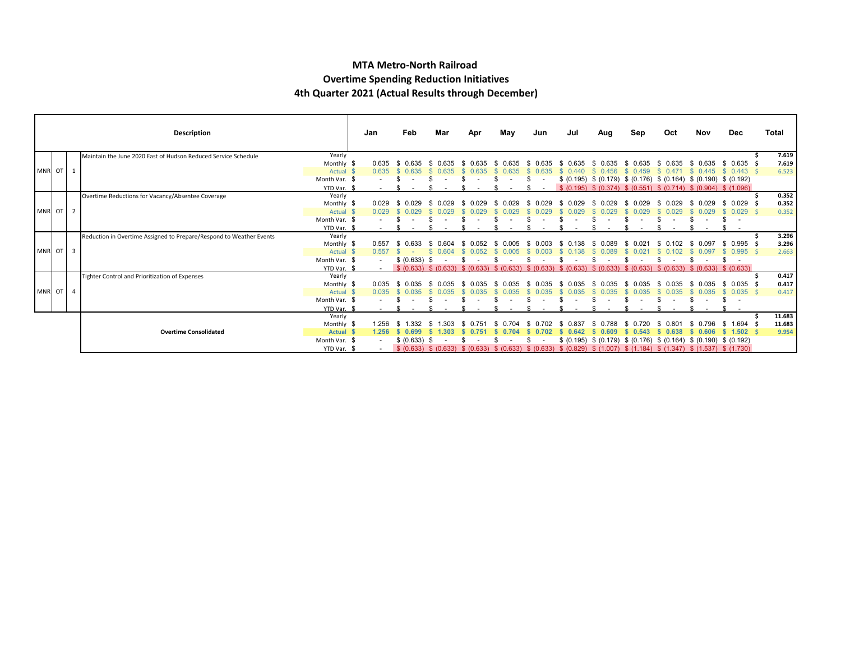#### **MTA Metro-North Railroad Overtime Spending Reduction Initiatives 4th Quarter 2021 (Actual Results through December)**

|                                   |                              |                | Description                                                         |                      | Jan                   | Feb                   | Mar           | Apr | May                   | Jun        | Jul                                                                                                                      | Aug          | Sep                              | Oct               | Nov                                                                     | Dec                     | Total          |
|-----------------------------------|------------------------------|----------------|---------------------------------------------------------------------|----------------------|-----------------------|-----------------------|---------------|-----|-----------------------|------------|--------------------------------------------------------------------------------------------------------------------------|--------------|----------------------------------|-------------------|-------------------------------------------------------------------------|-------------------------|----------------|
|                                   |                              |                | Maintain the June 2020 East of Hudson Reduced Service Schedule      | Yearly               |                       |                       |               |     |                       |            |                                                                                                                          |              |                                  |                   |                                                                         |                         | 7.619          |
|                                   |                              |                |                                                                     | Monthly \$           | 0.635                 | \$ በ635               | 0.635<br>- 96 | -SS |                       | 0.635      | 0.635                                                                                                                    | -86<br>0.635 | 0.635                            |                   | 0.635                                                                   | \$ 0.635 \$             | 7.619          |
| MNR OT                            |                              | $\mathbf{1}$   |                                                                     | Actual \$            | 0.635                 | 0.635                 |               |     |                       |            |                                                                                                                          |              |                                  |                   | 0.445                                                                   | $0.443 \quad$ \$<br>-SS | 6.523          |
|                                   |                              |                |                                                                     | Month Var. \$        |                       |                       |               |     |                       |            |                                                                                                                          |              |                                  |                   | $$$ (0.195) $$$ (0.179) $$$ (0.176) $$$ (0.164) $$$ (0.190) $$$ (0.192) |                         |                |
|                                   |                              |                |                                                                     | YTD Var. \$          |                       |                       |               |     |                       |            |                                                                                                                          |              |                                  |                   | $$$ (0.195) $$$ (0.374) $$$ (0.551) $$$ (0.714) $$$ (0.904) $$$ (1.096) |                         |                |
|                                   |                              |                | Overtime Reductions for Vacancy/Absentee Coverage                   | Yearly               |                       |                       |               |     |                       |            |                                                                                                                          |              |                                  |                   |                                                                         |                         | 0.352          |
|                                   |                              |                |                                                                     | Monthly \$           | 0.029                 |                       |               |     |                       |            |                                                                                                                          |              |                                  |                   | 0.029                                                                   | 0.029                   | 0.352          |
| MNR OT                            |                              | 2              |                                                                     | Actual \$            | 0.029                 |                       |               |     |                       |            |                                                                                                                          |              |                                  |                   | .029                                                                    | $0.029$ \$              | 0.352          |
|                                   |                              |                |                                                                     | Month Var. \$        |                       |                       |               |     |                       |            |                                                                                                                          |              |                                  |                   |                                                                         |                         |                |
|                                   |                              |                |                                                                     | YTD Var.             |                       |                       |               |     |                       |            |                                                                                                                          |              |                                  |                   |                                                                         |                         |                |
|                                   |                              |                | Reduction in Overtime Assigned to Prepare/Respond to Weather Events | Yearly<br>Monthly \$ | 0.557                 | 0 633<br>S.           | 0 604<br>- 96 |     |                       |            |                                                                                                                          |              | በ በ21<br>Я.                      | በ 102             | 0.097                                                                   | $$0.995$ \$             | 3.296<br>3.296 |
| MNR OT<br>$\overline{\mathbf{3}}$ |                              | Actual \$      | 0.557                                                               |                      |                       | - SS<br>0.052         |               |     |                       |            |                                                                                                                          |              | 0.097                            | $0.995$ \$        | 2.663                                                                   |                         |                |
|                                   |                              | Month Var. \$  |                                                                     | \$ (0.633) \$        |                       |                       |               |     |                       |            |                                                                                                                          |              |                                  |                   |                                                                         |                         |                |
|                                   |                              | YTD Var. \$    | $\sim$ 10 $\pm$                                                     |                      | \$ (0.633) \$ (0.633) | \$ (0.633) \$ (0.633) |               |     | \$ (0.633) \$ (0.633) | \$ (0.633) | \$ (0.633)                                                                                                               |              | \$ (0.633) \$ (0.633) \$ (0.633) |                   |                                                                         |                         |                |
|                                   |                              |                | Tighter Control and Prioritization of Expenses                      | Yearly               |                       |                       |               |     |                       |            |                                                                                                                          |              |                                  |                   |                                                                         |                         | 0.417          |
|                                   |                              |                |                                                                     | Monthly \$           | 0.035                 |                       | 0.035         |     |                       |            |                                                                                                                          |              |                                  |                   | 0.035                                                                   | $0.035$ \$<br>\$.       | 0.417          |
| MNR OT                            |                              | $\overline{4}$ |                                                                     | Actual \$            | 0.035                 |                       |               |     |                       |            |                                                                                                                          |              |                                  |                   | 035                                                                     | $0.035$ \$              | 0.417          |
|                                   |                              |                |                                                                     | Month Var. \$        |                       |                       |               |     |                       |            |                                                                                                                          |              |                                  |                   |                                                                         |                         |                |
|                                   |                              |                | YTD Var. \$                                                         |                      |                       |                       |               |     |                       |            |                                                                                                                          |              |                                  | $\sim$            |                                                                         |                         |                |
|                                   |                              |                |                                                                     | Yearly               |                       |                       |               |     |                       |            |                                                                                                                          |              |                                  |                   |                                                                         |                         | 11.683         |
|                                   | <b>Overtime Consolidated</b> | Monthly \$     | 1 256                                                               |                      |                       |                       |               |     |                       |            |                                                                                                                          |              | በ 796                            | $1.694$ \$<br>-SS | 11.683                                                                  |                         |                |
|                                   |                              | Actual \$      | 1.256                                                               | 0.699<br>S.          | 1.303                 |                       |               |     |                       | 0.609      | 0.543                                                                                                                    | 0.638        | 0.606                            | \$1.502\$         | 9.954                                                                   |                         |                |
|                                   |                              |                |                                                                     | Month Var. \$        |                       | \$ (0.633) \$         |               |     |                       |            |                                                                                                                          |              |                                  |                   | $$$ (0.195) $$$ (0.179) $$$ (0.176) $$$ (0.164) $$$ (0.190) $$$ (0.192) |                         |                |
|                                   |                              |                |                                                                     | YTD Var. \$          |                       |                       |               |     |                       |            | \$ (0.633) \$ (0.633) \$ (0.633) \$ (0.633) \$ (0.633) \$ (0.829) \$ (1.007) \$ (1.184) \$ (1.347) \$ (1.537) \$ (1.730) |              |                                  |                   |                                                                         |                         |                |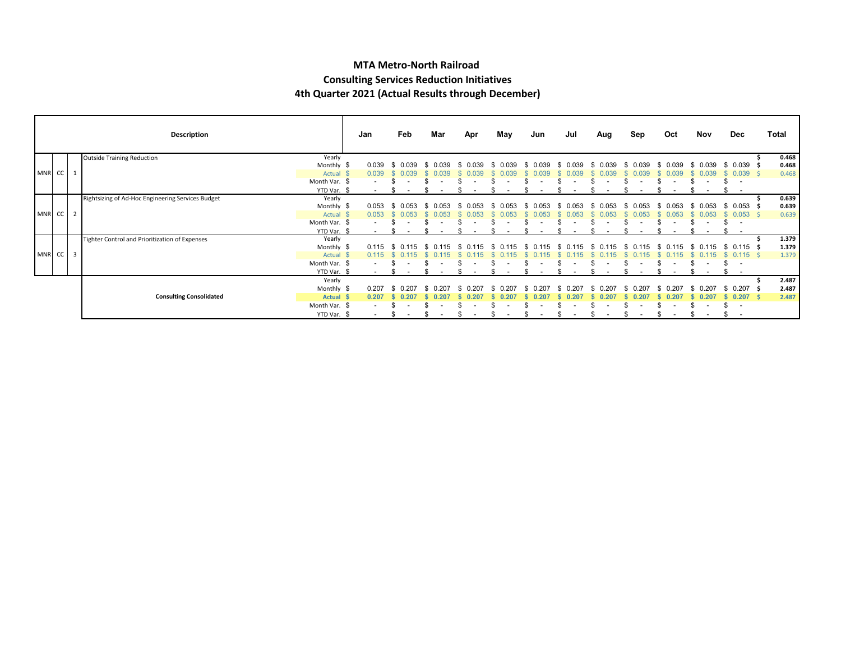#### **MTA Metro-North Railroad Consulting Services Reduction Initiatives 4th Quarter 2021 (Actual Results through December)**

|          |                                |               | Description                                       |                      | Jan    | Feb     | Mar | Apr   | May | Jun   | Jul | Aug   | Sep   | Oct              | Nov              | Dec                             | Total          |
|----------|--------------------------------|---------------|---------------------------------------------------|----------------------|--------|---------|-----|-------|-----|-------|-----|-------|-------|------------------|------------------|---------------------------------|----------------|
|          |                                |               | <b>Outside Training Reduction</b>                 | Yearly               |        |         |     |       |     |       |     |       |       |                  |                  |                                 | 0.468          |
|          |                                |               |                                                   | Monthly \$           | 0.039  | . በ በ39 |     |       | 039 |       |     | 0.039 | 039   | . በ በ39          | 0.039            | $0.039$ \$                      | 0.468          |
| MNR CC   |                                |               |                                                   | Actual \$            | 0.039  | 0.039   | 339 |       |     |       |     | 039   | .039  | 0.039            | .039             | $0.039$ \$                      | 0.468          |
|          |                                |               |                                                   | Month Var. \$        |        |         |     |       |     |       |     |       |       |                  |                  | $\overline{\phantom{a}}$        |                |
|          |                                |               |                                                   | YTD Var.             |        |         |     |       |     |       |     |       |       |                  |                  |                                 |                |
|          |                                |               | Rightsizing of Ad-Hoc Engineering Services Budget | Yearly<br>Monthly \$ | 0.053  |         |     |       | 053 |       | 05. |       | 053   | ж.               | 1.053            | $0.053$ \$<br>-SG               | 0.639<br>0.639 |
| MNR CC   |                                | Actual \$     | 0.053                                             | 0.053                | 053    |         | 053 | 0.053 | 053 | 0.053 | 053 | 0.053 | 0.053 | $0.053 \quad$ \$ | 0.639            |                                 |                |
|          |                                | Month Var. \$ |                                                   |                      |        |         |     |       |     |       |     |       |       |                  |                  |                                 |                |
|          |                                |               |                                                   | YTD Var. \$          |        |         |     |       |     |       |     |       |       |                  |                  |                                 |                |
|          |                                |               | Tighter Control and Prioritization of Expenses    | Yearly<br>Monthly \$ | 0.115  | () 115  |     |       |     |       |     | 15    | 0.115 | 15<br>-86        | 0.115            | $0.115$ \$<br>- SS              | 1.379<br>1.379 |
| MNR CC 3 |                                |               |                                                   | Actual \$            | 0.115  |         |     |       |     |       |     |       |       |                  |                  | $0.115$ \$                      | 1.379          |
|          |                                |               |                                                   | Month Var. \$        |        |         |     |       |     |       |     |       |       |                  |                  | \$.<br>$\overline{\phantom{a}}$ |                |
|          |                                |               |                                                   | YTD Var. \$          | $\sim$ |         |     |       |     |       |     |       |       |                  |                  |                                 |                |
|          |                                |               |                                                   | Yearly               |        |         |     |       |     |       |     |       |       |                  |                  |                                 | 2.487          |
|          | <b>Consulting Consolidated</b> |               | Monthly \$                                        | 0.207                |        |         |     |       |     |       |     |       |       | 0.207            | $0.207 \quad$ \$ | 2.487                           |                |
|          |                                |               | Actual \$                                         | 0.207                |        |         |     |       |     |       |     |       |       | .207             | $0.207$ \$       | 2.487                           |                |
|          |                                |               |                                                   | Month Var. \$        |        |         |     |       |     |       |     |       |       |                  |                  | $\overline{\phantom{a}}$        |                |
|          |                                |               |                                                   | YTD Var. \$          | $\sim$ |         |     |       |     |       |     |       |       |                  |                  |                                 |                |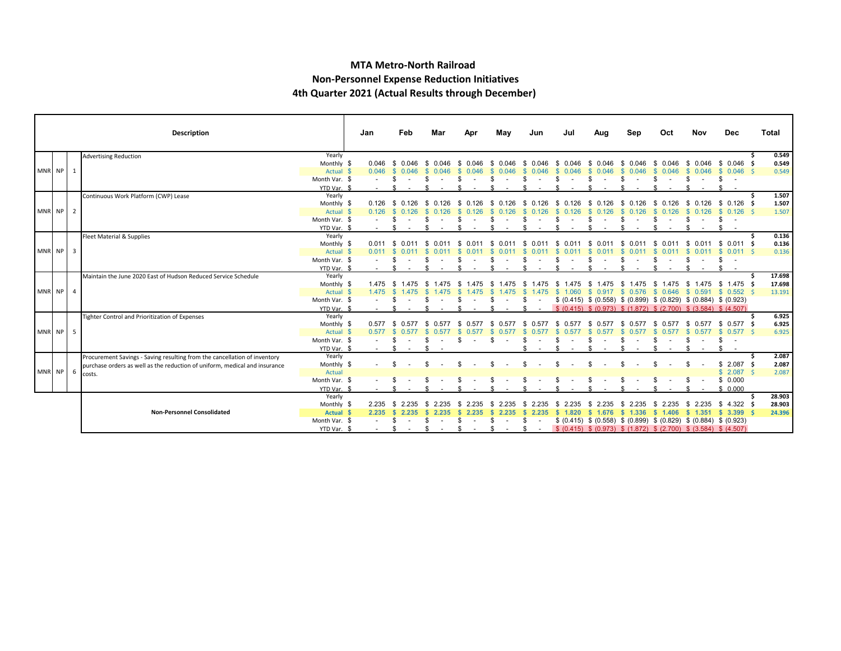#### **MTA Metro-North Railroad Non-Personnel Expense Reduction Initiatives 4th Quarter 2021 (Actual Results through December)**

|          |                                   |               | Description                                                                |               | Jan         |       | Feb                      | Mar                            | Apr           | May          | Jun              | Jul   | Aug   | Sep                                                                     | Oct         | Nov           | <b>Dec</b>                 | Total  |
|----------|-----------------------------------|---------------|----------------------------------------------------------------------------|---------------|-------------|-------|--------------------------|--------------------------------|---------------|--------------|------------------|-------|-------|-------------------------------------------------------------------------|-------------|---------------|----------------------------|--------|
|          |                                   |               | <b>Advertising Reduction</b>                                               | Yearly        |             |       |                          |                                |               |              |                  |       |       |                                                                         |             |               |                            | 0.549  |
|          |                                   |               |                                                                            | Monthly \$    |             | 0.046 | - SS<br>0 046            | 0 046                          |               |              |                  |       |       |                                                                         |             |               | 0.046                      | 0.549  |
| MNR NP 1 |                                   |               |                                                                            | Actual \$     |             | 0.046 | <b>S</b><br>0.046        | - \$<br>0.046                  | -SS<br>0.046  | 0.046        | 0.046            | 0.046 | 0.046 | 0.046                                                                   | 0.046       | 0.046         | $0.046$ \$<br><b>S</b>     | 0.549  |
|          |                                   |               |                                                                            | Month Var. \$ |             |       | \$.                      |                                |               |              |                  |       |       |                                                                         |             |               | S                          |        |
|          |                                   |               |                                                                            | YTD Var. \$   |             |       |                          |                                |               |              |                  |       |       |                                                                         |             |               |                            |        |
|          |                                   |               | Continuous Work Platform (CWP) Lease                                       | Yearly        |             |       |                          |                                |               |              |                  |       |       |                                                                         |             |               |                            | 1.507  |
|          |                                   |               |                                                                            | Monthly \$    |             | 0.126 | 0.126<br>S.              | - \$<br>0.126                  | - SS          |              |                  | - 96  | - 96  | -SS                                                                     | - 96        | 0.126<br>- S  | \$ 0.126                   | 1.507  |
| MNR NP 2 |                                   |               |                                                                            | Actual \$     |             | 0.126 |                          |                                |               |              |                  |       |       |                                                                         |             |               | $0.126$ \$<br>$\mathbf{s}$ | 1.507  |
|          |                                   |               |                                                                            | Month Var. \$ |             |       |                          |                                |               |              |                  |       |       |                                                                         |             |               |                            |        |
|          |                                   |               |                                                                            | YTD Var. \$   |             |       |                          |                                |               |              |                  |       |       |                                                                         |             |               |                            |        |
|          |                                   |               | Fleet Material & Supplies                                                  | Yearly        |             |       |                          |                                |               |              |                  |       |       |                                                                         |             |               |                            | 0.136  |
|          |                                   |               |                                                                            | Monthly \$    |             | 0.011 | $\mathcal{S}$<br>0 0 1 1 | . ጽ<br>. በ በ11                 | - 96          |              |                  |       |       |                                                                         |             |               | $0.011$ \$                 | 0.136  |
| MNR NP 3 |                                   |               |                                                                            | Actual \$     |             | 0.011 |                          |                                |               |              |                  |       |       |                                                                         |             |               |                            | 0.136  |
|          |                                   |               | Month Var. \$                                                              |               |             |       |                          |                                |               |              |                  |       |       |                                                                         |             |               |                            |        |
|          |                                   |               |                                                                            | YTD Var. \$   |             |       |                          |                                |               |              |                  |       |       |                                                                         |             |               | Яб.                        |        |
|          |                                   |               | Maintain the June 2020 East of Hudson Reduced Service Schedule             | Yearly        |             |       |                          |                                |               |              |                  |       |       |                                                                         |             |               |                            | 17.698 |
|          |                                   |               |                                                                            | Monthly \$    |             | 1.475 | - SS<br>1.475            | -SS                            |               |              |                  |       |       | - SS                                                                    | - \$        | 1.475<br>- 35 | $$1.475$ \$                | 17.698 |
| MNR NP 4 |                                   |               |                                                                            | Actual \$     |             | 1.475 |                          |                                |               |              |                  |       | 0.917 | \$ 0.576                                                                | \$ 0.646    |               | \$ 0.591 \$ 0.552 \$       | 13.191 |
|          |                                   |               |                                                                            | Month Var. \$ |             |       |                          |                                |               |              |                  |       |       | $$$ (0.415) $$$ (0.558) $$$ (0.899) $$$ (0.829) $$$ (0.884) $$$ (0.923) |             |               |                            |        |
|          |                                   |               |                                                                            | YTD Var. \$   |             |       |                          |                                |               |              |                  |       |       | $$$ (0.415) $$$ (0.973) $$$ (1.872) $$$ (2.700) $$$ (3.584) $$$ (4.507) |             |               |                            |        |
|          |                                   |               | Tighter Control and Prioritization of Expenses                             | Yearly        |             |       |                          |                                |               |              |                  |       |       |                                                                         |             |               |                            | 6.925  |
|          |                                   |               |                                                                            | Monthly \$    |             | 0.577 | - \$<br>0.577            | 0.577<br>Ж.                    |               |              |                  |       |       |                                                                         | £.          |               | $0.577$ \$<br>\$.          | 6.925  |
| MNR NP 5 |                                   |               |                                                                            | Actual \$     |             | 0.577 |                          |                                |               |              |                  |       |       |                                                                         |             |               | $0.577$ \$                 | 6.925  |
|          |                                   |               |                                                                            | Month Var. \$ |             |       |                          |                                |               |              |                  |       |       |                                                                         |             |               | \$                         |        |
|          |                                   |               |                                                                            | YTD Var. \$   |             |       |                          |                                |               |              |                  |       |       |                                                                         |             |               |                            |        |
|          |                                   |               | Procurement Savings - Saving resulting from the cancellation of inventory  | Yearly        |             |       |                          |                                |               |              |                  |       |       |                                                                         |             |               |                            | 2.087  |
|          |                                   |               | purchase orders as well as the reduction of uniform, medical and insurance | Monthly \$    |             |       |                          |                                |               |              |                  |       |       |                                                                         |             |               | \$2.087                    | 2.087  |
| MNR NP 6 |                                   | costs.        | Actual                                                                     |               |             |       |                          |                                |               |              |                  |       |       |                                                                         |             | \$2.087\$     | 2.087                      |        |
|          |                                   | Month Var. \$ |                                                                            |               |             |       |                          |                                |               |              |                  |       |       |                                                                         | \$0.000     |               |                            |        |
|          |                                   |               |                                                                            | YTD Var. \$   |             |       |                          |                                |               |              |                  |       |       |                                                                         |             |               | \$0.000                    |        |
|          |                                   |               |                                                                            | Yearly        |             |       |                          |                                |               |              |                  |       |       |                                                                         |             |               |                            | 28.903 |
|          | <b>Non-Personnel Consolidated</b> | Monthly \$    |                                                                            | 2.235         |             |       |                          |                                |               |              |                  |       | £.    | 2.235<br>- 95                                                           | $$4.322$ \$ | 28.903        |                            |        |
|          |                                   | Actual \$     |                                                                            | 2.235         | 2.235       |       |                          |                                |               |              | 1.676            | 1.336 |       | .351                                                                    | $$3.399$ \$ | 24.396        |                            |        |
|          |                                   |               |                                                                            | Month Var. \$ |             |       | £.<br>$\sim$             | £.<br>$\overline{\phantom{a}}$ | £.            |              |                  |       |       | $$$ (0.415) $$$ (0.558) $$$ (0.899) $$$ (0.829) $$$ (0.884) $$$ (0.923) |             |               |                            |        |
|          |                                   |               |                                                                            |               | YTD Var. \$ |       | -\$                      | \$<br>$\sim$                   | . ድ<br>$\sim$ | \$<br>$\sim$ | $\sim$ 100 $\mu$ |       |       | $$ (0.415) $ (0.973) $ (1.872) $ (2.700) $ (3.584) $ (4.507)$           |             |               |                            |        |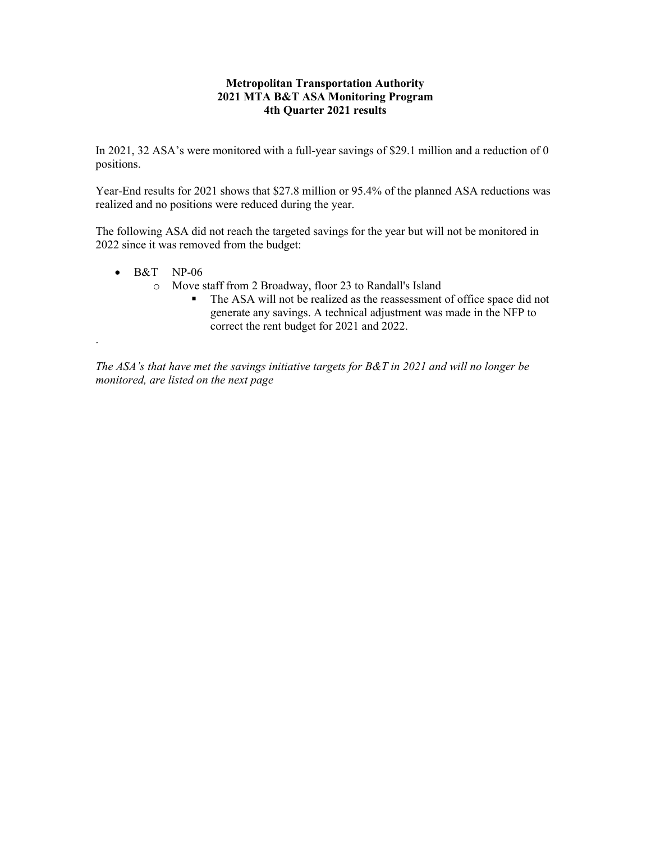#### **Metropolitan Transportation Authority 2021 MTA B&T ASA Monitoring Program 4th Quarter 2021 results**

In 2021, 32 ASA's were monitored with a full-year savings of \$29.1 million and a reduction of 0 positions.

Year-End results for 2021 shows that \$27.8 million or 95.4% of the planned ASA reductions was realized and no positions were reduced during the year.

The following ASA did not reach the targeted savings for the year but will not be monitored in 2022 since it was removed from the budget:

 $\bullet$  B&T NP-06

.

- o Move staff from 2 Broadway, floor 23 to Randall's Island
	- The ASA will not be realized as the reassessment of office space did not generate any savings. A technical adjustment was made in the NFP to correct the rent budget for 2021 and 2022.

*The ASA's that have met the savings initiative targets for B&T in 2021 and will no longer be monitored, are listed on the next page*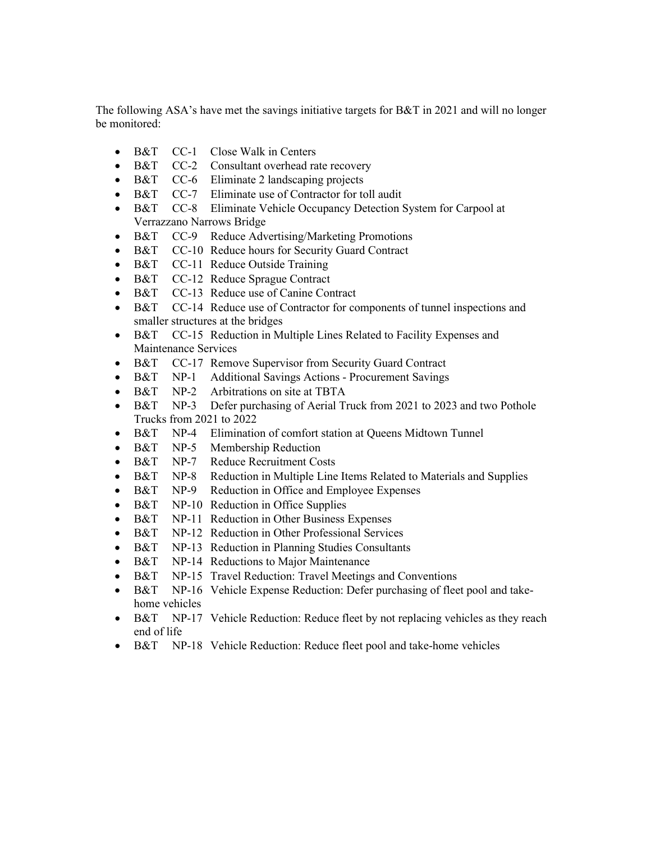The following ASA's have met the savings initiative targets for B&T in 2021 and will no longer be monitored:

- B&T CC-1 Close Walk in Centers
- B&T CC-2 Consultant overhead rate recovery
- B&T CC-6 Eliminate 2 landscaping projects
- B&T CC-7 Eliminate use of Contractor for toll audit
- B&T CC-8 Eliminate Vehicle Occupancy Detection System for Carpool at Verrazzano Narrows Bridge
- B&T CC-9 Reduce Advertising/Marketing Promotions
- B&T CC-10 Reduce hours for Security Guard Contract
- B&T CC-11 Reduce Outside Training
- B&T CC-12 Reduce Sprague Contract
- B&T CC-13 Reduce use of Canine Contract
- B&T CC-14 Reduce use of Contractor for components of tunnel inspections and smaller structures at the bridges
- B&T CC-15 Reduction in Multiple Lines Related to Facility Expenses and Maintenance Services
- B&T CC-17 Remove Supervisor from Security Guard Contract
- B&T NP-1 Additional Savings Actions Procurement Savings
- B&T NP-2 Arbitrations on site at TBTA
- B&T NP-3 Defer purchasing of Aerial Truck from 2021 to 2023 and two Pothole Trucks from 2021 to 2022
- B&T NP-4 Elimination of comfort station at Queens Midtown Tunnel
- B&T NP-5 Membership Reduction
- B&T NP-7 Reduce Recruitment Costs
- B&T NP-8 Reduction in Multiple Line Items Related to Materials and Supplies
- B&T NP-9 Reduction in Office and Employee Expenses
- B&T NP-10 Reduction in Office Supplies
- B&T NP-11 Reduction in Other Business Expenses
- B&T NP-12 Reduction in Other Professional Services
- B&T NP-13 Reduction in Planning Studies Consultants
- B&T NP-14 Reductions to Major Maintenance
- B&T NP-15 Travel Reduction: Travel Meetings and Conventions
- B&T NP-16 Vehicle Expense Reduction: Defer purchasing of fleet pool and takehome vehicles
- B&T NP-17 Vehicle Reduction: Reduce fleet by not replacing vehicles as they reach end of life
- B&T NP-18 Vehicle Reduction: Reduce fleet pool and take-home vehicles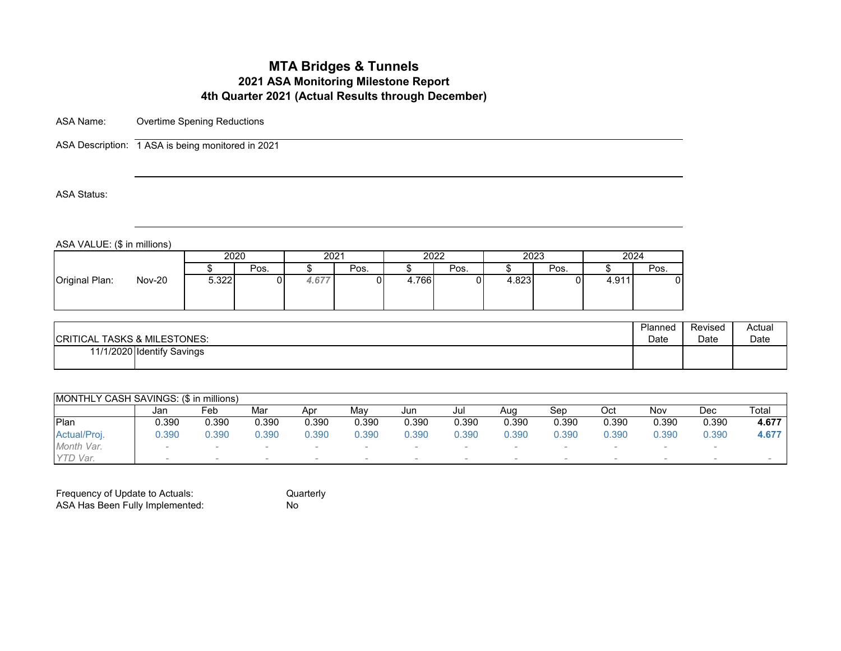# **MTA Bridges & Tunnels 2021 ASA Monitoring Milestone Report 4th Quarter 2021 (Actual Results through December)**

ASA Name: Overtime Spening Reductions

ASA Description: 1 ASA is being monitored in 2021

ASA Status:

ASA VALUE: (\$ in millions)

| 2023<br>2024<br>2020<br>2022<br>2021<br>Pos.<br>Pos.<br>Pos.<br>Pos.<br>Pos.<br><b>Nov-20</b><br>5.322<br>4.766<br>4.823<br>4.677<br>4.91 $^\prime$ | .              |  |  |  |  |  |
|-----------------------------------------------------------------------------------------------------------------------------------------------------|----------------|--|--|--|--|--|
|                                                                                                                                                     |                |  |  |  |  |  |
|                                                                                                                                                     |                |  |  |  |  |  |
|                                                                                                                                                     | Original Plan: |  |  |  |  |  |

| <b>CRITICAL TASKS &amp; MILESTONES:</b> | Planned | Revised | Actual |
|-----------------------------------------|---------|---------|--------|
|                                         | Date    | Date    | Date   |
| 11/1/2020 Identify Savings              |         |         |        |

|              | MONTHLY CASH SAVINGS: (\$ in millions) |                          |       |                          |       |                          |       |        |       |        |       |        |       |  |  |
|--------------|----------------------------------------|--------------------------|-------|--------------------------|-------|--------------------------|-------|--------|-------|--------|-------|--------|-------|--|--|
|              | Jan                                    | Feb                      | Mar   | Apr                      | Mav   | Jun                      | Jul   | Aua    | Sep   | Oct    | Nov   | Dec    | Total |  |  |
| Plan         | 0.390                                  | 0.390                    | 0.390 | 0.390                    | 0.390 | 0.390                    | 0.390 | 0.390  | 0.390 | 0.390  | 0.390 | 0.390  | 4.677 |  |  |
| Actual/Proj. | 0.390                                  | 0.390                    | 0.390 | 0.390                    | 0.390 | 0.390                    | 0.390 | 0.390  | 0.390 | 0.390  | 0.390 | 0.390  | 4.677 |  |  |
| Month Var.   | $\sim$                                 |                          |       |                          |       |                          |       |        |       |        |       |        |       |  |  |
| YTD Var.     |                                        | $\overline{\phantom{a}}$ |       | $\overline{\phantom{a}}$ |       | $\overline{\phantom{a}}$ |       | $\sim$ |       | $\sim$ |       | $\sim$ |       |  |  |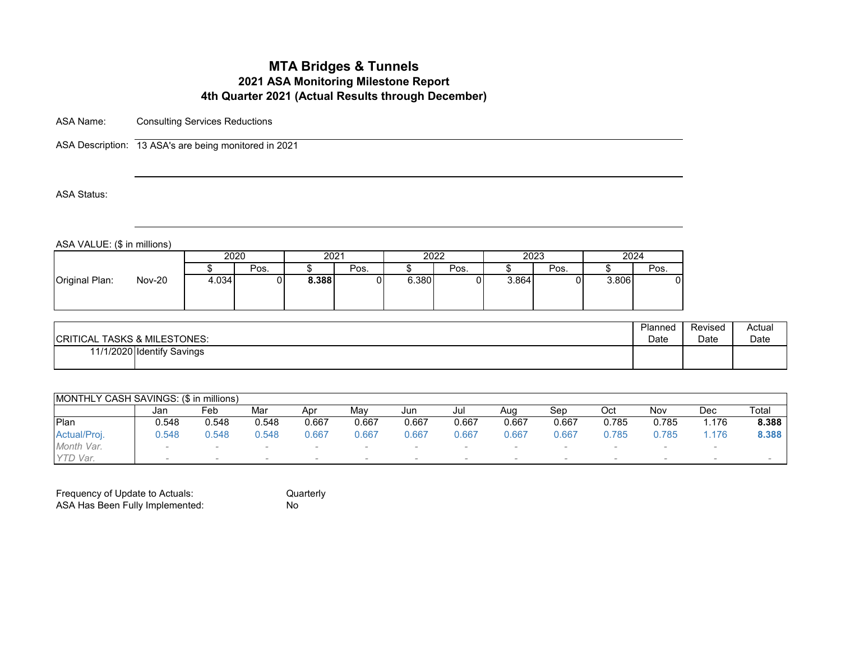# **MTA Bridges & Tunnels 2021 ASA Monitoring Milestone Report 4th Quarter 2021 (Actual Results through December)**

ASA Name: Consulting Services Reductions

ASA Description: 13 ASA's are being monitored in 2021

ASA Status:

ASA VALUE: (\$ in millions)

| 2020<br>2022<br>2023<br>2024<br>2021<br>Pos.<br>Pos.<br>Pos.<br>Pos.<br>Pos.<br><b>Nov-20</b><br>8.388<br>4.034<br>6.380<br>3.806<br>3.864 | .              |  |  |  |  |  |
|--------------------------------------------------------------------------------------------------------------------------------------------|----------------|--|--|--|--|--|
|                                                                                                                                            |                |  |  |  |  |  |
|                                                                                                                                            |                |  |  |  |  |  |
|                                                                                                                                            | Original Plan: |  |  |  |  |  |

| <b>ICRITICAL TASKS &amp; MILESTONES:</b> | Planned | Revised | Actual |
|------------------------------------------|---------|---------|--------|
|                                          | Date    | Date    | Date   |
| 11/1/2020 Identify Savings               |         |         |        |

|              | MONTHLY CASH SAVINGS: (\$ in millions) |       |                          |       |       |       |       |        |                          |        |       |        |       |  |  |
|--------------|----------------------------------------|-------|--------------------------|-------|-------|-------|-------|--------|--------------------------|--------|-------|--------|-------|--|--|
|              | Jan                                    | Feb   | Mar                      | Apr   | Mav   | Jun   | Jul   | Aua    | Sep                      | Oct    | Nov   | Dec    | Total |  |  |
| Plan         | 0.548                                  | 0.548 | 0.548                    | 0.667 | 0.667 | 0.667 | 0.667 | 0.667  | 0.667                    | 0.785  | 0.785 | .176   | 8.388 |  |  |
| Actual/Proj. | .548                                   | .548  | 0.548                    | 0.667 | 0.667 | 0.667 | 0.667 | 0.667  | 0.667                    | 0.785  | 0.785 | . 176  | 8.388 |  |  |
| Month Var.   | $\sim$                                 |       |                          |       |       |       |       |        |                          |        |       |        |       |  |  |
| YTD Var.     | $\sim$                                 |       | $\overline{\phantom{a}}$ |       |       |       |       | $\sim$ | $\overline{\phantom{a}}$ | $\sim$ |       | $\sim$ |       |  |  |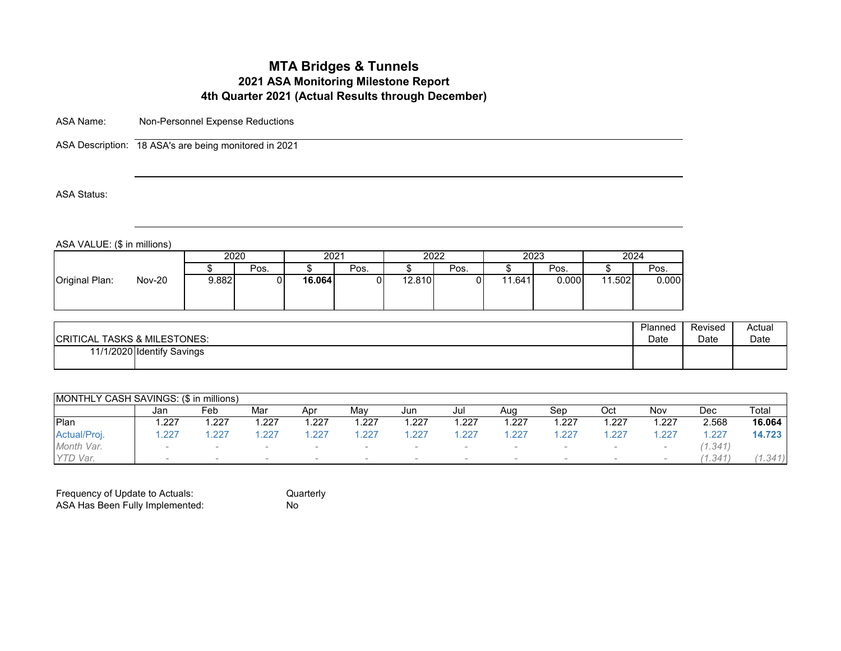# **MTA Bridges & Tunnels 2021 ASA Monitoring Milestone Report 4th Quarter 2021 (Actual Results through December)**

ASA Name: Non-Personnel Expense Reductions

ASA Description: 18 ASA's are being monitored in 2021

ASA Status:

ASA VALUE: (\$ in millions)

|                                 |       | 2020 | 2021   |      | 2022   |      |        | 2023  | 2024       |       |
|---------------------------------|-------|------|--------|------|--------|------|--------|-------|------------|-------|
|                                 |       | Pos. |        | Pos. |        | Pos. |        | Pos.  |            | Pos.  |
| Original Plan:<br><b>Nov-20</b> | 9.882 |      | 16.064 |      | 12.810 |      | 11.641 | 0.000 | .502<br>44 | 0.000 |

| <b>CRITICAL TASKS &amp; MILESTONES:</b> | Planned | Revised | Actual |
|-----------------------------------------|---------|---------|--------|
|                                         | Date    | Date    | Date   |
| 11/1/2020 Identify Savings              |         |         |        |

| MONTHLY CASH SAVINGS: (\$ in millions) |        |                          |      |      |      |       |       |      |       |      |        |         |         |
|----------------------------------------|--------|--------------------------|------|------|------|-------|-------|------|-------|------|--------|---------|---------|
|                                        | Jan    | Feb                      | Mar  | Apr  | Mav  | Jun   | Jul   | Aug  | Sep   | Oct  | Nov    | Dec     | Total   |
| <b>IPlan</b>                           | .227   | .227                     | .227 | .227 | .227 | . 227 | 1.227 | .227 | . 227 | .227 | .227   | 2.568   | 16.064  |
| Actual/Proj.                           | .227   | .227                     | .227 | 227  | .227 | 227   | 1.227 | .227 | .227  | .227 | .227   | .227    | 14.723  |
| Month Var.                             | $\sim$ |                          |      |      |      |       |       |      |       |      |        | (1.341) |         |
| Var.                                   |        | $\overline{\phantom{a}}$ |      |      |      |       |       |      |       |      | $\sim$ | (1.341) | (1.341) |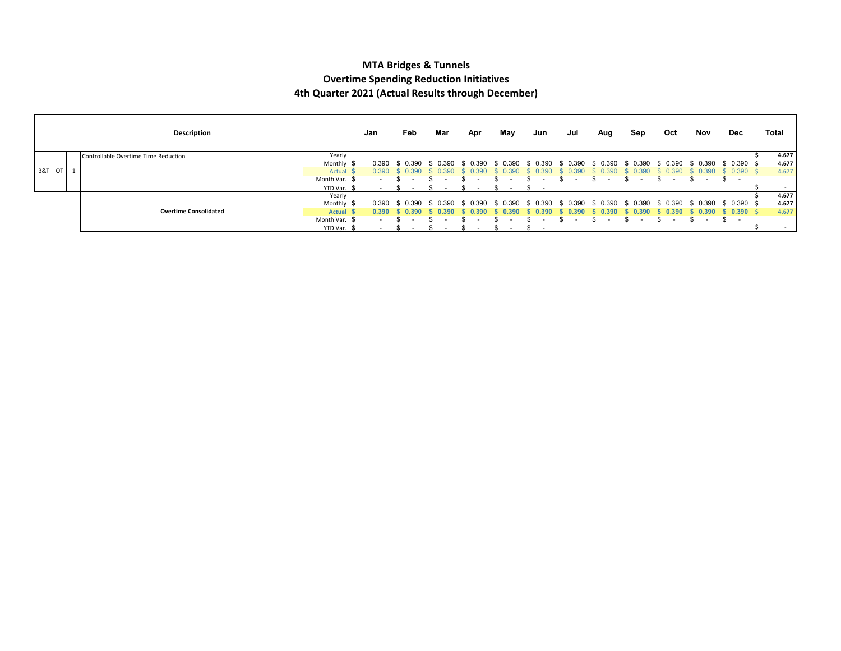#### **MTA Bridges & Tunnels Overtime Spending Reduction Initiatives 4th Quarter 2021 (Actual Results through December)**

|        | Description                          |               | Jan    | Feb                      | Mar      | Apr      | May      | Jun      | Jul      | Aug          | Sep      | Oct      | Nov      | Dec          | Total |
|--------|--------------------------------------|---------------|--------|--------------------------|----------|----------|----------|----------|----------|--------------|----------|----------|----------|--------------|-------|
|        | Controllable Overtime Time Reduction | Yearly        |        |                          |          |          |          |          |          |              |          |          |          |              | 4.677 |
|        |                                      | Monthly \$    | 0.390  | \$ 0.390                 | 0.390    | 0.390    | -0.390   | 0.390    | .ስ 390   | <u>በ 390</u> | 0.390    | ∴ 0.39∪  | 0.390    | \$ 0.390 \$  | 4.677 |
| B&T OT |                                      | Actual \$     | 0.390  | -0.390                   | 390      | .n 390   |          | RGI.     | 39)      | 390          | 0.390    |          | 0.390    | $0.390$ \$   | 4.677 |
|        |                                      | Month Var. \$ | $\sim$ | $\overline{\phantom{a}}$ |          | $\sim$   |          |          | $\sim$   |              |          |          |          | S.<br>$\sim$ |       |
|        |                                      | YTD Var. \$   |        |                          |          |          |          |          |          |              |          |          |          |              |       |
|        |                                      | Yearly        |        |                          |          |          |          |          |          |              |          |          |          |              | 4.677 |
|        |                                      | Monthly \$    | 0.390  | \$ 0.390                 | \$ 0.390 | \$ 0.390 | \$ 0.390 | \$ 0.390 | \$ 0.390 | \$ 0.390     | \$ 0.390 | \$ 0.390 | \$ 0.390 | \$ 0.390 \$  | 4.677 |
|        | <b>Overtime Consolidated</b>         | <b>Actual</b> | 0.390  | 0.390                    | 0.390    | 0.390    | 0.390    | J.390    | 0.390    | 0.390        | 0.390    | 0.390    | 0.390    | 0.390S       | 4.677 |
|        |                                      | Month Var. \$ | $\sim$ |                          |          |          |          |          |          |              |          |          |          | \$<br>$\sim$ |       |
|        |                                      | YTD Var. \$   |        |                          |          | $\sim$   | $\sim$   |          |          |              |          |          |          |              |       |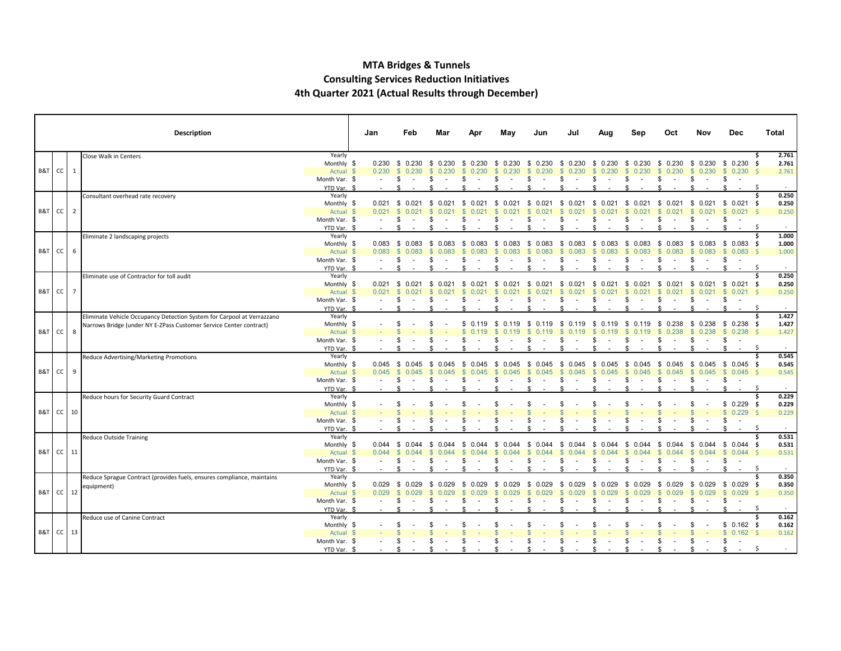#### **MTA Bridges & Tunnels Consulting Services Reduction Initiatives 4th Quarter 2021 (Actual Results through December)**

┯

Г

|                      |                 | <b>Description</b>                                                     |                       | Jan   | Feb                        | Mar                    | Anı                   | May                   | Jun                                          | Jul                    | Aug                   | Sep                   | Oct                    | Nov                   | Dec                          | Total        |
|----------------------|-----------------|------------------------------------------------------------------------|-----------------------|-------|----------------------------|------------------------|-----------------------|-----------------------|----------------------------------------------|------------------------|-----------------------|-----------------------|------------------------|-----------------------|------------------------------|--------------|
|                      |                 | Close Walk in Centers                                                  | Yearly                |       |                            |                        |                       |                       |                                              |                        |                       |                       |                        |                       |                              | 2.761        |
|                      |                 |                                                                        | Monthly \$            |       | 0.230 \$ 0.230 \$ 0.230 \$ |                        |                       | $0.230 \quad $0.230$  | \$ 0.230 \$ 0.230 \$ 0.230 \$ 0.230 \$ 0.230 |                        |                       |                       |                        | $$0.230$$ \$ 0.230 \$ |                              | 2.761        |
| B&T CC               | 1               |                                                                        | Actual \$             | 0.230 | $\mathbb{S}$<br>0.230      | 0.230<br><sup>\$</sup> |                       | 0.230                 | 0.230<br>$\mathcal{S}$                       | $\mathbb{S}$<br>0.230  | 0.230<br><sup>S</sup> | 0.230<br><sup>S</sup> | 0.230                  | 0.230<br>$\mathbb{S}$ | \$0.230                      | 2.761<br>- Ś |
|                      |                 |                                                                        | Month Var. \$         |       | \$                         |                        |                       |                       |                                              | \$.                    |                       | \$                    |                        | \$<br>$\sim$          | \$                           |              |
|                      |                 |                                                                        | YTD Var. \$           |       |                            |                        |                       |                       |                                              |                        |                       |                       |                        |                       |                              | -S           |
|                      |                 | Consultant overhead rate recovery                                      | Yearly                |       |                            |                        |                       |                       |                                              |                        |                       |                       |                        |                       |                              | 0.250        |
| B&T CC               | $\overline{2}$  |                                                                        | Monthly \$            |       | 0.021 \$ 0.021 \$ 0.021 \$ |                        | 0.021                 | - \$<br>0.021         | \$                                           | $0.021$ \$ 0.021       | 0.021<br>- \$         | - \$<br>0.021         | - \$<br>0.021          | \$                    | $0.021$ \$ 0.021 \$          | 0.250        |
|                      |                 |                                                                        | Actual \$             | 0.021 | \$0.021                    | 0.021<br>-S            | -SS                   | 0.021                 | 0.021<br>$\mathcal{S}$                       | -S<br>0.021<br>\$.     | 0.021<br>- 96         | -S<br>0.021<br>\$     | 0.021<br><sup>S</sup>  | 0.021<br>-S           | $$0.021$ \$                  | 0.250        |
|                      |                 |                                                                        | Month Var. \$         |       | \$<br>ፍ                    |                        | ፍ                     |                       | ¢                                            |                        |                       | ፍ                     |                        |                       | \$.                          | - S          |
|                      |                 |                                                                        | YTD Var. \$<br>Yearly |       |                            |                        |                       |                       |                                              |                        |                       |                       |                        |                       |                              | 1.000        |
|                      |                 | Eliminate 2 landscaping projects                                       | Monthly \$            |       | $0.083$ \$ 0.083 \$ 0.083  |                        | - \$<br>0.083         | \$ 0.083              | \$<br>0.083                                  | \$ 0.083 \$ 0.083      |                       | - \$<br>0.083         | \$ 0.083               | \$                    | $0.083$ \$ 0.083 \$          | 1.000        |
| B&T CC               | 6               |                                                                        | Actual \$             | 0.083 | $\mathbb{S}$<br>0.083      | 0.083                  |                       | 0.083                 | $\mathbb{S}$<br>0.083                        | \$0.083                | 0.083<br>-S           | $\mathbb{S}$<br>0.083 | 0.083<br>$\mathbb{S}$  | 0.083<br>S.           | \$0.083\$                    | 1.000        |
|                      |                 |                                                                        | Month Var. \$         |       | \$                         |                        |                       |                       | \$                                           | \$.                    |                       | \$                    |                        | \$                    | \$                           |              |
|                      |                 |                                                                        | YTD Var. \$           |       | £.                         |                        | £.                    |                       |                                              |                        |                       | ፍ                     |                        |                       | \$<br>$\sim$                 | -\$          |
|                      |                 | Eliminate use of Contractor for toll audit                             | Yearly                |       |                            |                        |                       |                       |                                              |                        |                       |                       |                        |                       |                              | 0.250        |
|                      |                 |                                                                        | Monthly \$            | 0.021 | \$ 0.021                   | \$<br>0.021            | -S<br>0.021           | 0.021<br>-S           | - \$<br>0.021                                | \$0.021                | 0.021<br>- \$         | \$<br>0.021           | \$ 0.021               | - \$                  | $0.021 \quad $0.021 \quad $$ | 0.250        |
| B&T CC               | $7\overline{ }$ |                                                                        | Actual \$             | 0.021 | \$0.021                    | <b>S</b><br>0.021      | $\mathbf{s}$<br>0.021 | $\mathbf{s}$<br>0.021 | $\mathbb{S}$<br>0.021                        | \$0.021                | <b>S</b><br>0.021     | $\mathbf{s}$<br>0.021 | \$0.021                | $\mathbb{S}$<br>0.021 | $$0.021$ \$                  | 0.250        |
|                      |                 |                                                                        | Month Var. \$         |       | -\$                        |                        | \$.                   |                       | \$.                                          | \$                     | \$<br>$\sim$          | \$                    | \$<br>$\sim$           | \$<br>$\sim$          | \$                           |              |
|                      |                 |                                                                        | YTD Var. \$           |       | -\$                        |                        | £.                    |                       |                                              | £.                     | ۰Ф                    | £.                    | £.                     | ፍ                     |                              | - S          |
|                      |                 | Eliminate Vehicle Occupancy Detection System for Carpool at Verrazzano | Yearly                |       |                            |                        |                       |                       |                                              |                        |                       |                       |                        |                       |                              | 1.427        |
|                      |                 | Narrows Bridge (under NY E-ZPass Customer Service Center contract)     | Monthly \$            |       |                            |                        | £.                    | S.<br>0.119           | - \$<br>0.119                                | 0.119<br>- \$          | -S<br>0.119           | 0.119<br>- \$         | \$0.238                | $$0.238$$ \$ 0.238 \$ |                              | 1.427        |
| B&T CC               | 8               |                                                                        | Actual \$             |       |                            |                        |                       |                       |                                              |                        |                       | 0 1 1 9               | 0.238<br>$\mathcal{L}$ | $\mathbf{s}$<br>0.238 | \$0.238\$                    | 1.427        |
|                      |                 |                                                                        | Month Var. \$         |       |                            |                        |                       |                       | £.                                           |                        |                       | -S                    |                        | \$<br>$\sim$          | \$                           |              |
|                      |                 |                                                                        | YTD Var. \$           |       |                            |                        |                       |                       |                                              |                        |                       |                       |                        |                       | <b>¢</b>                     | -\$          |
|                      |                 | Reduce Advertising/Marketing Promotions                                | Yearly                |       |                            |                        |                       |                       |                                              |                        |                       |                       |                        |                       |                              | 0.545<br>Ś.  |
|                      |                 |                                                                        | Monthly \$            | 0.045 | \$ 0.045                   | 0.045<br>\$            | - \$<br>0.045         | \$<br>0.045           | \$<br>0.045                                  | \$ 0.045               | 0.045<br>-S           | - \$<br>0.045         | \$<br>0.045            | \$                    | $0.045$ \$ 0.045 \$          | 0.545        |
| B&T CC               | 9               |                                                                        | Actual \$             | 0.045 | $\mathbf{\$}$<br>0.045     | 0.045                  | 0.045                 | $\mathbf{s}$<br>0.045 | 0.045<br>$\mathbf{s}$                        | $\mathbf{\$}$<br>0.045 | $\mathbf{s}$<br>0.045 | $\mathbf{s}$<br>0.045 | \$0.045                | $$0.045$$ \$ 0.045 \$ |                              | 0.545        |
|                      |                 |                                                                        | Month Var. \$         |       | \$                         |                        |                       |                       | S                                            | \$.                    |                       | \$                    | \$.<br>$\sim$          | \$<br>$\sim$          | \$                           |              |
|                      |                 |                                                                        | YTD Var. \$<br>Yearly |       |                            |                        |                       |                       |                                              |                        |                       |                       |                        |                       |                              | 0.229<br>Ś   |
|                      |                 | Reduce hours for Security Guard Contract                               | Monthly \$            |       |                            |                        |                       |                       |                                              |                        |                       |                       |                        |                       | $$0.229$ \$                  | 0.229        |
| B&T CC               | 10              |                                                                        | Actual \$             |       |                            |                        |                       |                       |                                              |                        |                       |                       |                        |                       | $$0.229$ \$                  | 0.229        |
|                      |                 |                                                                        | Month Var. \$         |       |                            |                        |                       |                       |                                              |                        |                       |                       |                        |                       | \$                           |              |
|                      |                 |                                                                        | YTD Var. \$           |       |                            |                        |                       |                       |                                              |                        |                       |                       |                        |                       |                              | -Ś           |
|                      |                 | Reduce Outside Training                                                | Yearly                |       |                            |                        |                       |                       |                                              |                        |                       |                       |                        |                       |                              | 0.531<br>Ś.  |
|                      |                 |                                                                        | Monthly \$            | 0.044 | \$ 0.044                   | 0.044<br>-S            | \$<br>0.044           | \$<br>0.044           | \$<br>0.044                                  | \$ 0.044               | 0.044<br>- \$         | \$<br>0.044           | \$<br>0.044            | \$ 0.044 \$ 0.044 \$  |                              | 0.531        |
| <b>B&amp;T</b> CC 11 |                 |                                                                        | Actual \$             | 0.044 | -SS<br>0.044               | 0.044<br>-S            | 0.044                 | 0.044<br><sup>S</sup> | -SS<br>0.044                                 | \$ 0.044               | 0.044<br>- S          | -S<br>0.044           | 0.044<br>-SS           | $$0.044$ \$ 0.044 \$  |                              | 0.531        |
|                      |                 |                                                                        | Month Var. \$         |       | -\$                        |                        | \$                    |                       | \$                                           | \$                     | -S                    | \$                    | £.<br>$\sim$           | \$<br>$\sim$          | \$<br>$\sim$                 |              |
|                      |                 |                                                                        | YTD Var. \$           |       | £.                         |                        |                       |                       |                                              |                        |                       |                       |                        |                       |                              | -S           |
|                      |                 | Reduce Sprague Contract (provides fuels, ensures compliance, maintains | Yearly                |       |                            |                        |                       |                       |                                              |                        |                       |                       |                        |                       |                              | 0.350<br>Ś.  |
|                      |                 | equipment)                                                             | Monthly \$            |       | $0.029$ \$ 0.029           | \$ 0.029               | - \$<br>0.029         | -S<br>0.029           | \$ 0.029                                     | \$ 0.029               | \$ 0.029              | \$ 0.029              | \$ 0.029               | $$0.029$ \$ 0.029 \$  |                              | 0.350        |
| B&T CC               | 12              |                                                                        | Actual \$             | 0.029 | $\mathbf{s}$<br>0.029      | 0.029                  | 0.029                 | 0.029                 | <b>S</b><br>0.029                            | $\mathbb{S}$<br>0.029  | -S<br>0.029           | <sup>S</sup><br>0.029 | 0.029<br>S.            | 0.029<br>s.           | $$0.029$ \$                  | 0.350        |
|                      |                 |                                                                        | Month Var. \$         |       | \$.                        |                        | S                     |                       | S                                            | S                      |                       | \$                    |                        | \$<br>$\sim$          | \$<br>$\sim$                 |              |
|                      |                 |                                                                        | YTD Var. \$           |       |                            |                        |                       |                       |                                              |                        |                       |                       |                        |                       |                              | - S          |
|                      |                 | Reduce use of Canine Contract                                          | Yearly                |       |                            |                        |                       |                       |                                              |                        |                       |                       |                        |                       |                              | Ŝ<br>0.162   |
|                      |                 |                                                                        | Monthly \$            |       |                            |                        |                       |                       |                                              |                        |                       |                       |                        |                       | $$0.162$ \$                  | 0.162        |
| B&T CC               | 13              |                                                                        | Actual \$             |       |                            |                        |                       |                       |                                              |                        |                       |                       |                        |                       | \$0.162\$                    | 0.162        |
|                      |                 |                                                                        | Month Var. \$         |       |                            |                        |                       |                       |                                              |                        |                       | S                     |                        | S                     | \$<br>$\sim$                 |              |
|                      |                 |                                                                        | YTD Var. \$           |       |                            |                        |                       |                       |                                              |                        |                       |                       |                        |                       |                              | -S           |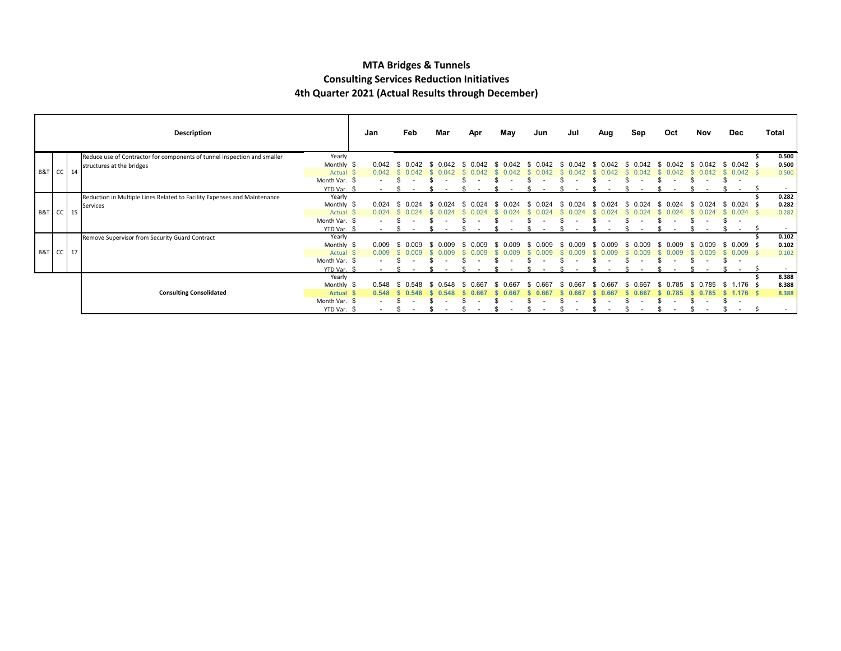#### **MTA Bridges & Tunnels Consulting Services Reduction Initiatives 4th Quarter 2021 (Actual Results through December)**

|                      |  | Description                                                              |               | Jan                      | Feb          | Mar          | Apr          | May       | Jun          | Jul   | Aug           | Sep          | Oct          | Nov            | Dec                             | Total        |
|----------------------|--|--------------------------------------------------------------------------|---------------|--------------------------|--------------|--------------|--------------|-----------|--------------|-------|---------------|--------------|--------------|----------------|---------------------------------|--------------|
|                      |  | Reduce use of Contractor for components of tunnel inspection and smaller | Yearly        |                          |              |              |              |           |              |       |               |              |              |                |                                 | 0.500        |
|                      |  | structures at the bridges                                                | Monthly \$    | 0.042                    | በ በ42        | 0.042        |              | (11) (12) | በ በ42        | በ በ42 | በ በ42<br>- 96 | በ በ42<br>ж.  | በ በ42        | በ በ42<br>- 35  | $0.042 \leq$<br>- \$            | 0.500        |
| B&T CC 14            |  |                                                                          | Actual \$     | 0.042                    | (1(14)       |              |              |           |              |       |               |              |              |                | $0.042 \quad$ \$                | 0.500        |
|                      |  |                                                                          | Month Var. \$ |                          |              |              |              |           |              |       |               |              |              | $\overline{a}$ | \$.<br>$\overline{\phantom{a}}$ |              |
|                      |  |                                                                          | YTD Var. \$   | $\sim$                   |              |              |              |           |              |       |               |              |              |                | $\sim$                          | -S<br>$\sim$ |
|                      |  | Reduction in Multiple Lines Related to Facility Expenses and Maintenance | Yearly        |                          |              |              |              |           |              |       |               |              |              |                |                                 | 0.282        |
|                      |  | Services                                                                 | Monthly \$    | 0.024                    |              |              | 0.024        |           |              |       |               | 0.024<br>£.  | . በ በ24      | 0.024<br>S.    | \$0.024\$                       | 0.282        |
| <b>B&amp;T</b> CC 15 |  |                                                                          | Actual        | 0.024                    |              |              |              |           |              |       |               |              |              | 0.024          | $0.024$ \$                      | 0.282        |
|                      |  |                                                                          | Month Var. \$ |                          |              |              |              |           |              |       |               |              |              |                |                                 |              |
|                      |  |                                                                          | YTD Var. \$   |                          |              |              |              |           |              |       |               |              |              |                |                                 | $\sim$       |
|                      |  | Remove Supervisor from Security Guard Contract                           | Yearly        |                          |              |              |              |           |              |       |               |              |              |                |                                 | 0.102        |
|                      |  |                                                                          | Monthly \$    | 0.009                    |              | n nng        | n nng<br>-93 | nna       | n nng<br>-96 |       | 0.009<br>£.   | 0.009<br>Яб. | 0.009        | 0.009<br>S.    | $0.009$ \$<br>-SS               | 0.102        |
| <b>B&amp;T</b> CC 17 |  |                                                                          | Actual \$     | 0.009                    |              |              |              |           |              |       |               |              |              | 0.009          | $0.009$ \$                      | 0.102        |
|                      |  |                                                                          | Month Var. \$ | $\overline{\phantom{a}}$ |              |              |              |           |              |       |               |              | $\sim$       | $\sim$         | \$.<br>. .                      |              |
|                      |  |                                                                          | YTD Var.      |                          |              |              |              |           |              |       |               |              |              |                | $\sim$                          |              |
|                      |  |                                                                          | Yearly        |                          |              |              |              |           |              |       |               |              |              |                |                                 | 8.388        |
|                      |  |                                                                          | Monthly \$    | 0.548                    | 0.548<br>-86 | 0.548<br>-95 | 0.66<br>ж.   |           | 0 667        | 0.667 | <u>በ 667</u>  | 0 667<br>-86 | በ 785<br>-SS | 0.785<br>- 96  | $1.176$ \$<br>-SS               | 8.388        |
|                      |  | <b>Consulting Consolidated</b>                                           | <b>Actual</b> | 0.548                    |              |              |              |           |              |       |               |              |              | 0.785          | $1.176$ \$                      | 8.388        |
|                      |  |                                                                          | Month Var. \$ |                          |              |              |              |           |              |       |               |              |              |                | £.<br>$\overline{\phantom{a}}$  |              |
|                      |  |                                                                          | YTD Var. \$   | $\sim$                   |              |              |              |           |              |       |               |              |              |                | $-5$                            | $\sim$       |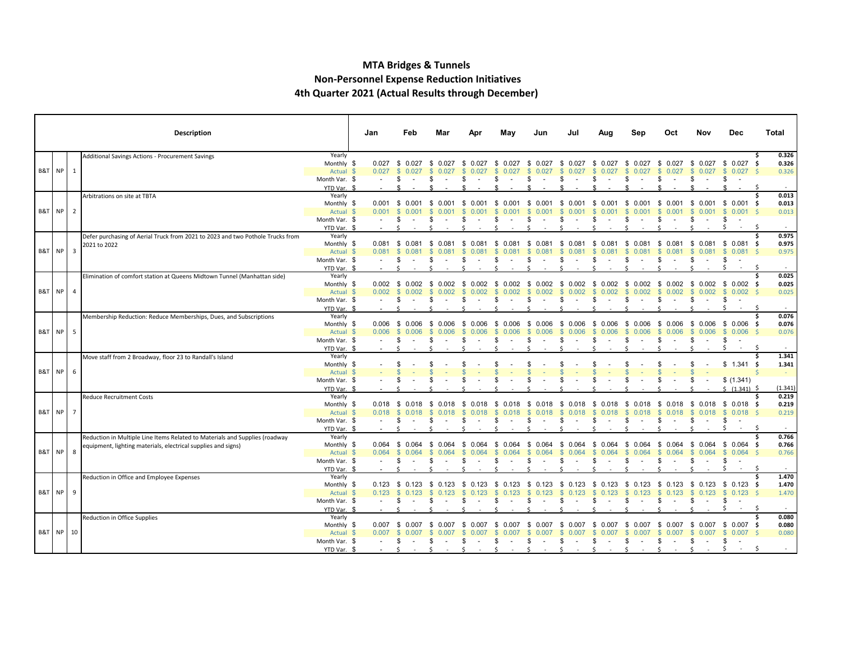#### **MTA Bridges & Tunnels Non-Personnel Expense Reduction Initiatives 4th Quarter 2021 (Actual Results through December)**

|                     |  | Description                                                                                                                                  |                                           | Jan   | Feb                                               | Mar               | Apr                    | May                                | Jun                              | Jul                           | Aua                         | Sep                                     | Oct                                    | Nov                                   | Dec                                                    | Total                                 |
|---------------------|--|----------------------------------------------------------------------------------------------------------------------------------------------|-------------------------------------------|-------|---------------------------------------------------|-------------------|------------------------|------------------------------------|----------------------------------|-------------------------------|-----------------------------|-----------------------------------------|----------------------------------------|---------------------------------------|--------------------------------------------------------|---------------------------------------|
| <b>B&amp;T NP 1</b> |  | Additional Savings Actions - Procurement Savings                                                                                             | Yearly<br>Monthly \$<br>Actual \$         | 0.027 | $0.027$ \$ 0.027<br><b>S</b><br>0.027             | \$ 0.027<br>0.027 | 0.027<br>- \$<br>0.027 | \$ 0.027<br>0.027                  | - \$<br>0.027<br>S<br>0.027      | \$ 0.027<br><b>S</b><br>0.027 | \$0.027<br>0.027            | 0.027<br>- \$<br>-S<br>0.027            | \$ 0.027<br>0.027                      | 0.027<br><b>S</b>                     | \$ 0.027 \$ 0.027 \$<br>$$0.027$ \$                    | 0.326<br>0.326<br>0.326               |
|                     |  |                                                                                                                                              | Month Var. \$<br>YTD Var. \$              |       | \$                                                | -85               | \$                     | - 35<br>$\sim$                     | \$.<br>$\sim$                    | \$                            | \$<br>$\sim$                | \$<br>$\sim$                            | \$<br>$\sim$                           | \$<br>$\sim$ $-$                      | \$                                                     | -Ş                                    |
| <b>B&amp;T</b> NP 2 |  | Arbitrations on site at TBTA                                                                                                                 | Yearly<br>Monthly \$<br>Actual \$         | 0.001 | $0.001 \quad $0.001 \quad $$<br><b>S</b><br>0.001 | 0.001             | \$<br>0.001            | \$ 0.001                           | - \$                             | $0.001 \quad $0.001$          | - \$<br>0.001               | - \$<br>0.001                           | \$ 0.001<br>0.001                      | - \$<br>-S<br>0.001                   | $0.001 \quad $0.001 \quad $$<br>$0.001$ \$<br><b>S</b> | 0.013<br>0.013<br>0.013               |
|                     |  |                                                                                                                                              | Month Var. \$<br>YTD Var. \$              |       | -96                                               |                   |                        |                                    |                                  | £.                            |                             |                                         |                                        |                                       | £.<br>$\sim$                                           | -Ś                                    |
| B&T NP 3            |  | Defer purchasing of Aerial Truck from 2021 to 2023 and two Pothole Trucks from<br>2021 to 2022                                               | Yearly<br>Monthly \$<br>Actual \$         | 0.081 | $0.081 \quad $0.081 \quad $$<br><b>S</b>          | 0.081             | - SS<br>0.081          | - \$<br>0.081<br>0.08 <sup>-</sup> | \$ 0.081 \$ 0.081<br>-96<br>0.08 | -SS<br>0.081                  | - \$<br>0.081<br>0.081      | 0.081<br>- \$<br>S.<br>0.081            | - \$<br>0.081<br>0.081                 | -S<br>- \$<br>0.081                   | $0.081$ \$ 0.081 \$<br>\$0.081                         | 0.975<br>0.975<br>0.975<br>- Ś        |
|                     |  |                                                                                                                                              | Month Var. \$<br>YTD Var. \$              |       |                                                   |                   | ¢                      |                                    |                                  | S                             |                             | \$.<br>¢                                |                                        | S                                     | S.<br>$\sim$<br>-S                                     | -\$                                   |
|                     |  | Elimination of comfort station at Queens Midtown Tunnel (Manhattan side)                                                                     | Yearly<br>Monthly \$                      |       | $0.002 \quad $0.002$                              | 0.002<br>- \$     | 0.002<br>- \$          | 0.002<br>- \$                      | 0.002<br>- \$                    | \$ 0.002                      | - \$<br>0.002               | - \$<br>0.002                           | 0.002<br>- \$                          | - \$                                  | $0.002 \quad $0.002 \quad $$                           | 0.025<br>0.025                        |
| <b>B&amp;T</b> NP 4 |  |                                                                                                                                              | Actual \$<br>Month Var. \$<br>YTD Var. \$ | 0.002 | \$0.002<br>-S                                     | 0.002<br>¢.       | £.<br>¢                | 0.002                              | $\mathbb{S}$<br>0.002<br>\$      | \$0.002<br>-S                 | 0.002<br>-S<br>\$<br>$\sim$ | $\mathbb{S}$<br>0.002<br>\$             | $\mathbb{S}$<br>0.002<br>\$.<br>$\sim$ | S.<br>0.002<br>\$<br>$\sim$           | \$0.002<br>\$<br>Ŝ.<br>$\sim$                          | 0.025<br>- \$                         |
|                     |  | Membership Reduction: Reduce Memberships, Dues, and Subscriptions                                                                            | Yearly<br>Monthly \$                      |       | $0.006$ \$ 0.006                                  | \$ 0.006          | - \$<br>0.006          | \$ 0.006                           | - \$<br>0.006                    | \$ 0.006                      | 0.006<br>- \$               | - \$<br>0.006                           | \$ 0.006                               | -S                                    | $0.006$ \$ 0.006 \$                                    | 0.076<br>0.076                        |
| <b>B&amp;T</b> NP 5 |  |                                                                                                                                              | Actual \$<br>Month Var. \$<br>YTD Var. \$ | 0.006 | <b>S</b><br>0.006<br>-96                          | 0.006             | 0.006<br>S             | 0.006                              | -S<br>0.006<br>S                 | $\mathbb{S}$<br>0.006<br>- \$ | 0.006<br>S                  | $\mathcal{F}$<br>0.006<br>\$.           | <b>R</b><br>0.006<br>\$.               | $\mathbb{S}$<br>0.006<br>\$           | \$0.006<br>\$<br>Ŝ.<br>$\sim$                          | - \$<br>0.076<br>- S                  |
|                     |  | Move staff from 2 Broadway, floor 23 to Randall's Island                                                                                     | Yearly<br>Monthly \$                      |       |                                                   |                   |                        |                                    |                                  |                               |                             |                                         |                                        |                                       | $$1.341$ \$                                            | 1.341<br>Ŝ.<br>1.341                  |
| <b>B&amp;T NP 6</b> |  |                                                                                                                                              | Actual \$<br>Month Var. \$<br>YTD Var. \$ |       |                                                   |                   |                        |                                    |                                  |                               |                             |                                         |                                        |                                       | \$(1.341)<br>$5(1.341)$ $5$                            | (1.341)                               |
|                     |  | <b>Reduce Recruitment Costs</b>                                                                                                              | Yearly<br>Monthly \$                      |       | $0.018 \quad $0.018$                              | - \$<br>0.018     | - \$<br>0.018          | \$ 0.018                           | - \$<br>0.018                    | \$ 0.018                      | - \$<br>0.018               | - \$<br>0.018                           | \$ 0.018                               |                                       | $$0.018$$ \$ 0.018 \$                                  | 0.219<br>0.219                        |
| <b>B&amp;T</b> NP 7 |  |                                                                                                                                              | Actual \$<br>Month Var. \$                | 0.018 | $\mathbb{S}$<br>0.018<br>- 35                     |                   | 0.018                  |                                    | -S<br>0.018                      | -S<br>0.018<br>-SS            | 0.018                       | 0.018<br>$\mathcal{F}$<br>S             | s.<br>0.018                            | 0.018<br>-S<br>S                      | \$0.018\$<br>\$                                        | 0.219<br>.S                           |
|                     |  | Reduction in Multiple Line Items Related to Materials and Supplies (roadway<br>equipment, lighting materials, electrical supplies and signs) | YTD Var. \$<br>Yearly<br>Monthly \$       | 0.064 | \$ 0.064                                          | \$<br>0.064       | \$<br>0.064            | \$<br>0.064                        | \$<br>0.064                      | \$ 0.064                      | - \$<br>0.064               | - \$<br>0.064                           | \$<br>0.064                            |                                       | $$0.064$ \$ 0.064 \$                                   | 0.766<br>Ś<br>0.766                   |
| B&T NP 8            |  |                                                                                                                                              | Actual \$<br>Month Var. \$                | 0.064 | <b>S</b><br>0.064<br>\$                           | 0.064             | 0.064<br>\$.           | 0.064                              | $\mathcal{F}$<br>0.064<br>\$     | $\mathcal{S}$<br>0.064<br>\$  | 0.064<br>-S<br>£.           | $\mathbb{S}$<br>0.064<br>\$             | $\mathbb{S}$<br>0.064<br>£.<br>$\sim$  | \$0.064<br>\$<br>$\sim$               | \$0.064\$<br>\$                                        | 0.766<br>- \$                         |
|                     |  | Reduction in Office and Employee Expenses                                                                                                    | YTD Var. \$<br>Yearly<br>Monthly \$       |       | $0.123 \quad $0.123$                              | - \$<br>0.123     | S.<br>0.123            | S.<br>0.123                        | - \$<br>0.123                    | \$<br>0.123                   | - \$<br>0.123               | S.<br>0.123                             | 0.123<br>- 5                           | \$ 0.123                              | \$ 0.123 \$                                            | 1.470<br>1.470                        |
| <b>B&amp;T NP 9</b> |  |                                                                                                                                              | Actual \$<br>Month Var. \$                | 0.123 | $\mathbb{S}$<br>0.123<br>\$                       | Яб.               | \$.                    | 123<br>£.                          | 0.123<br>\$<br>$\sim$            | $\mathbb{S}$<br>0.123<br>-S   | 0.123<br>S<br>$\sim$        | 0.123<br>\$                             | 0.123<br>\$<br>$\sim$                  | -S<br>0.123<br>\$<br>$\sim$           | \$0.123\$<br>\$                                        | 1.470                                 |
|                     |  | Reduction in Office Supplies                                                                                                                 | YTD Var. \$<br>Yearly<br>Monthly \$       | 0.007 | \$ 0.007                                          | \$ 0.007          | - \$<br>0.007          | \$ 0.007                           | \$<br>0.007                      | \$ 0.007                      | 0.007<br>- \$               | 0.007<br>- \$                           | \$ 0.007                               |                                       | -S<br>$\sim$<br>$$0.007$$ \$ 0.007 \$                  | - \$<br>$\sim$<br>0.080<br>Ś<br>0.080 |
| B&T NP 10           |  |                                                                                                                                              | Actual \$<br>Month Var. \$                | 0.007 | <b>S</b><br>0.007<br>\$                           | 0.007<br>\$       | 0.007<br>S             | 0.007<br>- 35                      | -S<br>0.007<br>S.<br>$\sim$      | -S<br>0.007<br>-S<br>$\sim$   | 0.007<br>-S<br>S<br>$\sim$  | <sup>S</sup><br>0.007<br>- \$<br>$\sim$ | \$0.007<br>- \$<br>$\sim 10^{-11}$     | $\mathbb{S}$<br>0.007<br>\$<br>$\sim$ | \$0.007S<br>\$                                         | 0.080                                 |
|                     |  |                                                                                                                                              | YTD Var. \$                               |       |                                                   |                   | ¢                      |                                    |                                  |                               |                             | $\ddot{\phantom{0}}$                    |                                        |                                       |                                                        | S                                     |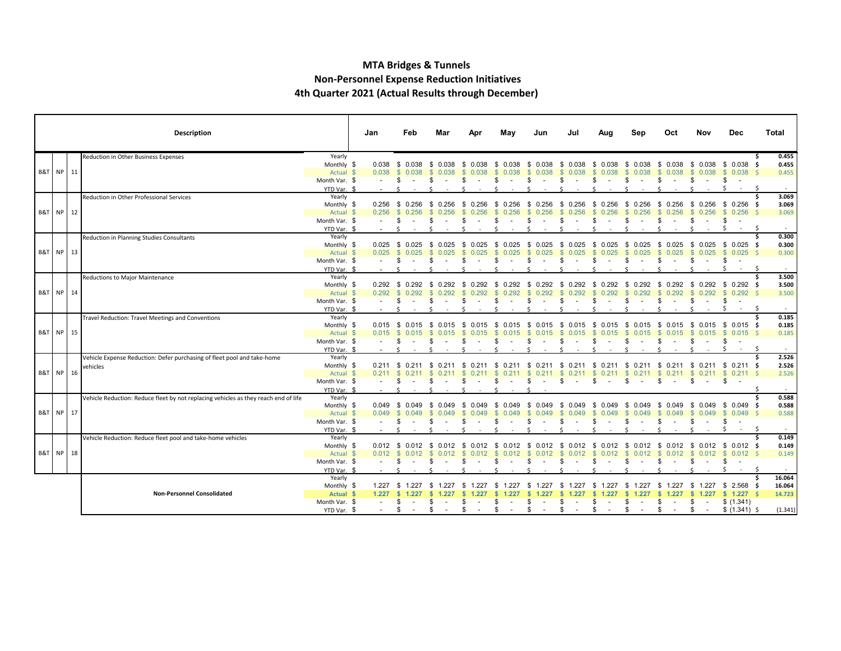#### **MTA Bridges & Tunnels Non-Personnel Expense Reduction Initiatives 4th Quarter 2021 (Actual Results through December)**

|                      |    | <b>Description</b>                                                                  |                         | Jan            | Feb                           | Mar                           | Apr                    | May                           | Jun                            | Jul                          | Aug                        | Sep                    | Oct                    | Nov                        | Dec                                       | Total            |
|----------------------|----|-------------------------------------------------------------------------------------|-------------------------|----------------|-------------------------------|-------------------------------|------------------------|-------------------------------|--------------------------------|------------------------------|----------------------------|------------------------|------------------------|----------------------------|-------------------------------------------|------------------|
|                      |    | Reduction in Other Business Expenses                                                | Yearly                  |                |                               |                               |                        |                               |                                |                              |                            |                        |                        |                            |                                           | 0.455            |
|                      |    |                                                                                     | Monthly \$              | 0.038          | \$ 0.038                      | -S<br>0.038                   | 0.038<br>-S            | 0.038<br>S                    | 0.038<br>-S                    | \$<br>0.038                  | 0.038<br>-S                | 0.038<br>- \$          | 0.038<br>S.            | 0.038<br>S.                | \$ 0.038                                  | 0.455            |
| B&T NP 11            |    |                                                                                     | Actual \$               | 0.038          | \$0.038                       | - SS<br>0.038                 | 0.038                  | 0.038                         | £.<br>0.038                    | <b>S</b><br>0.038            | 0.038<br><b>S</b>          | 0.038<br>-S            | 0.038<br>-S            | $\mathbb{S}$<br>0.038      | 0.038<br><b>S</b>                         | 0.455            |
|                      |    |                                                                                     | Month Var. \$           |                | -S                            |                               |                        |                               |                                | \$.                          |                            | -S                     |                        |                            | \$                                        | $\sim$           |
|                      |    | Reduction in Other Professional Services                                            | YTD Var. \$<br>Yearly   |                |                               |                               |                        |                               |                                |                              |                            |                        |                        |                            |                                           | 3.069            |
|                      |    |                                                                                     | Monthly \$              |                | $0.256$ \$ 0.256              | 0.256<br>- \$                 | \$<br>0.256            | 0.256<br>-S                   | 0.256<br>- \$                  | -\$<br>0.256                 | 0.256<br>\$                | - \$<br>0.256          | 0.256<br>S.            | S.                         | $0.256$ \$ 0.256                          | 3.069<br>- Ś     |
| <b>B&amp;T NP 12</b> |    |                                                                                     | Actual \$               | 0.256          | \$0.256                       | 0.256<br>-SS                  | 0.256                  | 0.256                         | 0.256<br><b>SS</b>             | <b>S</b><br>0.256            | 0.256<br>-S                | 0.256                  | <sup>S</sup><br>0.256  | s.<br>0.256                | <b>S</b><br>0.256                         | 3.069            |
|                      |    |                                                                                     | Month Var. \$           | $\sim$         | \$.                           |                               |                        |                               |                                | -S                           |                            | -S                     |                        |                            | \$                                        |                  |
|                      |    |                                                                                     | YTD Var. \$             |                |                               |                               |                        |                               |                                |                              |                            |                        |                        |                            | Ŝ.<br>$\sim$                              | -S<br>$\sim$     |
|                      |    | Reduction in Planning Studies Consultants                                           | Yearly                  |                |                               |                               |                        |                               |                                |                              |                            |                        |                        |                            |                                           | 0.300            |
|                      |    |                                                                                     | Monthly \$              | 0.025          | \$ 0.025                      | 0.025<br>-S                   | -S<br>0.025            | - \$<br>0.025                 | 0.025<br>-S                    | - \$<br>0.025                | 0.025<br>-SS               |                        | 0.025<br>- 35          | 0.025<br>S                 | \$0.025                                   | 0.300<br>- S     |
| B&T NP 13            |    |                                                                                     | Actual \$               | 0.025          | $\mathbb{S}$<br>0.025         | 0.025<br>-S                   | 0.025                  | 0.025                         | -8<br>0.025                    | - S<br>0.025                 | 0.025<br>- \$              | 0.025<br>-86           | 0.025<br><b>S</b>      | 0.025<br>-S                | $0.025$ \$<br>$\mathbb{S}$                | 0.300            |
|                      |    |                                                                                     | Month Var. \$           | $\blacksquare$ | -\$                           |                               | S                      | $\overline{\phantom{a}}$      | S<br>$\overline{\phantom{a}}$  | \$.<br>$\overline{a}$        | S                          | - \$                   | \$.<br>$\sim$          | \$<br>$\sim$               | \$<br>$\sim$                              |                  |
|                      |    |                                                                                     | YTD Var. \$             |                |                               |                               |                        |                               |                                |                              |                            |                        |                        |                            | $\sim$                                    | -S               |
|                      |    | Reductions to Major Maintenance                                                     | Yearly                  |                |                               |                               |                        |                               |                                |                              |                            |                        |                        |                            |                                           | 3.500            |
| B&T NP 14            |    |                                                                                     | Monthly \$<br>Actual \$ | 0.292          | <b>S</b><br>0.292             | $0.292$ \$ 0.292 \$ 0.292     | - \$<br>0.292          | 0.292<br>- \$<br>0.292        | 0.292<br>- 56                  | 0.292<br>- \$<br>-S<br>0.292 | 0.292<br>- \$              | 0.292<br>- \$          | 0.292<br>- 56<br>0.292 | - 5<br>0.292               | $0.292 \quad $0.292 \quad $$<br>\$0.292\$ | 3.500<br>3.500   |
|                      |    |                                                                                     | Month Var. \$           |                | \$                            |                               | S                      | -SS                           | S<br>$\sim$                    | - \$<br>$\sim$               | S<br>$\sim$                | - \$<br>$\sim$         | - 35<br>$\sim$         | \$<br>$\sim$               | \$<br>$\sim$                              |                  |
|                      |    |                                                                                     | YTD Var. \$             |                |                               |                               |                        |                               |                                |                              |                            |                        |                        |                            | -S<br>$\sim$                              | -S<br>$\sim$     |
|                      |    | Travel Reduction: Travel Meetings and Conventions                                   | Yearly                  |                |                               |                               |                        |                               |                                |                              |                            |                        |                        |                            |                                           | 0.185            |
|                      |    |                                                                                     | Monthly \$              |                |                               | $0.015$ \$ 0.015 \$ 0.015     | - \$<br>0.015          | - \$<br>0.015                 | - S<br>0.015                   | - \$<br>0.015                | - 5<br>0.015               | - 56<br>0.015          | - 56<br>0.015          | - S                        | $0.015$ \$ 0.015 \$                       | 0.185            |
| <b>B&amp;T NP 15</b> |    |                                                                                     | Actual \$               | $0.015$ \$     | 0.015                         |                               |                        |                               |                                |                              |                            |                        |                        | 0.015                      | $0.015$ \$<br>- SS                        | 0.185            |
|                      |    |                                                                                     | Month Var. \$           |                |                               |                               |                        |                               |                                |                              |                            |                        |                        | S                          | -\$                                       |                  |
|                      |    |                                                                                     | YTD Var. \$             |                |                               |                               |                        |                               |                                |                              |                            |                        |                        |                            | -S<br>$\sim$                              | -S<br>$\sim$     |
|                      |    | Vehicle Expense Reduction: Defer purchasing of fleet pool and take-home             | Yearly                  |                |                               |                               |                        |                               |                                |                              |                            |                        |                        |                            |                                           | 2.526            |
|                      |    | vehicles                                                                            | Monthly \$              |                | $0.211 \quad $0.211$          | - \$<br>0.211                 | - \$<br>0.211          | - \$<br>0.211                 | - \$<br>0.211                  |                              | \$ 0.211 \$ 0.211 \$       | 0.211                  | $\mathbb{S}$<br>0.211  | - \$                       | $0.211$ \$ 0.211 \$                       | 2.526            |
| B&T NP               | 16 |                                                                                     | Actual \$               | 0.211          | - \$<br>0.211                 |                               |                        |                               |                                | - \$                         | -S                         |                        | 0.211                  | -S                         | $0.211$ \$ 0.211 \$                       | 2.526            |
|                      |    |                                                                                     | Month Var. \$           |                | \$.                           |                               | \$                     |                               | \$                             | \$                           |                            |                        |                        |                            | -S                                        |                  |
|                      |    | Vehicle Reduction: Reduce fleet by not replacing vehicles as they reach end of life | YTD Var. \$<br>Yearly   |                |                               |                               |                        |                               |                                |                              |                            |                        |                        |                            |                                           | 0.588            |
|                      |    |                                                                                     | Monthly \$              | 0.049          | \$ 0.049                      | 0.049<br>-S                   | 0.049<br>-8            | -S<br>0.049                   | \$<br>0.049                    | -\$<br>0.049                 | -S<br>0.049                | 0.049                  | 0.049                  | 0.049<br>£.                | \$0.049                                   | 0.588            |
| B&T NP 17            |    |                                                                                     | Actual \$               | 0.049          | \$0.049                       | 0.049<br>-S                   | $\mathbf{\$}$<br>0.049 | $\mathbb{S}$<br>0.049         | 0.049<br>$\mathcal{F}$         | <b>S</b><br>0.049            | <b>S</b><br>0.049          | 0.049<br>-S            | $\mathbf{s}$<br>0.049  | $\mathbb{S}$<br>0.049      | \$0.049                                   | 0.588            |
|                      |    |                                                                                     | Month Var. \$           |                | \$                            |                               |                        |                               |                                |                              |                            |                        |                        |                            | \$                                        |                  |
|                      |    |                                                                                     | YTD Var. \$             |                |                               |                               |                        |                               |                                |                              |                            |                        |                        |                            | $\sim$                                    | -S<br>$\sim$     |
|                      |    | Vehicle Reduction: Reduce fleet pool and take-home vehicles                         | Yearly                  |                |                               |                               |                        |                               |                                |                              |                            |                        |                        |                            |                                           | 0.149            |
|                      |    |                                                                                     | Monthly \$              | 0.012          | \$<br>0.012                   | 0.012                         |                        | 0.012                         | - 35                           | - \$<br>0.012                |                            | 0.012                  |                        | 0.012                      | $$0.012$ \$                               | 0.149            |
| B&T NP 18            |    |                                                                                     | Actual \$               | 0.012          | $\mathbf{\$}$<br>0.012        | 0.012                         |                        |                               | 0.012                          | -S<br>0.012                  | 0.012                      | 0.012                  | 0.012                  | -S                         | $0.012 \quad $0.012 \quad $$              | 0.149            |
|                      |    |                                                                                     | Month Var. \$           |                | -\$                           |                               | £.                     |                               | £.                             | \$                           | £.                         | \$                     |                        | \$<br>$\sim$               | \$<br>$\sim$                              |                  |
|                      |    |                                                                                     | YTD Var. \$             |                |                               |                               |                        |                               |                                |                              |                            |                        |                        |                            |                                           |                  |
|                      |    |                                                                                     | Yearly                  |                |                               |                               |                        |                               |                                |                              |                            |                        |                        |                            |                                           | 16.064<br>-Ś     |
|                      |    | <b>Non-Personnel Consolidated</b>                                                   | Monthly \$<br>Actual \$ | 1.227          | 1.227 \$ 1.227<br>-S<br>1.227 | 1.227<br>- \$<br>-SS<br>1.227 | - \$                   | S.                            | .227<br>- 35<br>1.227          | - \$<br>1.227<br>1.227       | 1.227<br>- 5<br>s<br>1.227 | 1.227<br>- 56<br>1.227 | S.<br>1.227<br>1.227   | 1.227<br>S.<br>1.227<br>s. | $$2.568$ \$<br>$$1.227$ \$                | 16.064<br>14.723 |
|                      |    |                                                                                     | Month Var. \$           |                | \$<br>$\sim$                  | S.                            | S                      |                               | \$.                            | -S<br>$\sim$                 | S                          | S.                     |                        | \$<br>$\sim$ $-$           | \$(1.341)                                 |                  |
|                      |    |                                                                                     | YTD Var. \$             |                | \$<br>$\sim$                  | \$                            | \$<br>$\sim$           | S<br>$\overline{\phantom{a}}$ | \$<br>$\overline{\phantom{a}}$ | \$<br>$\sim$                 | \$                         | \$                     |                        | \$<br>$\sim$               | \$ (1.341) \$                             | (1.341)          |
|                      |    |                                                                                     |                         |                |                               |                               |                        |                               |                                |                              |                            |                        |                        |                            |                                           |                  |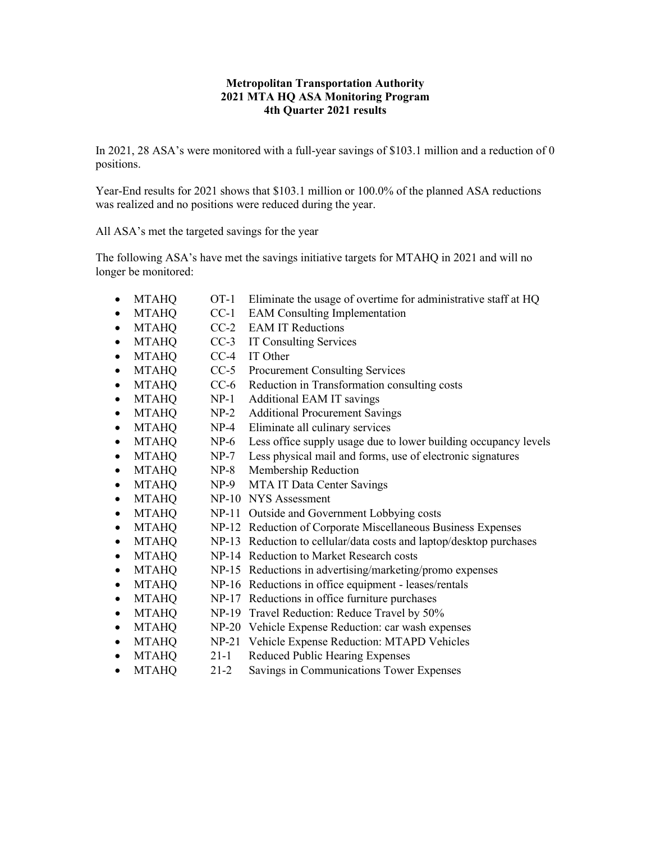#### **Metropolitan Transportation Authority 2021 MTA HQ ASA Monitoring Program 4th Quarter 2021 results**

In 2021, 28 ASA's were monitored with a full-year savings of \$103.1 million and a reduction of 0 positions.

Year-End results for 2021 shows that \$103.1 million or 100.0% of the planned ASA reductions was realized and no positions were reduced during the year.

All ASA's met the targeted savings for the year

The following ASA's have met the savings initiative targets for MTAHQ in 2021 and will no longer be monitored:

- MTAHQ OT-1 Eliminate the usage of overtime for administrative staff at HQ
- MTAHO CC-1 EAM Consulting Implementation
- MTAHO CC-2 EAM IT Reductions
- MTAHQ CC-3 IT Consulting Services
- MTAHQ CC-4 IT Other
- MTAHQ CC-5 Procurement Consulting Services
- MTAHQ CC-6 Reduction in Transformation consulting costs
- MTAHQ NP-1 Additional EAM IT savings
- MTAHQ NP-2 Additional Procurement Savings
- MTAHQ NP-4 Eliminate all culinary services
- MTAHQ NP-6 Less office supply usage due to lower building occupancy levels
- MTAHQ NP-7 Less physical mail and forms, use of electronic signatures
- MTAHO NP-8 Membership Reduction
- MTAHO NP-9 MTA IT Data Center Savings
- MTAHQ NP-10 NYS Assessment
- MTAHQ NP-11 Outside and Government Lobbying costs
- MTAHQ NP-12 Reduction of Corporate Miscellaneous Business Expenses
- MTAHQ NP-13 Reduction to cellular/data costs and laptop/desktop purchases
- MTAHQ NP-14 Reduction to Market Research costs
- MTAHQ NP-15 Reductions in advertising/marketing/promo expenses
- MTAHQ NP-16 Reductions in office equipment leases/rentals
- MTAHQ NP-17 Reductions in office furniture purchases
- MTAHQ NP-19 Travel Reduction: Reduce Travel by 50%
- MTAHQ NP-20 Vehicle Expense Reduction: car wash expenses
- MTAHQ NP-21 Vehicle Expense Reduction: MTAPD Vehicles
- MTAHO 21-1 Reduced Public Hearing Expenses
- MTAHQ 21-2 Savings in Communications Tower Expenses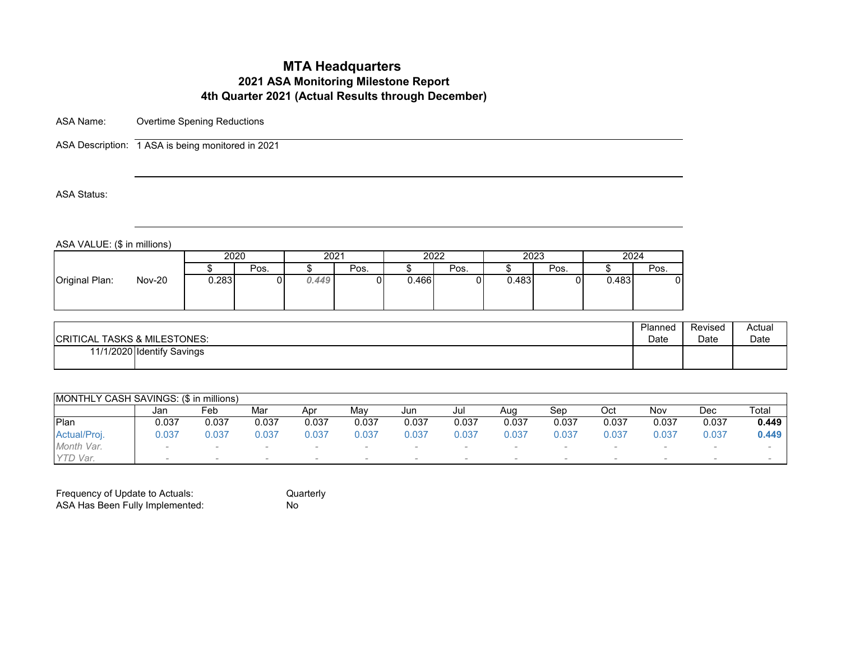ASA Name: Overtime Spening Reductions

ASA Description: 1 ASA is being monitored in 2021

ASA Status:

ASA VALUE: (\$ in millions)

|                                 | 2020  |      | 2021  |      | 2022  |      | 2023  |      | 2024  |      |
|---------------------------------|-------|------|-------|------|-------|------|-------|------|-------|------|
|                                 |       | Pos. |       | Pos. |       | Pos. |       | Pos. |       | Pos. |
| <b>Nov-20</b><br>Original Plan: | 0.283 |      | 0.449 |      | 0.466 |      | 0.483 |      | 0.483 |      |

| <b>CRITICAL TASKS &amp; MILESTONES:</b> | Planned | Revised | Actual |
|-----------------------------------------|---------|---------|--------|
|                                         | Date    | Date    | Date   |
| 11/1/2020 Identify Savings              |         |         |        |

| MONTHLY CASH SAVINGS: (\$ in millions) |        |       |       |       |       |       |       |       |       |                          |       |        |       |
|----------------------------------------|--------|-------|-------|-------|-------|-------|-------|-------|-------|--------------------------|-------|--------|-------|
|                                        | Jan    | Feb   | Mar   | Apr   | Mav   | Jun   | Jul   | Aua   | Sep   | Oct                      | Nov   | Dec    | Total |
| Plan                                   | 0.037  | 0.037 | 0.037 | 0.037 | 0.037 | 0.037 | 0.037 | 0.037 | 0.037 | 0.037                    | 0.037 | 0.037  | 0.449 |
| Actual/Proj.                           | J.037  | J.037 | 0.037 | 0.037 | 0.037 | 0.037 | 0.037 | 0.037 | 0.037 | 0.037                    | 0.037 | 0.037  | 0.449 |
| Month Var.                             | $\sim$ |       |       |       |       |       |       |       |       |                          |       |        |       |
| YTD Var.                               | $\sim$ |       |       |       |       |       |       |       |       | $\overline{\phantom{a}}$ |       | $\sim$ |       |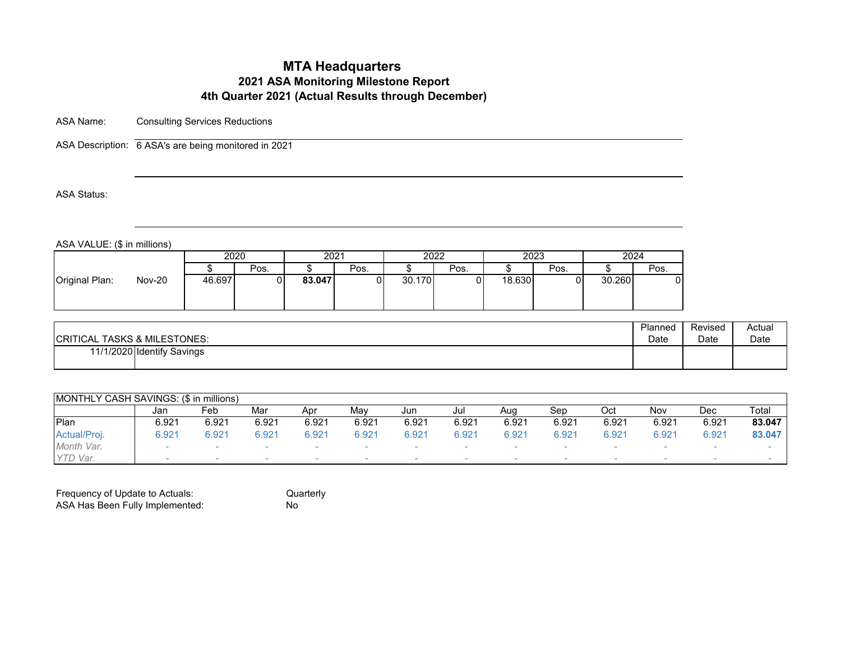ASA Name: Consulting Services Reductions

ASA Description: 6 ASA's are being monitored in 2021

ASA Status:

ASA VALUE: (\$ in millions)

| 2020<br>2023<br>2024<br>2022<br>2021<br>Pos.<br>Pos.<br>Pos.<br>Pos.<br>Pos.<br><b>Nov-20</b><br>46.697<br>30.260<br>83.047<br>30.170<br>18.630<br>υı | . <i>.</i><br>. |  |  |  |  |  |
|-------------------------------------------------------------------------------------------------------------------------------------------------------|-----------------|--|--|--|--|--|
|                                                                                                                                                       |                 |  |  |  |  |  |
|                                                                                                                                                       |                 |  |  |  |  |  |
|                                                                                                                                                       | Original Plan:  |  |  |  |  |  |

| <b>CRITICAL TASKS &amp; MILESTONES:</b> | Planned | Revised | Actual |
|-----------------------------------------|---------|---------|--------|
|                                         | Date    | Date    | Date   |
| 11/1/2020 Identify Savings              |         |         |        |

| <b>IMONTHLY CASH SAVINGS: (\$ in millions)</b> |                          |        |       |                |       |        |       |        |       |        |       |        |        |
|------------------------------------------------|--------------------------|--------|-------|----------------|-------|--------|-------|--------|-------|--------|-------|--------|--------|
|                                                | Jan                      | Feb    | Mar   | Apr            | Mav   | Jun    | Jul   | Aug    | Sep   | Oct    | Nov   | Dec    | Total  |
| <b>IPlan</b>                                   | 6.921                    | 6.921  | 6.921 | 6.921          | 6.921 | 6.921  | 6.921 | 6.921  | 6.921 | 6.921  | 6.921 | 6.921  | 83.047 |
| Actual/Proj.                                   | 0.921                    | 6.921  | 6.921 | $6.92^{\circ}$ | 6.921 | 6.921  | 6.921 | 6.921  | 6.921 | 6.921  | 6.921 | 6.921  | 83.047 |
| Month Var.                                     | $\overline{\phantom{a}}$ | $\sim$ |       |                |       |        |       | $\sim$ |       | $\sim$ |       |        |        |
| YTD Var.                                       |                          | $\sim$ |       | $\sim$         |       | $\sim$ |       | $\sim$ |       | $\sim$ |       | $\sim$ |        |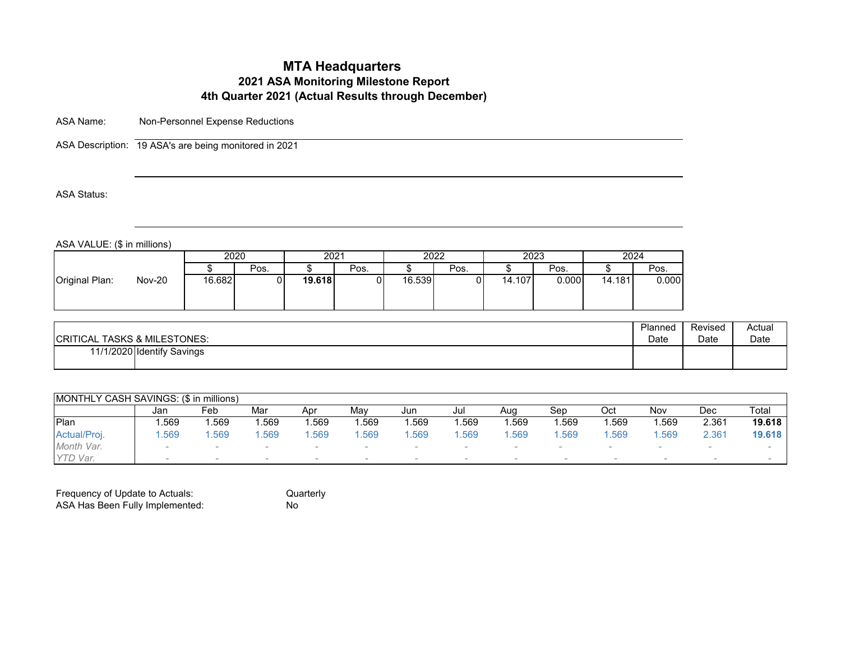ASA Name: Non-Personnel Expense Reductions

ASA Description: 19 ASA's are being monitored in 2021

ASA Status:

ASA VALUE: (\$ in millions)

|                                 |        | 2020 |        | 2021 |        | 2022 |        | 2023  | 2024   |       |
|---------------------------------|--------|------|--------|------|--------|------|--------|-------|--------|-------|
|                                 |        | Pos. |        | Pos. |        | Pos. |        | Pos.  |        | Pos.  |
| <b>Nov-20</b><br>Original Plan: | 16.682 |      | 19.618 |      | 16.539 | 01   | 14.107 | 0.000 | 14.181 | 0.000 |

| <b>CRITICAL TASKS &amp; MILESTONES:</b> | Planned | Revised | Actual |
|-----------------------------------------|---------|---------|--------|
|                                         | Date    | Date    | Date   |
| 11/1/2020 Identify Savings              |         |         |        |

| <b>IMONTHLY CASH SAVINGS: (\$ in millions)</b> |        |      |      |      |      |      |      |      |        |      |        |       |        |
|------------------------------------------------|--------|------|------|------|------|------|------|------|--------|------|--------|-------|--------|
|                                                | Jan    | Feb  | Mar  | Apr  | Mav  | Jun  | Jul  | Aug  | Sep    | Oct  | Nov    | Dec   | Total  |
| <b>IPlan</b>                                   | .569   | .569 | .569 | .569 | .569 | .569 | .569 | .569 | .569   | .569 | .569   | 2.361 | 19.618 |
| Actual/Proj.                                   | .569   | .569 | .569 | .569 | .569 | .569 | .569 | .569 | .569   | .569 | .569   | 2.361 | 19.618 |
| Month Var.                                     | $\sim$ |      |      |      |      |      |      |      |        |      |        |       |        |
| YTD Var.                                       |        |      |      |      |      |      |      |      | $\sim$ |      | $\sim$ |       |        |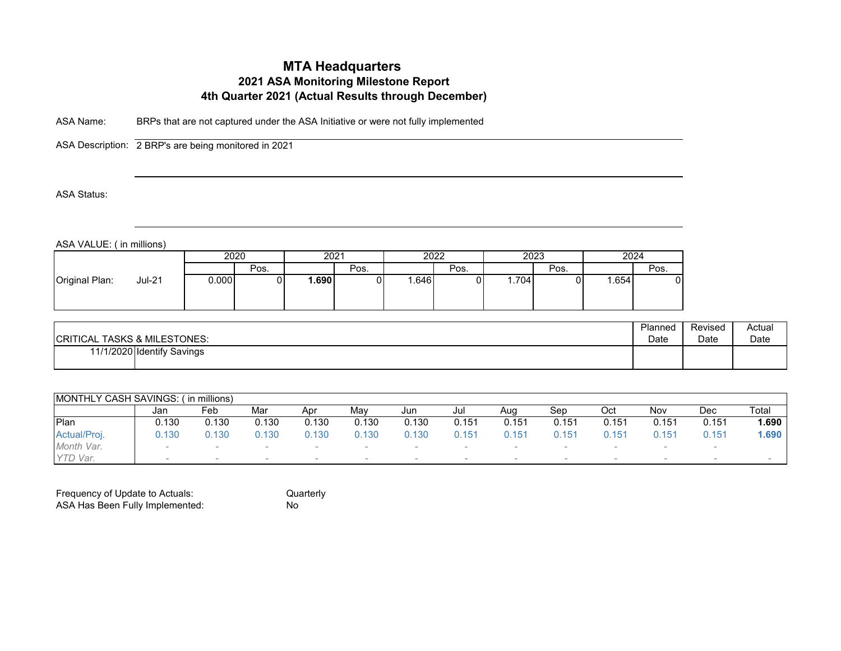ASA Name: BRPs that are not captured under the ASA Initiative or were not fully implemented

ASA Description: 2 BRP's are being monitored in 2021

ASA Status:

ASA VALUE: ( in millions)

| 2023<br>2020<br>2024<br>2022<br>2021<br>Pos.<br>Pos.<br>Pos.<br>Pos.<br>Pos.<br>Original Plan:<br>.690<br>0.000<br><b>Jul-21</b><br>.646<br>ا 704.،<br>.654<br>01 |  |  |  |  |  |  |
|-------------------------------------------------------------------------------------------------------------------------------------------------------------------|--|--|--|--|--|--|
|                                                                                                                                                                   |  |  |  |  |  |  |
|                                                                                                                                                                   |  |  |  |  |  |  |
|                                                                                                                                                                   |  |  |  |  |  |  |

| <b>CRITICAL TASKS &amp; MILESTONES:</b> | Planned | Revised | Actual |
|-----------------------------------------|---------|---------|--------|
|                                         | Date    | Date    | Date   |
| 11/1/2020 Identify Savings              |         |         |        |

| <b>MONTHLY CASH SAVINGS:</b> |                          | ín millions)             |       |        |       |        |       |        |       |        |                          |                          |       |
|------------------------------|--------------------------|--------------------------|-------|--------|-------|--------|-------|--------|-------|--------|--------------------------|--------------------------|-------|
|                              | Jan                      | Feb                      | Mar   | Apr    | Mav   | Jun    | Jul   | Aug    | Sep   | Oct    | Nov                      | Dec                      | Total |
| Plan                         | 0.130                    | 0.130                    | 0.130 | 0.130  | 0.130 | 0.130  | 0.151 | 0.151  | 0.151 | 0.151  | 0.151                    | 0.151                    | 1.690 |
| Actual/Proj.                 | 0.130                    | 0.130                    | 0.130 | 0.130  | 0.130 | 0.130  | 0.151 | 0.151  | 0.151 | 0.151  | 0.151                    | 0.151                    | 1.690 |
| Month Var.                   | $\overline{\phantom{a}}$ | $\overline{\phantom{a}}$ |       |        |       |        |       | $\sim$ |       | $\sim$ |                          | $\overline{\phantom{a}}$ |       |
| YTD Var.                     | $\sim$                   | $\sim$                   |       | $\sim$ |       | $\sim$ |       | $\sim$ |       | $\sim$ | $\overline{\phantom{a}}$ | $\overline{\phantom{a}}$ |       |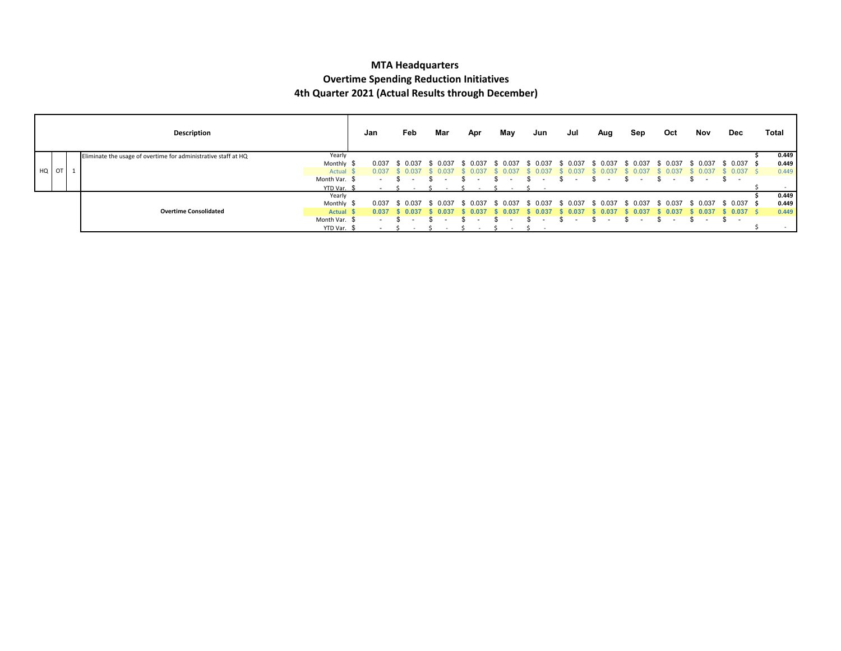#### **MTA Headquarters Overtime Spending Reduction Initiatives 4th Quarter 2021 (Actual Results through December)**

|       |  | Description                                                    |               | Jan    | Feb                      | Mar   | Apr           | May            | Jun           | Jul      | Aug   | Sep   | Oct                    | Nov                      | Dec          | Total |
|-------|--|----------------------------------------------------------------|---------------|--------|--------------------------|-------|---------------|----------------|---------------|----------|-------|-------|------------------------|--------------------------|--------------|-------|
|       |  | Eliminate the usage of overtime for administrative staff at HQ | Yearly        |        |                          |       |               |                |               |          |       |       |                        |                          |              | 0.449 |
|       |  |                                                                | Monthly \$    | 0.037  | \$ 0.037                 | 0.037 | \$ 0.037      | \$ 0.037       | \$ 0.037      | \$ 0.037 | 0.037 | 0.037 | 0.037<br>$\mathcal{F}$ | \$ 0.037                 | \$ 0.037 \$  | 0.449 |
| HQ OT |  |                                                                | Actual        | 0.037  |                          | 0.037 |               | -0.03          |               |          | 0.037 |       | 0.03                   |                          | $0.037$ \$   | 0.449 |
|       |  |                                                                | Month Var. \$ | $\sim$ |                          |       |               |                |               |          |       |       |                        |                          | S.<br>$\sim$ |       |
|       |  |                                                                | YTD Var. \$   | $\sim$ |                          |       | $\sim$ $\sim$ |                |               |          |       |       |                        |                          |              |       |
|       |  |                                                                | Yearly        |        |                          |       |               |                |               |          |       |       |                        |                          |              | 0.449 |
|       |  |                                                                | Monthly \$    | 0.037  | \$ 0.037                 | 0.037 | \$ 0.037      | \$ 0.037       | \$ 0.037      | . በ በ37  | 0.037 | 0.037 | 0.037                  | 0.037                    | \$ 0.037     | 0.449 |
|       |  | <b>Overtime Consolidated</b>                                   | Actual \$     | 0.037  | 0.037                    | 0.037 | 0.03          | $0.03^{\circ}$ | $.03^{\circ}$ | 0.03     | 0.037 | 0.03  | 0.037                  | 0.037                    | 0.037        | 0.449 |
|       |  |                                                                | Month Var. \$ | $\sim$ | $\overline{\phantom{a}}$ |       |               |                |               | -        |       |       |                        | $\overline{\phantom{a}}$ | S.<br>$\sim$ |       |
|       |  |                                                                | YTD Var. \$   |        |                          |       |               |                |               |          |       |       |                        |                          |              |       |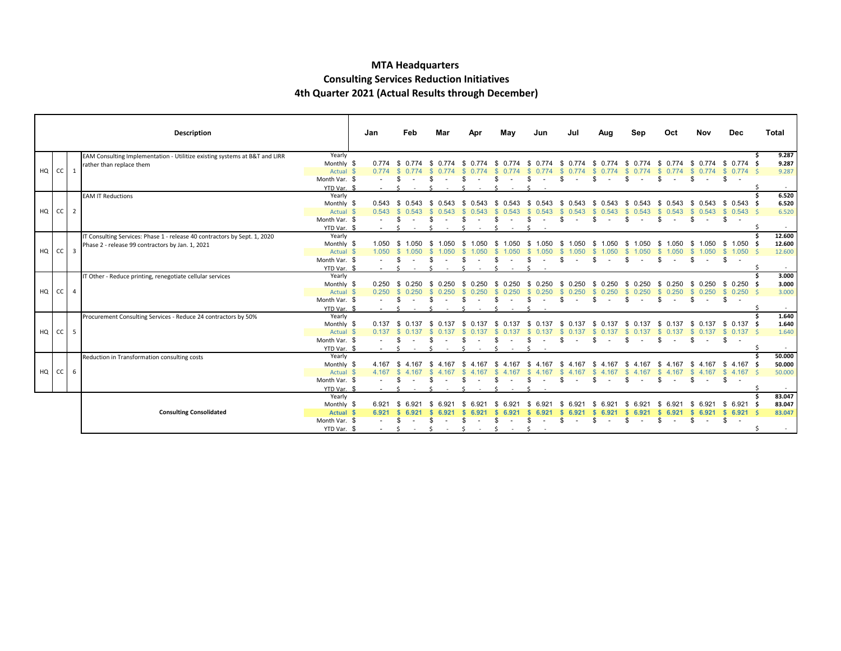#### **MTA Headquarters Consulting Services Reduction Initiatives 4th Quarter 2021 (Actual Results through December)**

|    |               |                | Description                                                                |               | Jan            | Feb           | Mar           | Apr          | May          | Jun           | Jul           | Aug           | Sep          | Oct                            | Nov          | <b>Dec</b>                     | Total  |
|----|---------------|----------------|----------------------------------------------------------------------------|---------------|----------------|---------------|---------------|--------------|--------------|---------------|---------------|---------------|--------------|--------------------------------|--------------|--------------------------------|--------|
|    |               |                | EAM Consulting Implementation - Utilitize existing systems at B&T and LIRR | Yearly        |                |               |               |              |              |               |               |               |              |                                |              |                                | 9.287  |
|    |               |                | rather than replace them                                                   | Monthly \$    | 0.774          | -93           |               |              |              |               |               |               |              |                                | -96          | 0.774<br>- SS                  | 9.287  |
| HQ | <sub>cc</sub> | $\mathbf{1}$   |                                                                            | Actual \$     | 0.774          |               |               |              |              |               |               |               |              |                                |              | $0.774 \quad S$                | 9.287  |
|    |               |                |                                                                            | Month Var. \$ |                |               |               |              |              |               | я.            |               | -96          | £.<br>$\overline{\phantom{a}}$ | \$<br>$\sim$ | \$                             |        |
|    |               |                |                                                                            | YTD Var. \$   |                |               |               |              |              |               |               |               |              |                                |              |                                | $\sim$ |
|    |               |                | <b>EAM IT Reductions</b>                                                   | Yearly        |                |               |               |              |              |               |               |               |              |                                |              |                                | 6.520  |
|    |               |                |                                                                            | Monthly \$    | 0.543          | - \$<br>0.543 | - \$<br>0.543 |              |              | 0.543<br>- 96 | - SS<br>0.543 |               | 543          | Яб.<br>0.543                   | -SS          | $0.543$ \$ 0.543 \$            | 6.520  |
| HQ | $CC$ 2        |                |                                                                            | Actual \$     | $0.543$ \$     | 0.543         |               |              |              |               |               | -SS<br>0.543  | 543          | 0.543                          | -S           | $0.543$ \$ $0.543$ \$          | 6.520  |
|    |               |                |                                                                            | Month Var. \$ |                |               |               |              |              |               |               |               | -86          | £.                             | S.           | \$<br>$\overline{\phantom{a}}$ |        |
|    |               |                |                                                                            | YTD Var. \$   |                |               |               |              |              |               |               |               |              |                                |              |                                |        |
|    |               |                | IT Consulting Services: Phase 1 - release 40 contractors by Sept. 1, 2020  | Yearly        |                |               |               |              |              |               |               |               |              |                                |              |                                | 12.600 |
|    |               |                | Phase 2 - release 99 contractors by Jan. 1, 2021                           | Monthly \$    | 1.050          | -96<br>1.050  |               |              |              |               | - 96<br>1.050 |               |              | S.<br>1.050                    | 1.050<br>-SS | \$1.050 \$                     | 12.600 |
| HQ | $CC$ 3        |                |                                                                            | Actual \$     | 1.050          |               |               |              |              |               |               |               |              | 1.050                          | 1.050        | $\mathbb{S}$<br>$1.050$ \$     | 12.600 |
|    |               |                |                                                                            | Month Var. \$ |                |               |               |              |              |               |               |               |              | $\sim$                         | \$<br>$\sim$ | \$                             |        |
|    |               |                |                                                                            | YTD Var. \$   |                |               |               |              |              |               |               |               |              |                                |              |                                | $\sim$ |
|    |               |                | IT Other - Reduce printing, renegotiate cellular services                  | Yearly        |                |               |               |              |              |               |               |               |              |                                |              |                                | 3.000  |
|    |               |                |                                                                            | Monthly \$    | 0.250          | \$ 0.250      | 0.250<br>- \$ |              |              | 0.250<br>- \$ | - \$<br>0.250 | 0.250<br>- \$ | 0.250<br>-SS | -SS<br>0.250                   |              | $$0.250$ \$ 0.250 \$           | 3.000  |
| HQ | $CC$ 4        |                |                                                                            | Actual \$     | 0.250          | \$ 0.250      |               |              |              |               | -SS           | -S<br>0.250   | 0.250        | 0.250                          | -SS          | $0.250$ \$ 0.250 \$            | 3.000  |
|    |               |                |                                                                            | Month Var. \$ |                |               |               |              |              |               |               |               |              |                                |              | -S                             |        |
|    |               |                |                                                                            | YTD Var. \$   |                |               |               |              |              |               |               |               |              |                                |              |                                |        |
|    |               |                | Procurement Consulting Services - Reduce 24 contractors by 50%             | Yearly        |                |               |               |              |              |               |               |               |              |                                |              |                                | 1.640  |
|    |               |                |                                                                            | Monthly \$    | 0.137          |               |               |              |              |               |               |               |              | -96                            |              | 0.137                          | 1.640  |
| HQ | cc            | 5 <sup>5</sup> |                                                                            | Actual \$     | 0.137          |               |               |              |              |               |               |               |              |                                |              | $0.137 \quad$ \$<br>- S        | 1.640  |
|    |               |                |                                                                            | Month Var. \$ |                |               |               |              |              |               | £.            |               | - \$         | \$.<br>$\sim$                  | \$<br>$\sim$ | \$                             |        |
|    |               |                |                                                                            | YTD Var. \$   |                |               |               |              |              |               |               |               |              |                                |              |                                | $\sim$ |
|    |               |                | Reduction in Transformation consulting costs                               | Yearly        |                |               |               |              |              |               |               |               |              |                                |              |                                | 50.000 |
|    |               |                |                                                                            | Monthly \$    | 4.167          |               | -167          |              |              |               |               |               |              |                                |              | 4.167<br>-SS                   | 50.000 |
| HQ | cc            | 6              |                                                                            | Actual \$     | 4.167          |               |               |              |              |               |               |               |              | 4.167                          |              | $4.167 \quad$ \$<br>- S        | 50.000 |
|    |               |                |                                                                            | Month Var. \$ |                |               |               |              |              |               |               |               |              |                                |              | -S                             |        |
|    |               |                |                                                                            | YTD Var. \$   |                |               |               |              |              |               |               |               |              |                                |              |                                |        |
|    |               |                |                                                                            | Yearly        |                |               |               |              |              |               |               |               |              |                                |              |                                | 83.047 |
|    |               |                |                                                                            | Monthly \$    | $6.92^{\circ}$ |               |               |              |              |               |               |               |              |                                | 6.921        | 6.921 S<br>S.                  | 83.047 |
|    |               |                | <b>Consulting Consolidated</b>                                             | Actual \$     | 6.921          |               |               |              |              |               |               |               |              |                                |              | $6.921$ \$                     | 83.047 |
|    |               |                |                                                                            | Month Var. \$ |                | S             |               |              |              |               |               |               | Я.           | £.<br>$\sim$                   | \$<br>$\sim$ | \$<br>$\sim$                   |        |
|    |               |                |                                                                            | YTD Var. \$   | $\sim$         | S.<br>$\sim$  | $\sim$ $-$    | S.<br>$\sim$ | S.<br>$\sim$ |               |               |               |              |                                |              |                                | $\sim$ |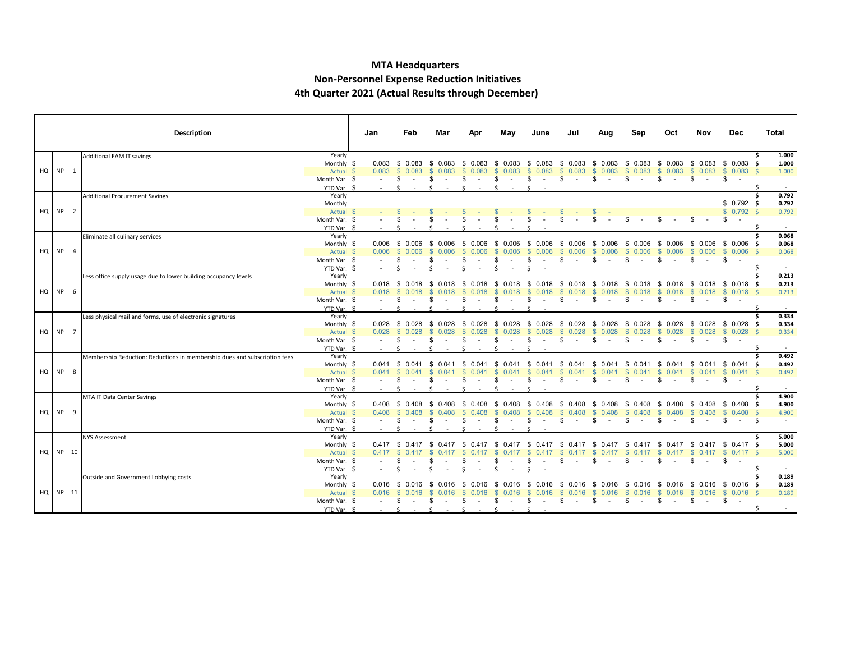#### **MTA Headquarters Non-Personnel Expense Reduction Initiatives 4th Quarter 2021 (Actual Results through December)**

|          |               | <b>Description</b>                                                        |                       | Jan    | Feb                  |       | Mar                          | Apr                    | May                                       | June                   | Jul                                          | Aug               | Sep                   | Oct                                   | Nov                  | <b>Dec</b>            | Total          |
|----------|---------------|---------------------------------------------------------------------------|-----------------------|--------|----------------------|-------|------------------------------|------------------------|-------------------------------------------|------------------------|----------------------------------------------|-------------------|-----------------------|---------------------------------------|----------------------|-----------------------|----------------|
|          |               | Additional EAM IT savings                                                 | Yearly                |        |                      |       |                              |                        |                                           |                        |                                              |                   |                       |                                       |                      |                       | 1.000          |
|          |               |                                                                           | Monthly \$            |        | $0.083$ \$ 0.083     |       | 0.083<br>- \$                | - \$<br>0.083          | \$ 0.083                                  | -\$<br>0.083           | \$ 0.083 \$ 0.083                            |                   | - \$<br>0.083         | \$ 0.083                              |                      | $$0.083$$ \$ 0.083 \$ | 1.000          |
|          | $HQ$ $NP$ 1   |                                                                           | Actual \$             | 0.083  | \$0.083              |       | 0.083                        | <sup>\$</sup><br>0.083 | $\mathbb{S}$<br>0.083                     | $\mathbb{S}$<br>0.083  | \$0.083                                      | 0.083<br>- \$     | $\mathbb{S}$<br>0.083 | \$0.083                               | \$0.083              | \$0.083\$             | 1.000          |
|          |               |                                                                           | Month Var. \$         |        | \$                   |       | \$                           | \$                     | -96<br>$\sim$                             | S<br>$\sim$            | \$<br>$\sim$ $-$                             | \$<br>$\sim$ $-$  | \$<br>$\sim$          | -S<br>$\sim$                          | \$                   | \$                    |                |
|          |               |                                                                           | YTD Var. \$           |        |                      |       |                              |                        |                                           |                        |                                              |                   |                       |                                       |                      |                       |                |
|          |               | <b>Additional Procurement Savings</b>                                     | Yearly                |        |                      |       |                              |                        |                                           |                        |                                              |                   |                       |                                       |                      |                       | 0.792<br>Ŝ.    |
|          | HQ NP 2       |                                                                           | Monthly               |        |                      |       |                              |                        |                                           |                        |                                              |                   |                       |                                       |                      | $$0.792$ \$           | 0.792          |
|          |               |                                                                           | Actual \$             |        |                      |       |                              |                        |                                           |                        |                                              |                   |                       |                                       |                      | \$0.792\$             | 0.792          |
|          |               |                                                                           | Month Var. \$         |        |                      |       |                              |                        |                                           |                        |                                              |                   |                       |                                       |                      | \$                    | $\sim$         |
|          |               |                                                                           | YTD Var. \$<br>Yearly |        |                      |       |                              |                        |                                           |                        |                                              |                   |                       |                                       |                      |                       | 0.068          |
|          |               | Eliminate all culinary services                                           | Monthly \$            | 0.006  | \$ 0.006             |       | 0.006<br>- \$                | - \$<br>0.006          | \$ 0.006                                  | \$<br>0.006            | \$ 0.006                                     | 0.006<br>- \$     | - \$<br>0.006         | \$ 0.006                              |                      | \$ 0.006 \$ 0.006 \$  | 0.068          |
|          | $HQ$ $NP$ $4$ |                                                                           | Actual \$             | 0.006  | $\mathbb{S}$         |       | 0.006                        | 0.006                  | 0.006                                     | <sup>\$</sup><br>0.006 | \$ 0.006                                     | 0.006<br>-S       | S.<br>0.006           | S.<br>0.006                           | 0.006<br>S.          | \$0.006\$             | 0.068          |
|          |               |                                                                           | Month Var. \$         |        | \$                   |       |                              | \$.                    |                                           | \$.                    | \$                                           | S                 | \$                    | \$<br>$\sim$                          | S.<br>$\sim$         | \$                    |                |
|          |               |                                                                           | YTD Var. \$           |        | $\leq$               |       |                              |                        |                                           |                        |                                              |                   |                       |                                       |                      |                       |                |
|          |               | Less office supply usage due to lower building occupancy levels           | Yearly                |        |                      |       |                              |                        |                                           |                        |                                              |                   |                       |                                       |                      |                       | 0.213          |
|          |               |                                                                           | Monthly \$            |        |                      |       |                              |                        | 0.018 \$ 0.018 \$ 0.018 \$ 0.018 \$ 0.018 |                        | \$ 0.018 \$ 0.018 \$ 0.018 \$ 0.018 \$ 0.018 |                   |                       |                                       |                      | $$0.018$$ \$ 0.018 \$ | 0.213          |
|          | HQ NP 6       |                                                                           | Actual \$             | 0.018  | <b>S</b>             |       | 0.018                        | <sup>\$</sup><br>0.018 | 0.018                                     | <b>S</b><br>0.018      | \$0.018                                      | 0.018<br>- \$     | S.<br>0.018           | 0.018<br>S.                           |                      | $$0.018$$ \$ 0.018 \$ | 0.213          |
|          |               |                                                                           | Month Var. \$         |        | - 56                 |       |                              | s.                     | \$.<br>$\sim$                             | S<br>$\sim$            | \$                                           | S.                | \$                    | s.<br>$\sim$ $-$                      | \$<br>$\sim 100$     | \$                    |                |
|          |               |                                                                           | YTD Var. \$           |        |                      |       |                              |                        |                                           |                        |                                              |                   |                       |                                       |                      |                       | Ŝ.             |
|          |               | Less physical mail and forms, use of electronic signatures                | Yearly                |        |                      |       |                              |                        |                                           |                        |                                              |                   |                       |                                       |                      |                       | 0.334          |
|          |               |                                                                           | Monthly \$            |        | $0.028$ \$ 0.028     |       | \$ 0.028                     | - \$<br>0.028          | \$ 0.028                                  | \$0.028                | \$ 0.028                                     | 0.028<br>- \$     | 0.028<br>- \$         | \$0.028                               |                      | $$0.028$$ \$ 0.028 \$ | 0.334          |
|          | HQ NP 7       |                                                                           | Actual \$             | 0.028  | \$0.028              |       | <b>S</b><br>0.028            | <sup>\$</sup><br>0.028 | 0.028<br>$\mathbb{S}$                     | \$0.028                | \$0.028                                      | 0.028<br><b>S</b> | $\mathbb{S}$<br>0.028 | \$0.028                               |                      | \$0.028\$0.028\$      | 0.334          |
|          |               |                                                                           | Month Var. \$         |        | -S                   |       | \$.                          | \$                     | S<br>$\sim$                               | \$.                    | \$                                           | \$<br>$\sim$      | \$<br>$\sim$          | \$<br>$\sim$                          | \$<br>$\sim$         | \$                    |                |
|          |               |                                                                           | YTD Var. \$           |        |                      |       |                              |                        |                                           |                        |                                              |                   |                       |                                       |                      |                       | Ŝ.             |
|          |               | Membership Reduction: Reductions in membership dues and subscription fees | Yearly                |        |                      |       |                              |                        |                                           |                        |                                              |                   |                       |                                       |                      |                       | 0.492          |
|          |               |                                                                           | Monthly \$            |        | $0.041 \quad $0.041$ |       | - \$<br>0.041                | - \$<br>0.041          | 0.041<br>S.                               | - \$<br>0.041          | - \$<br>0.041                                | -S<br>0.041       | S.<br>0.041           | 0.041<br>S.                           | - \$                 |                       | 0.492          |
|          | $HQ$ $NP$ 8   |                                                                           | Actual \$             | 0.041  | <b>S</b>             | 0.041 |                              |                        | 0.041                                     | $\mathcal{S}$<br>0.041 | -S<br>0.041                                  | -SS<br>0.041      | -S<br>0.041           | \$ 0.041                              | - \$<br>0.041        | $$0.041$ \$           | 0.492          |
|          |               |                                                                           | Month Var. \$         |        | - 56                 |       |                              | \$                     | £.                                        | \$.                    | -S                                           | -S                | \$                    | \$.                                   | \$                   | -S                    |                |
|          |               |                                                                           | YTD Var. \$           |        |                      |       |                              |                        |                                           |                        |                                              |                   |                       |                                       |                      |                       |                |
|          |               | MTA IT Data Center Savings                                                | Yearly                |        |                      |       |                              |                        |                                           |                        |                                              |                   |                       |                                       |                      |                       | 4.900          |
|          |               |                                                                           | Monthly \$            | 0.408  | \$ 0.408             |       | 0.408<br>- \$                | - \$<br>0.408          | \$ 0.408                                  | -\$<br>0.408           | \$ 0.408                                     | 0.408<br>- \$     | - \$<br>0.408         | \$ 0.408                              |                      | $$0.408$$ \$ 0.408 \$ | 4.900          |
| HQ NP 9  |               |                                                                           | Actual \$             | 0.408  | \$0.408              |       | 0.408                        | $\mathbb{S}$<br>0.408  | $\mathbb{S}$<br>0.408                     | $\mathbb{S}$<br>0.408  | \$0.408                                      | 0.408<br>- S      | <b>S</b><br>0.408     | \$0.408                               | $^{\circ}$<br>0.408  | \$0.408\$             | 4.900          |
|          |               |                                                                           | Month Var. \$         | $\sim$ | -S                   |       |                              |                        |                                           |                        | \$.                                          | -SS<br>$\sim$     | \$                    | \$.<br>$\sim$                         | -S                   | \$.                   | - Ś<br>$\sim$  |
|          |               |                                                                           | YTD Var. \$           |        |                      |       |                              |                        |                                           |                        |                                              |                   |                       |                                       |                      |                       |                |
|          |               | NYS Assessment                                                            | Yearly<br>Monthly \$  | 0.417  | - \$                 |       | -S<br>0.417                  | - \$                   | \$.                                       | - \$<br>0.417          | -S<br>0.417                                  | -S<br>0.417       | - \$                  | S.<br>0.417                           |                      | $$0.417 \t$0.417 \t$$ | 5.000<br>5.000 |
|          | HQ NP 10      |                                                                           | Actual \$             | 0.417  | - \$                 |       | 0.417                        |                        |                                           | - S<br>0.417           | - S                                          | 0.417             | - 5                   | <b>S</b><br>0.417                     |                      | $$0.417$ $$0.417$ \$  | 5.000          |
|          |               |                                                                           | Month Var. \$         |        | \$                   |       |                              | \$.                    |                                           | S                      | -SS                                          | S                 | \$.                   | £.<br>$\sim$ $-$                      | S.<br>$\sim 10^{-1}$ | -S                    |                |
|          |               |                                                                           | YTD Var. \$           | $\sim$ | Ŝ.                   |       | S.                           | \$                     |                                           |                        |                                              |                   |                       |                                       |                      |                       |                |
|          |               | Outside and Government Lobbying costs                                     | Yearly                |        |                      |       |                              |                        |                                           |                        |                                              |                   |                       |                                       |                      |                       | 0.189          |
|          |               |                                                                           | Monthly \$            |        |                      |       | $0.016$ \$ 0.016 \$ 0.016 \$ |                        | $0.016$ \$ 0.016                          |                        | \$ 0.016 \$ 0.016 \$ 0.016 \$                |                   |                       | $0.016$ \$ 0.016 \$ 0.016 \$ 0.016 \$ |                      |                       | 0.189          |
| HQ NP 11 |               |                                                                           | Actual \$             | 0.016  | <b>S</b>             | 0.016 | 0.016                        | 0.016                  | 0.016                                     | - S<br>0.016           | S.<br>0.016                                  | 0.016             | 0.016<br>S.           | S.<br>0.016                           |                      | $$0.016$ \$ 0.016 \$  | 0.189          |
|          |               |                                                                           | Month Var. \$         | $\sim$ | - 56                 |       | - \$                         | s.                     | - 35<br>$\sim$                            | S<br>$\sim$            | S.                                           | S.<br>$\sim$      | \$<br>$\sim$          | \$<br>$\sim 100$                      | \$<br>$\sim 100$     | \$                    |                |
|          |               |                                                                           | YTD Var. \$           |        |                      |       | $\hat{\zeta}$                | ¢                      | ¢.                                        |                        |                                              |                   |                       |                                       |                      |                       | Ŝ              |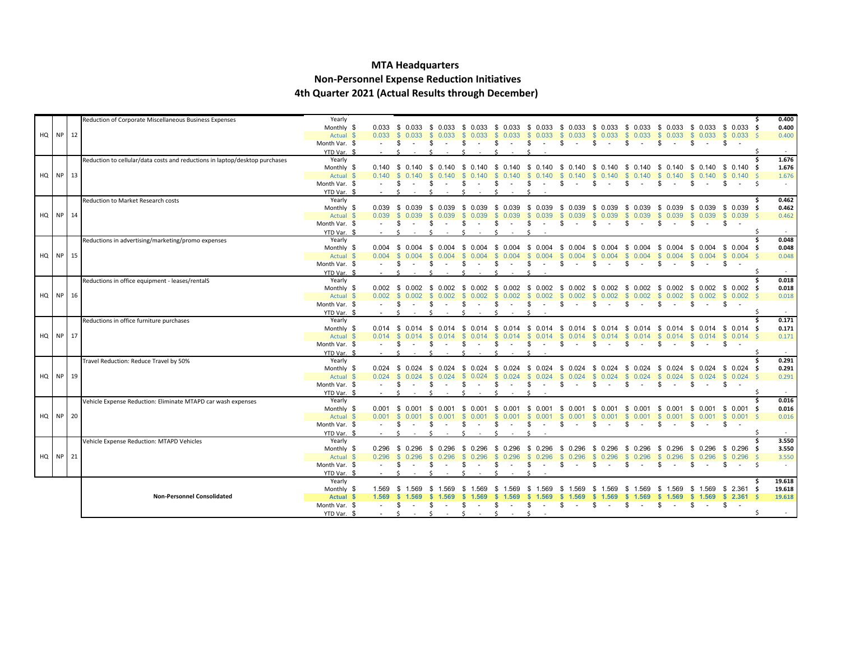#### **MTA Headquarters**

#### **Non-Personnel Expense Reduction Initiatives**

**4th Quarter 2021 (Actual Results through December)**

|          |          | Reduction of Corporate Miscellaneous Business Expenses                      | Yearly                     |            |                                           |                                                                                                                                                                                                                                                                                                                                                                       |                            |                        |                            |                           |                                                          |                             |                       |                   |                                                 | .s  | 0.400  |
|----------|----------|-----------------------------------------------------------------------------|----------------------------|------------|-------------------------------------------|-----------------------------------------------------------------------------------------------------------------------------------------------------------------------------------------------------------------------------------------------------------------------------------------------------------------------------------------------------------------------|----------------------------|------------------------|----------------------------|---------------------------|----------------------------------------------------------|-----------------------------|-----------------------|-------------------|-------------------------------------------------|-----|--------|
|          |          |                                                                             | Monthly \$                 |            | $0.033 \quad $0.033$                      |                                                                                                                                                                                                                                                                                                                                                                       | \$ 0.033 \$ 0.033 \$ 0.033 |                        |                            | \$ 0.033 \$ 0.033         |                                                          |                             |                       |                   | \$ 0.033 \$ 0.033 \$ 0.033 \$ 0.033 \$ 0.033 \$ |     | 0.400  |
| HQ NP 12 |          |                                                                             | Actual \$                  |            | $0.033 \quad $0.033$                      | \$ 0.033                                                                                                                                                                                                                                                                                                                                                              | $\mathbb{S}$<br>0.033      | 0.033<br><b>S</b>      |                            | $$0.033$$ $$0.033$        | $$0.033$ \$                                              | 0.033                       | \$0.033               | \$0.033           | $$0.033$ \$                                     |     | 0.400  |
|          |          |                                                                             | Month Var. \$              |            | -\$                                       | \$.                                                                                                                                                                                                                                                                                                                                                                   | -96                        | $\sim$                 | \$<br>$\sim$               | \$                        | -S                                                       | \$                          | s.<br>$\sim$          | \$                | \$                                              |     |        |
|          |          |                                                                             | YTD Var. \$                |            |                                           |                                                                                                                                                                                                                                                                                                                                                                       |                            |                        |                            |                           |                                                          |                             |                       |                   |                                                 |     |        |
|          |          | Reduction to cellular/data costs and reductions in laptop/desktop purchases | Yearly                     |            |                                           |                                                                                                                                                                                                                                                                                                                                                                       |                            |                        |                            |                           |                                                          |                             |                       |                   |                                                 |     | 1.676  |
|          |          |                                                                             | Monthly \$                 |            | $0.140 \quad $0.140$                      | \$ 0.140                                                                                                                                                                                                                                                                                                                                                              | \$ 0.140 \$ 0.140          |                        |                            | \$ 0.140 \$ 0.140         | \$ 0.140                                                 | - \$<br>0.140               | - \$<br>0.140         |                   | \$ 0.140 \$ 0.140 \$                            |     | 1.676  |
| HQ NP 13 |          |                                                                             | Actual \$                  | $0.140$ \$ | 0.140                                     | \$0.140                                                                                                                                                                                                                                                                                                                                                               | $\mathbb{S}$<br>0.140      | <b>S</b><br>0.140      | <b>S</b>                   | $0.140 \quad $0.140$      | \$0.140                                                  | -S<br>0.140                 | <b>S</b><br>0.140     | - S               | $0.140 \t S \t 0.140 \t S$                      |     | 1.676  |
|          |          |                                                                             | Month Var. \$              |            | -S                                        |                                                                                                                                                                                                                                                                                                                                                                       |                            |                        |                            | S.                        | \$.                                                      | \$                          |                       | \$.               | . ድ                                             | -Ś  | $\sim$ |
|          |          |                                                                             | YTD Var. \$                |            | $\hat{\zeta}$                             |                                                                                                                                                                                                                                                                                                                                                                       |                            |                        |                            |                           |                                                          |                             |                       |                   |                                                 |     |        |
|          |          | Reduction to Market Research costs                                          | Yearly                     |            |                                           |                                                                                                                                                                                                                                                                                                                                                                       |                            |                        |                            |                           |                                                          |                             |                       |                   |                                                 |     | 0.462  |
|          |          |                                                                             | Monthly \$                 |            | $0.039$ \$ 0.039                          | \$ 0.039                                                                                                                                                                                                                                                                                                                                                              | \$ 0.039 \$ 0.039          |                        |                            | $$0.039$ $$0.039$         | \$ 0.039 \$ 0.039 \$ 0.039                               |                             |                       |                   | $$0.039$ \$ 0.039 \$                            |     | 0.462  |
|          | HQ NP 14 |                                                                             | Actual \$                  | 0.039      | -S<br>0.039                               | <b>S</b><br>0.039                                                                                                                                                                                                                                                                                                                                                     | <sup>S</sup><br>0.039      | -SS<br>0.039           | 0.039<br>S.                | \$0.039                   | \$ 0.039                                                 | 0.039<br>-S                 | 0.039<br>-SS          |                   | $$0.039$ \$ 0.039 \$                            |     | 0.462  |
|          |          |                                                                             | Month Var. \$              |            | \$<br>$\sim$                              | \$<br>$\sim$ $-$                                                                                                                                                                                                                                                                                                                                                      | -\$<br>$\sim$              | \$<br>$\sim 10^{-1}$   | \$<br>$\sim 100$           | \$<br>$\sim$ $-$          | \$<br>$\sim$                                             | - \$<br>$\sim$              | -S<br>$\sim 100$      | -S<br>$\sim 100$  | \$<br>$\sim$                                    |     |        |
|          |          |                                                                             | YTD Var. \$                |            |                                           |                                                                                                                                                                                                                                                                                                                                                                       |                            |                        |                            |                           |                                                          |                             |                       |                   |                                                 |     |        |
|          |          | Reductions in advertising/marketing/promo expenses                          | Yearly                     |            |                                           |                                                                                                                                                                                                                                                                                                                                                                       |                            |                        |                            |                           |                                                          |                             |                       |                   |                                                 |     | 0.048  |
|          |          |                                                                             | Monthly \$                 |            | $0.004$ \$ 0.004                          | \$ 0.004 \$                                                                                                                                                                                                                                                                                                                                                           | 0.004                      | 0.004<br>- \$          | - \$<br>0.004              | \$ 0.004                  | \$ 0.004 \$                                              | 0.004                       | 0.004<br>- \$         | 0.004<br>- \$     | $$0.004$ \$                                     |     | 0.048  |
|          | HQ NP 15 |                                                                             | Actual \$                  | 0.004      | $\mathbb{S}$<br>0.004                     | \$0.004                                                                                                                                                                                                                                                                                                                                                               | $\mathcal{S}$<br>0.004     | 0.004<br>$\mathcal{S}$ | $\mathbf{s}$<br>0.004      | \$0.004                   | \$ 0.004                                                 | 0.004<br>-S                 | $\mathbf{s}$<br>0.004 | <b>S</b><br>0.004 | \$0.004S                                        |     | 0.048  |
|          |          |                                                                             | Month Var. \$              |            | \$.                                       | S                                                                                                                                                                                                                                                                                                                                                                     |                            | $\sim$                 | \$.                        | -S                        | S                                                        | - \$                        | -S<br>$\sim$          | \$<br>$\sim$      | \$<br>$\sim$                                    |     |        |
|          |          |                                                                             | YTD Var. \$<br>Yearly      |            |                                           |                                                                                                                                                                                                                                                                                                                                                                       |                            |                        |                            |                           |                                                          |                             |                       |                   |                                                 |     | 0.018  |
|          |          | Reductions in office equipment - leases/rentalS                             | Monthly \$                 |            |                                           | $0.002 \quad $0.002 \quad $0.002 \quad $0.002 \quad $0.002 \quad $0.002 \quad $0.002 \quad $0.002 \quad $0.002 \quad $0.002 \quad $0.002 \quad $0.002 \quad $0.002 \quad $0.002 \quad $0.002 \quad $0.002 \quad $0.002 \quad $0.002 \quad $0.002 \quad $0.002 \quad $0.002 \quad $0.002 \quad $0.002 \quad $0.002 \quad $0.002 \quad $0.002 \quad $0.002 \quad $0.00$ |                            | 0.002                  | - \$                       | $0.002 \quad $0.002$      | $$0.002$ \$                                              | 0.002                       | 0.002<br>- \$         |                   | \$ 0.002 \$ 0.002 \$                            |     | 0.018  |
|          | HQ NP 16 |                                                                             | Actual \$                  | 0.002      | \$ 0.002                                  | \$ 0.002                                                                                                                                                                                                                                                                                                                                                              | -S<br>0.002                | -SS<br>0.002           | S.<br>0.002                | \$ 0.002                  | \$ 0.002                                                 | -S<br>0.002                 | <b>S</b><br>0.002     | \$ 0.002          | \$0.002\$                                       |     | 0.018  |
|          |          |                                                                             | Month Var. \$              |            | -\$                                       |                                                                                                                                                                                                                                                                                                                                                                       |                            |                        |                            | -S                        | \$.                                                      | \$.                         | -SG                   | £.                | \$                                              |     |        |
|          |          |                                                                             | YTD Var. \$                |            |                                           |                                                                                                                                                                                                                                                                                                                                                                       |                            |                        |                            |                           |                                                          |                             |                       |                   |                                                 |     | $\sim$ |
|          |          | Reductions in office furniture purchases                                    | Yearly                     |            |                                           |                                                                                                                                                                                                                                                                                                                                                                       |                            |                        |                            |                           |                                                          |                             |                       |                   |                                                 |     | 0.171  |
|          |          |                                                                             | Monthly \$                 |            | $0.014$ \$ 0.014                          | \$ 0.014 \$                                                                                                                                                                                                                                                                                                                                                           | 0.014                      | - \$<br>0.014          | - \$                       |                           | 0.014 \$ 0.014 \$ 0.014 \$ 0.014                         |                             | - \$<br>0.014         |                   | \$ 0.014 \$ 0.014 \$                            |     | 0.171  |
| HQ NP 17 |          |                                                                             | Actual \$                  | 0.014      | <b>S</b>                                  | -SS                                                                                                                                                                                                                                                                                                                                                                   | 0.014                      | 0.014                  | $\mathbb{S}$<br>$0.014$ \$ | 0.014                     | - \$<br>0.014                                            | 0.014                       | -SS<br>0.014          | -SS               | $0.014$ \$ 0.014 \$                             |     | 0.171  |
|          |          |                                                                             | Month Var. \$              |            | \$<br>$\sim$                              | \$.                                                                                                                                                                                                                                                                                                                                                                   |                            |                        | \$.                        | \$<br>$\sim$              | -S                                                       | \$                          | \$.<br>$\sim$         | \$<br>$\sim$      | \$<br>$\sim$                                    |     |        |
|          |          |                                                                             | YTD Var. \$                |            | $\zeta$                                   |                                                                                                                                                                                                                                                                                                                                                                       |                            |                        |                            |                           |                                                          |                             |                       |                   |                                                 |     |        |
|          |          | Travel Reduction: Reduce Travel by 50%                                      | Yearly                     |            |                                           |                                                                                                                                                                                                                                                                                                                                                                       |                            |                        |                            |                           |                                                          |                             |                       |                   |                                                 |     | 0.291  |
|          |          |                                                                             | Monthly \$                 |            |                                           | 0.024 \$ 0.024 \$ 0.024 \$ 0.024 \$ 0.024                                                                                                                                                                                                                                                                                                                             |                            |                        |                            |                           | \$ 0.024 \$ 0.024 \$ 0.024 \$ 0.024 \$ 0.024             |                             |                       |                   | \$ 0.024 \$ 0.024 \$                            |     | 0.291  |
| HQ NP 19 |          |                                                                             | Actual \$                  | $0.024$ \$ | 0.024                                     | \$0.024                                                                                                                                                                                                                                                                                                                                                               | $\mathbf{s}$<br>0.024      | <b>S</b><br>0.024      | <b>S</b>                   | $0.024$ \$ 0.024 \$ 0.024 |                                                          | - \$<br>0.024               | \$0.024               |                   | $$0.024$ \$ 0.024 \$                            |     | 0.291  |
|          |          |                                                                             | Month Var. \$              |            | \$                                        | \$                                                                                                                                                                                                                                                                                                                                                                    |                            | £.                     | \$                         | -S                        | -S                                                       | - \$                        | \$.<br>$\sim$         | \$<br>$\sim$      | \$                                              |     |        |
|          |          |                                                                             | YTD Var. \$                | $\sim$     | -S                                        |                                                                                                                                                                                                                                                                                                                                                                       | S.                         |                        |                            |                           |                                                          |                             |                       |                   |                                                 | -S  |        |
|          |          | Vehicle Expense Reduction: Eliminate MTAPD car wash expenses                | Yearly                     |            |                                           |                                                                                                                                                                                                                                                                                                                                                                       |                            |                        |                            |                           |                                                          |                             |                       |                   |                                                 |     | 0.016  |
|          | HQ NP 20 |                                                                             | Monthly \$                 | 0.001      | $0.001$ \$ 0.001<br>$\mathbb{S}$<br>0.001 | \$ 0.001 \$ 0.001 \$ 0.001                                                                                                                                                                                                                                                                                                                                            |                            | 0.001                  | $\mathbb{S}$<br>0.001      | S.<br>0.001               | \$ 0.001 \$ 0.001 \$ 0.001 \$ 0.001 \$ 0.001<br>\$ 0.001 |                             | \$ 0.001              | S.                | \$ 0.001 \$ 0.001 \$                            |     | 0.016  |
|          |          |                                                                             | Actual \$<br>Month Var. \$ |            | - \$                                      | \$.                                                                                                                                                                                                                                                                                                                                                                   | -96                        | -96<br>$\sim$          | \$<br>$\sim$               | \$<br>$\sim$              | - \$<br>$\sim$                                           | -S<br>0.001<br>-S<br>$\sim$ | -S<br>$\sim 100$      | \$.               | $0.001$ \$ 0.001 \$<br>-S                       |     | 0.016  |
|          |          |                                                                             | YTD Var. \$                |            |                                           |                                                                                                                                                                                                                                                                                                                                                                       |                            |                        |                            |                           |                                                          |                             |                       |                   |                                                 |     |        |
|          |          | Vehicle Expense Reduction: MTAPD Vehicles                                   | Yearly                     |            |                                           |                                                                                                                                                                                                                                                                                                                                                                       |                            |                        |                            |                           |                                                          |                             |                       |                   |                                                 | Ŝ   | 3.550  |
|          |          |                                                                             | Monthly \$                 | 0.296      | 0.296<br>- \$                             | \$ 0.296                                                                                                                                                                                                                                                                                                                                                              | 0.296<br>-S                | 0.296<br>- \$          | 0.296<br>- \$              | \$ 0.296                  | \$ 0.296                                                 | 0.296<br>- S                | 0.296<br>- \$         | \$ 0.296          | \$ 0.296 \$                                     |     | 3.550  |
| HQ NP 21 |          |                                                                             | Actual \$                  | 0.296      | <b>S</b><br>0.296                         | \$0.296                                                                                                                                                                                                                                                                                                                                                               | 0.296<br>-SS               | $\mathbf{s}$<br>0.296  | $\mathbb{S}$<br>0.296      | <b>S</b><br>0.296         | \$0.296                                                  | 0.296<br>-S                 | 0.296<br>- S          | 0.296<br>- S      | $$0.296$ S                                      |     | 3.550  |
|          |          |                                                                             | Month Var. \$              |            | \$<br>$\sim$                              | \$                                                                                                                                                                                                                                                                                                                                                                    | -S                         | S<br>$\sim$            | \$.<br>$\sim$              | \$<br>$\sim$              | \$<br>$\sim$                                             | \$<br>$\sim$                | \$<br>$\sim 10^{-1}$  | \$<br>$\sim$      | \$<br>$\sim$                                    | - Ś | $\sim$ |
|          |          |                                                                             | YTD Var. \$                |            | $\ddot{\phantom{1}}$                      |                                                                                                                                                                                                                                                                                                                                                                       |                            |                        |                            |                           |                                                          |                             |                       |                   |                                                 |     |        |
|          |          |                                                                             | Yearly                     |            |                                           |                                                                                                                                                                                                                                                                                                                                                                       |                            |                        |                            |                           |                                                          |                             |                       |                   |                                                 |     | 19.618 |
|          |          |                                                                             | Monthly \$                 |            | 1.569 \$ 1.569                            | \$1.569                                                                                                                                                                                                                                                                                                                                                               | \$1.569                    | 1.569<br>- \$          | \$1.569                    | \$1.569                   | \$1.569                                                  | \$1.569                     | \$1.569               |                   | $$1.569$ $$2.361$ \$                            |     | 19.618 |
|          |          | <b>Non-Personnel Consolidated</b>                                           | Actual \$                  | 1.569      | S.<br>1.569                               | \$1.569                                                                                                                                                                                                                                                                                                                                                               | -S<br>1.569                | 1.569                  | S.<br>1.569                | \$1.569                   | \$1.569                                                  | <b>S</b><br>1.569           | \$1.569               |                   | $$1.569$ $$2.361$ \$                            |     | 19.618 |
|          |          |                                                                             | Month Var. \$              |            | \$<br>$\sim$                              | -SS                                                                                                                                                                                                                                                                                                                                                                   | -SS                        | \$.<br>$\sim$          | \$.                        | -S<br>$\sim 100$          | -S                                                       | \$.                         | \$.<br>$\sim 100$     | \$<br>$\sim 100$  | \$<br>$\sim$ $\sim$                             |     |        |
|          |          |                                                                             | YTD Var. \$                |            | $\zeta$                                   |                                                                                                                                                                                                                                                                                                                                                                       | ć                          |                        |                            |                           |                                                          |                             |                       |                   |                                                 |     | $\sim$ |